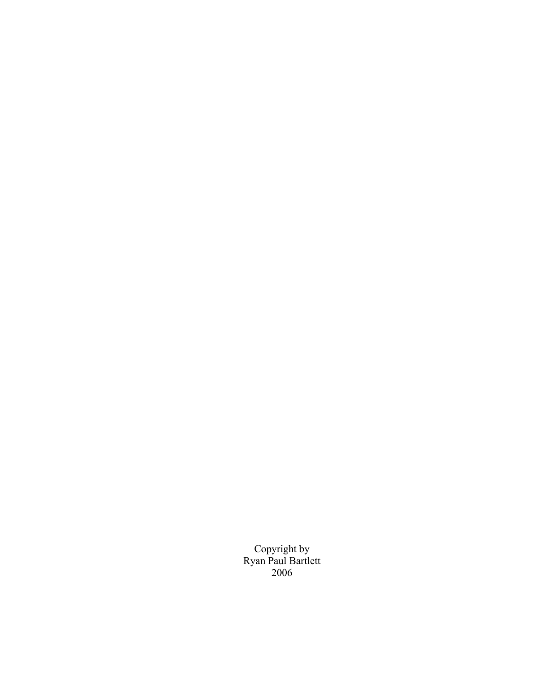Copyright by Ryan Paul Bartlett 2006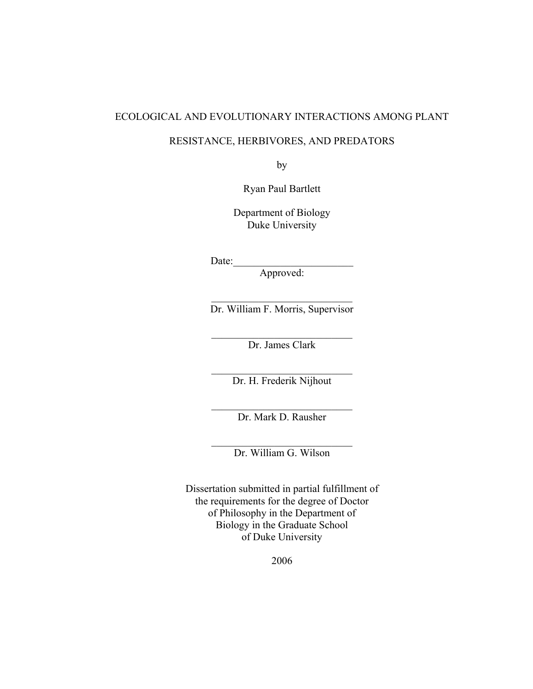#### ECOLOGICAL AND EVOLUTIONARY INTERACTIONS AMONG PLANT

#### RESISTANCE, HERBIVORES, AND PREDATORS

by

Ryan Paul Bartlett

Department of Biology Duke University

 $Date:$ 

Approved:

 $\mathcal{L}_\text{max}$ Dr. William F. Morris, Supervisor

 $\mathcal{L}_\text{max}$  , where  $\mathcal{L}_\text{max}$  and  $\mathcal{L}_\text{max}$ Dr. James Clark

 $\mathcal{L}_\text{max}$  , where  $\mathcal{L}_\text{max}$  and  $\mathcal{L}_\text{max}$ Dr. H. Frederik Nijhout

 $\mathcal{L}_\text{max}$ Dr. Mark D. Rausher

 $\mathcal{L}_\text{max}$  , where  $\mathcal{L}_\text{max}$  and  $\mathcal{L}_\text{max}$ Dr. William G. Wilson

Dissertation submitted in partial fulfillment of the requirements for the degree of Doctor of Philosophy in the Department of Biology in the Graduate School of Duke University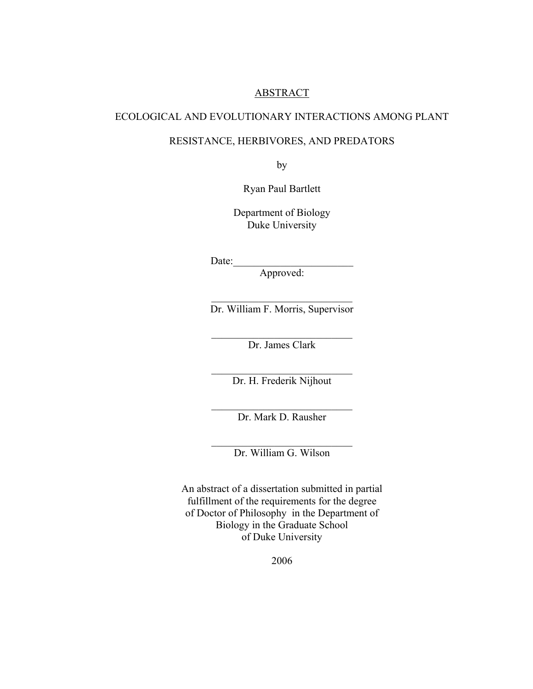#### ABSTRACT

#### ECOLOGICAL AND EVOLUTIONARY INTERACTIONS AMONG PLANT

#### RESISTANCE, HERBIVORES, AND PREDATORS

by

Ryan Paul Bartlett

Department of Biology Duke University

 $Date:$ 

Approved:

 $\mathcal{L}_\text{max}$ Dr. William F. Morris, Supervisor

 $\mathcal{L}_\text{max}$  , where  $\mathcal{L}_\text{max}$  and  $\mathcal{L}_\text{max}$ Dr. James Clark

 $\mathcal{L}_\text{max}$  , where  $\mathcal{L}_\text{max}$  and  $\mathcal{L}_\text{max}$ Dr. H. Frederik Nijhout

 $\mathcal{L}_\text{max}$ Dr. Mark D. Rausher

 $\mathcal{L}_\text{max}$  , where  $\mathcal{L}_\text{max}$  and  $\mathcal{L}_\text{max}$ Dr. William G. Wilson

An abstract of a dissertation submitted in partial fulfillment of the requirements for the degree of Doctor of Philosophy in the Department of Biology in the Graduate School of Duke University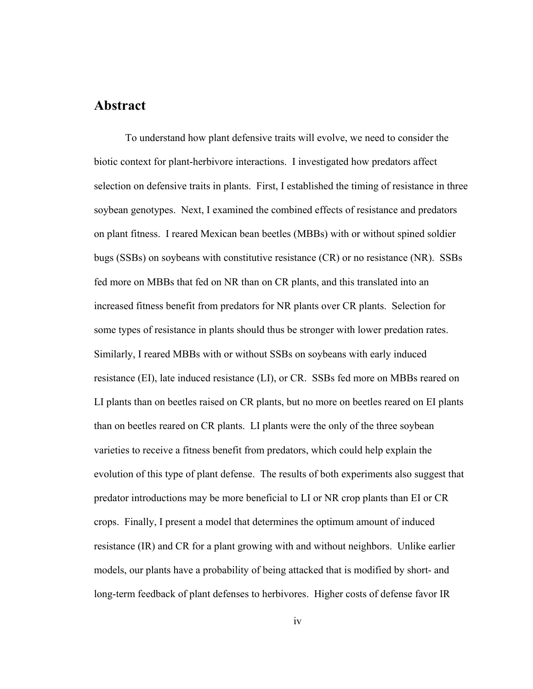#### <span id="page-3-0"></span>**Abstract**

To understand how plant defensive traits will evolve, we need to consider the biotic context for plant-herbivore interactions. I investigated how predators affect selection on defensive traits in plants. First, I established the timing of resistance in three soybean genotypes. Next, I examined the combined effects of resistance and predators on plant fitness. I reared Mexican bean beetles (MBBs) with or without spined soldier bugs (SSBs) on soybeans with constitutive resistance (CR) or no resistance (NR). SSBs fed more on MBBs that fed on NR than on CR plants, and this translated into an increased fitness benefit from predators for NR plants over CR plants. Selection for some types of resistance in plants should thus be stronger with lower predation rates. Similarly, I reared MBBs with or without SSBs on soybeans with early induced resistance (EI), late induced resistance (LI), or CR. SSBs fed more on MBBs reared on LI plants than on beetles raised on CR plants, but no more on beetles reared on EI plants than on beetles reared on CR plants. LI plants were the only of the three soybean varieties to receive a fitness benefit from predators, which could help explain the evolution of this type of plant defense. The results of both experiments also suggest that predator introductions may be more beneficial to LI or NR crop plants than EI or CR crops. Finally, I present a model that determines the optimum amount of induced resistance (IR) and CR for a plant growing with and without neighbors. Unlike earlier models, our plants have a probability of being attacked that is modified by short- and long-term feedback of plant defenses to herbivores. Higher costs of defense favor IR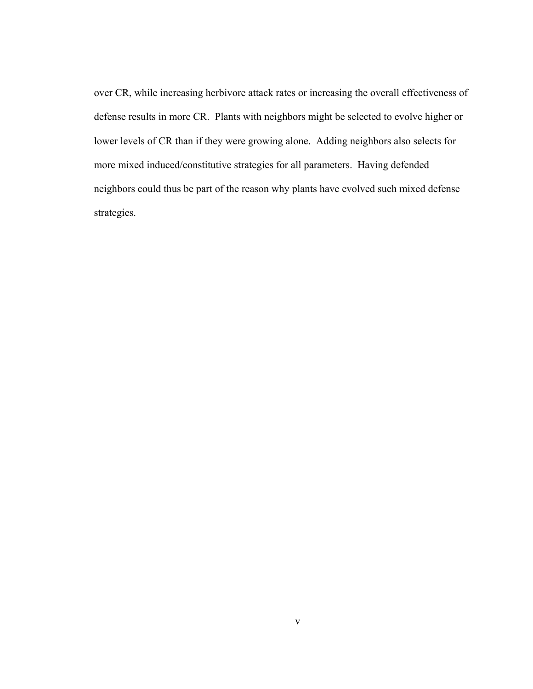over CR, while increasing herbivore attack rates or increasing the overall effectiveness of defense results in more CR. Plants with neighbors might be selected to evolve higher or lower levels of CR than if they were growing alone. Adding neighbors also selects for more mixed induced/constitutive strategies for all parameters. Having defended neighbors could thus be part of the reason why plants have evolved such mixed defense strategies.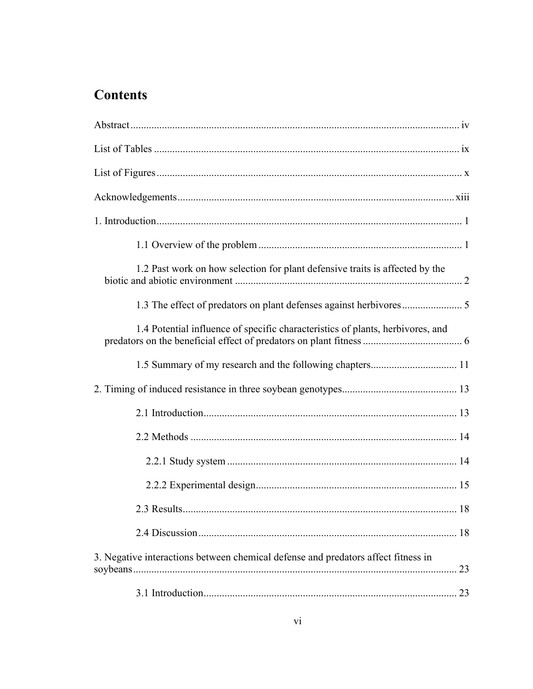## **Contents**

| 1.2 Past work on how selection for plant defensive traits is affected by the      |  |
|-----------------------------------------------------------------------------------|--|
|                                                                                   |  |
| 1.4 Potential influence of specific characteristics of plants, herbivores, and    |  |
|                                                                                   |  |
|                                                                                   |  |
|                                                                                   |  |
|                                                                                   |  |
|                                                                                   |  |
|                                                                                   |  |
|                                                                                   |  |
|                                                                                   |  |
| 3. Negative interactions between chemical defense and predators affect fitness in |  |
|                                                                                   |  |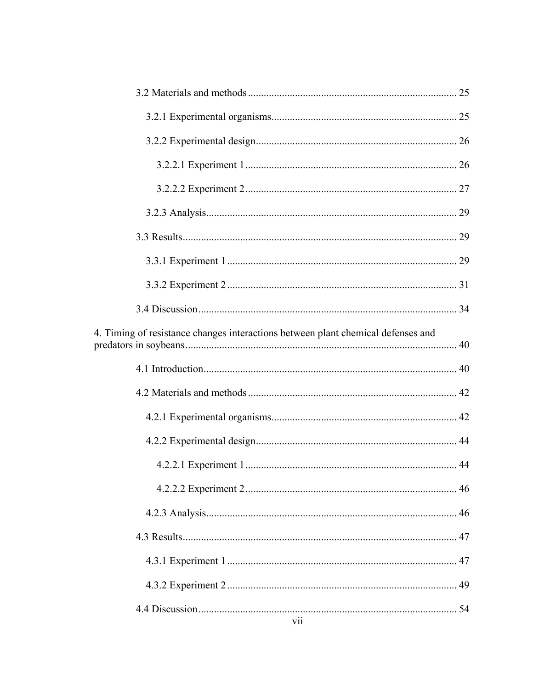| 4. Timing of resistance changes interactions between plant chemical defenses and |  |
|----------------------------------------------------------------------------------|--|
|                                                                                  |  |
|                                                                                  |  |
|                                                                                  |  |
|                                                                                  |  |
|                                                                                  |  |
|                                                                                  |  |
|                                                                                  |  |
|                                                                                  |  |
|                                                                                  |  |
|                                                                                  |  |
| vii                                                                              |  |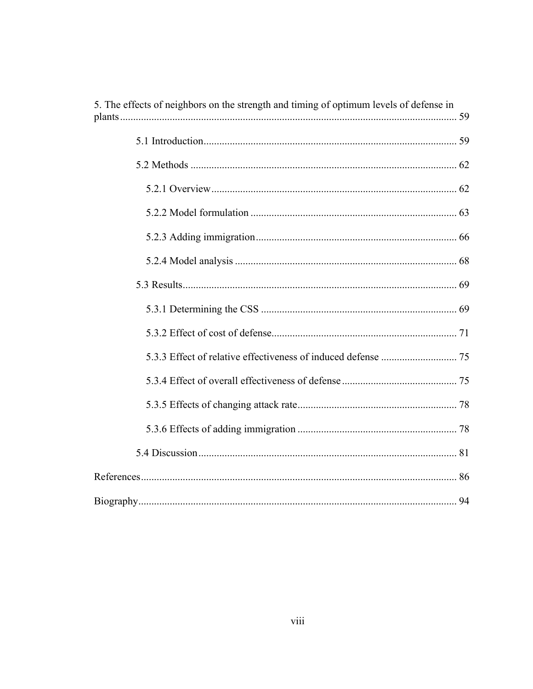| 5. The effects of neighbors on the strength and timing of optimum levels of defense in |  |
|----------------------------------------------------------------------------------------|--|
|                                                                                        |  |
|                                                                                        |  |
|                                                                                        |  |
|                                                                                        |  |
|                                                                                        |  |
|                                                                                        |  |
|                                                                                        |  |
|                                                                                        |  |
|                                                                                        |  |
|                                                                                        |  |
|                                                                                        |  |
|                                                                                        |  |
|                                                                                        |  |
|                                                                                        |  |
|                                                                                        |  |
|                                                                                        |  |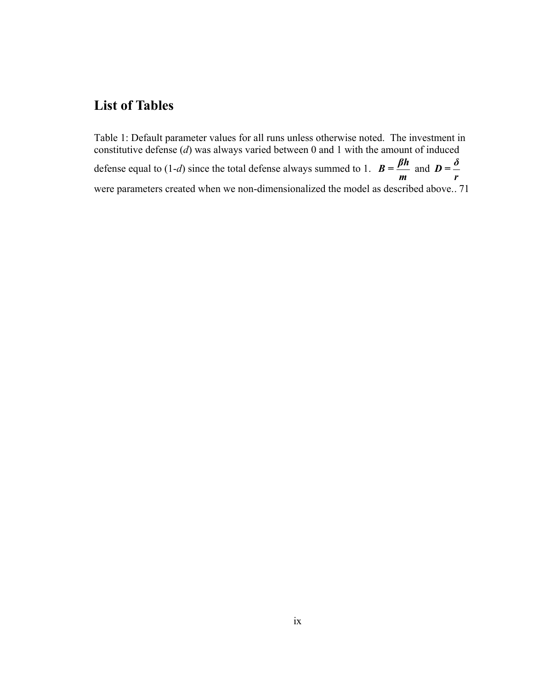## <span id="page-8-0"></span>**List of Tables**

[Table 1: Default parameter values for all runs unless otherwise noted. The investment in](#page-83-0)  constitutive defense (*d*[\) was always varied between 0 and 1 with the amount of induced](#page-83-0)  defense equal to (1-*d*[\) since the total defense always summed to 1.](#page-83-0)  $B = \frac{\beta h}{h}$  $\frac{\beta h}{m}$  and  $D = \frac{\delta}{r}$ [were parameters created when we non-dimensionalized the model as described above.. 71](#page-83-0)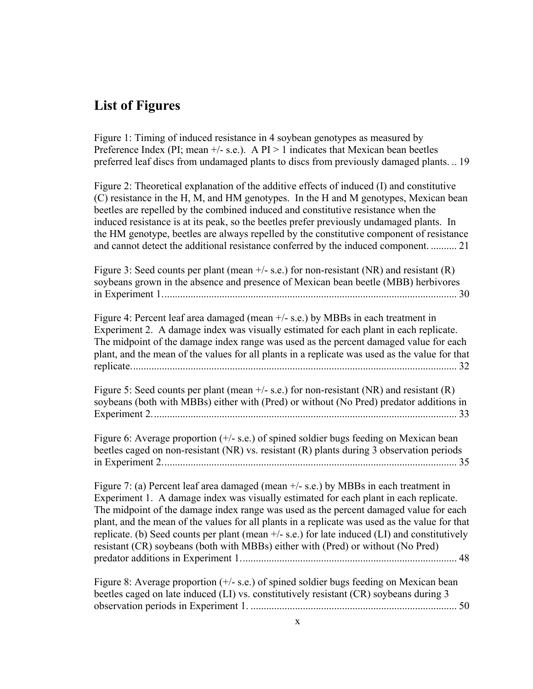## <span id="page-9-0"></span>**List of Figures**

[Figure 1: Timing of induced resistance in 4 soybean genotypes as measured by](#page-31-0)  Preference Index (PI; mean  $+/-$  s.e.). A PI  $> 1$  indicates that Mexican bean beetles [preferred leaf discs from undamaged plants to discs from previously damaged plants.](#page-31-0) .. 19

[Figure 2: Theoretical explanation of the additive effects of induced \(I\) and constitutive](#page-33-0)  [\(C\) resistance in the H, M, and HM genotypes. In the H and M genotypes, Mexican bean](#page-33-0)  [beetles are repelled by the combined induced and constitutive resistance when the](#page-33-0)  [induced resistance is at its peak, so the beetles prefer previously undamaged plants. In](#page-33-0)  [the HM genotype, beetles are always repelled by the constitutive component of resistance](#page-33-0)  [and cannot detect the additional resistance conferred by the induced component.](#page-33-0) .......... 21

Figure 3: Seed counts per plant (mean  $+/-$  s.e.) for non-resistant (NR) and resistant (R) [soybeans grown in the absence and presence of Mexican bean beetle \(MBB\) herbivores](#page-42-0)  [in Experiment 1................................................................................................................. 30](#page-42-0) 

Figure 4: Percent leaf area damaged (mean  $+/-$  s.e.) by MBBs in each treatment in [Experiment 2. A damage index was visually estimated for each plant in each replicate.](#page-44-0)  [The midpoint of the damage index range was used as the percent damaged value for each](#page-44-0)  [plant, and the mean of the values for all plants in a replicate was used as the value for that](#page-44-0)  [replicate............................................................................................................................. 32](#page-44-0) 

Figure 5: Seed counts per plant (mean  $+/-$  s.e.) for non-resistant (NR) and resistant (R) [soybeans \(both with MBBs\) either with \(Pred\) or without \(No Pred\) predator additions in](#page-45-0)  [Experiment 2..................................................................................................................... 33](#page-45-0) 

Figure 6: Average proportion (+/- s.e.) of spined soldier bugs feeding on Mexican bean [beetles caged on non-resistant \(NR\) vs. resistant \(R\) plants during 3 observation periods](#page-47-0)  [in Experiment 2................................................................................................................. 35](#page-47-0) 

Figure 7: (a) Percent leaf area damaged (mean  $+/-$  s.e.) by MBBs in each treatment in [Experiment 1. A damage index was visually estimated for each plant in each replicate.](#page-60-0)  [The midpoint of the damage index range was used as the percent damaged value for each](#page-60-0)  [plant, and the mean of the values for all plants in a replicate was used as the value for that](#page-60-0)  [replicate. \(b\) Seed counts per plant \(mean +/- s.e.\) for late induced \(LI\) and constitutively](#page-60-0)  [resistant \(CR\) soybeans \(both with MBBs\) either with \(Pred\) or without \(No Pred\)](#page-60-0)  [predator additions in Experiment 1................................................................................... 48](#page-60-0) 

Figure 8: Average proportion (+/- s.e.) of spined soldier bugs feeding on Mexican bean [beetles caged on late induced \(LI\) vs. constitutively resistant \(CR\) soybeans during 3](#page-62-0)  observation periods in Experiment 1. [............................................................................... 50](#page-62-0)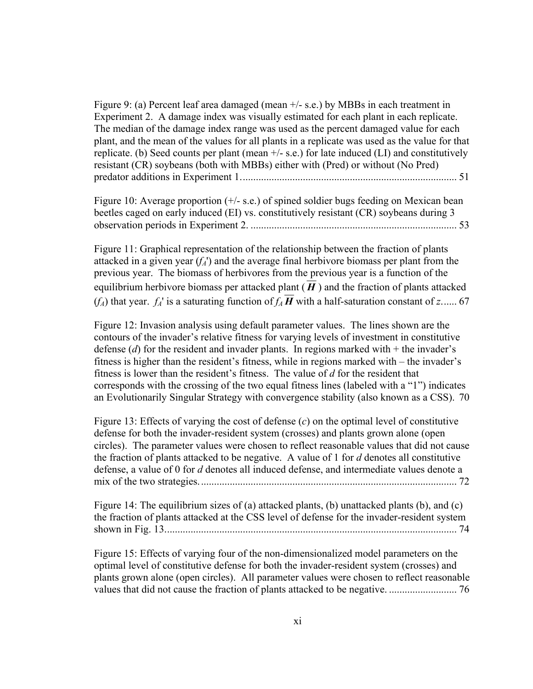[Figure 9: \(a\) Percent leaf area damaged \(mean +/- s.e.\) by MBBs in each treatment in](#page-63-0)  [Experiment 2. A damage index was visually estimated for each plant in each replicate.](#page-63-0)  [The median of the damage index range was used as the percent damaged value for each](#page-63-0)  [plant, and the mean of the values for all plants in a replicate was used as the value for that](#page-63-0)  replicate. (b) Seed counts per plant (mean  $+/-$  s.e.) for late induced (LI) and constitutively [resistant \(CR\) soybeans \(both with MBBs\) either with \(Pred\) or without \(No Pred\)](#page-63-0)  [predator additions in Experiment 1................................................................................... 51](#page-63-0) 

| Figure 10: Average proportion $(+/- s.e.)$ of spined soldier bugs feeding on Mexican bean |
|-------------------------------------------------------------------------------------------|
| beetles caged on early induced (EI) vs. constitutively resistant (CR) soybeans during 3   |
|                                                                                           |

[Figure 11: Graphical representation of the relationship between the fraction of plants](#page-79-0)  attacked in a given year  $(f_A)$  and the average final herbivore biomass per plant from the [previous year. The biomass of herbivores from the previous year is a function of the](#page-79-0)  equilibrium herbivore biomass per attacked plant  $(H)$  and the fraction of plants attacked  $(f_A)$  $(f_A)$  that year.  $f_A$ <sup>'</sup> is a saturating function of  $f_A \overline{H}$  [with a half-saturation constant of](#page-79-0) *z*...... 67

[Figure 12: Invasion analysis using default parameter values. The lines shown are the](#page-82-0)  [contours of the invader's relative fitness for varying levels of investment in constitutive](#page-82-0)  defense (*d*) for the resident and invader plants. In regions marked with + the invader's [fitness is higher than the resident's fitness, while in regions marked with – the invader's](#page-82-0)  [fitness is lower than the resident's fitness. The value of](#page-82-0) *d* for the resident that [corresponds with the crossing of the two equal fitness lines \(labeled with a "1"\) indicates](#page-82-0)  [an Evolutionarily Singular Strategy with convergence stability \(also known as a CSS\).](#page-82-0) 70

[Figure 13: Effects of varying the cost of defense \(](#page-84-0)*c*) on the optimal level of constitutive [defense for both the invader-resident system \(crosses\) and plants grown alone \(open](#page-84-0)  [circles\). The parameter values were chosen to reflect reasonable values that did not cause](#page-84-0)  [the fraction of plants attacked to be negative. A value of 1 for](#page-84-0) *d* denotes all constitutive defense, a value of 0 for *d* [denotes all induced defense, and intermediate values denote a](#page-84-0)  [mix of the two strategies................................................................................................... 72](#page-84-0) 

Figure 14: The equilibrium sizes of (a) attacked plants, (b) unattacked plants (b), and (c) [the fraction of plants attacked at the CSS level of defense for the invader-resident system](#page-86-0)  [shown in Fig. 13................................................................................................................ 74](#page-86-0) 

[Figure 15: Effects of varying four of the non-dimensionalized model parameters on the](#page-88-0)  [optimal level of constitutive defense for both the invader-resident system \(crosses\) and](#page-88-0)  [plants grown alone \(open circles\). All parameter values were chosen to reflect reasonable](#page-88-0)  [values that did not cause the fraction of plants attacked to be negative.](#page-88-0) .......................... 76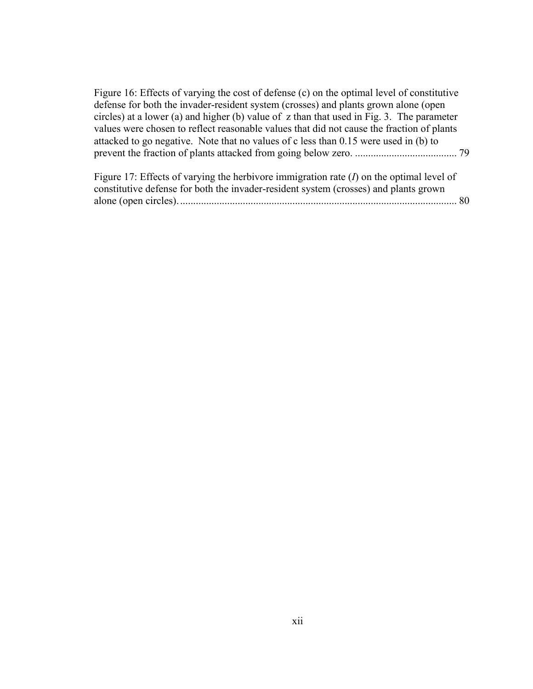[Figure 16: Effects of varying the cost of defense \(c\) on the optimal level of constitutive](#page-91-0)  [defense for both the invader-resident system \(crosses\) and plants grown alone \(open](#page-91-0)  [circles\) at a lower \(a\) and higher \(b\) value of z than that used in Fig. 3. The parameter](#page-91-0)  [values were chosen to reflect reasonable values that did not cause the fraction of plants](#page-91-0)  [attacked to go negative. Note that no values of c less than 0.15 were used in \(b\) to](#page-91-0)  [prevent the fraction of plants attacked from going below zero.](#page-91-0) ....................................... 79

[Figure 17: Effects of varying the herbivore immigration rate \(](#page-92-0)*I*) on the optimal level of [constitutive defense for both the invader-resident system \(crosses\) and plants grown](#page-92-0)  [alone \(open circles\)........................................................................................................... 80](#page-92-0)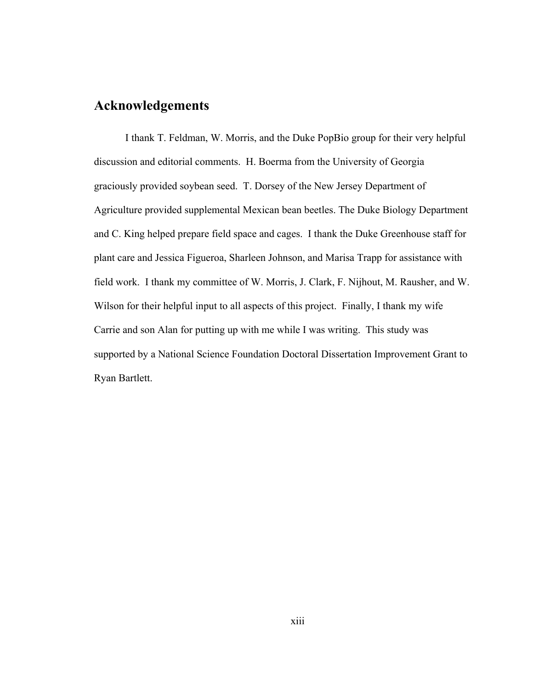## <span id="page-12-0"></span>**Acknowledgements**

I thank T. Feldman, W. Morris, and the Duke PopBio group for their very helpful discussion and editorial comments. H. Boerma from the University of Georgia graciously provided soybean seed. T. Dorsey of the New Jersey Department of Agriculture provided supplemental Mexican bean beetles. The Duke Biology Department and C. King helped prepare field space and cages. I thank the Duke Greenhouse staff for plant care and Jessica Figueroa, Sharleen Johnson, and Marisa Trapp for assistance with field work. I thank my committee of W. Morris, J. Clark, F. Nijhout, M. Rausher, and W. Wilson for their helpful input to all aspects of this project. Finally, I thank my wife Carrie and son Alan for putting up with me while I was writing. This study was supported by a National Science Foundation Doctoral Dissertation Improvement Grant to Ryan Bartlett.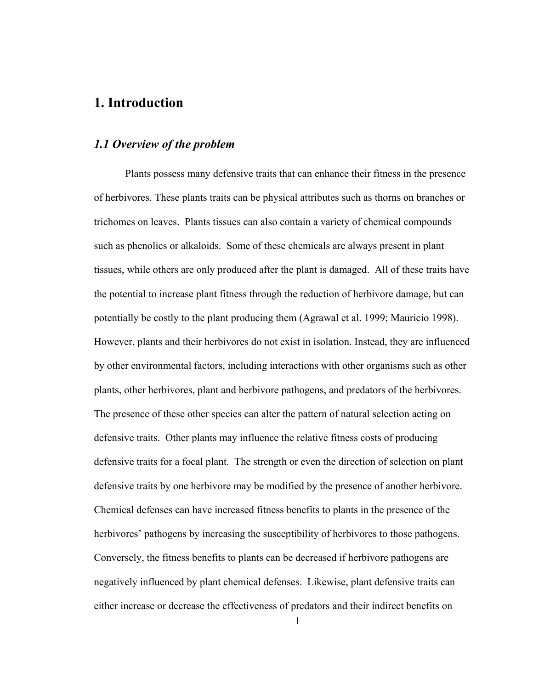## <span id="page-13-0"></span>**1. Introduction**

#### *1.1 Overview of the problem*

Plants possess many defensive traits that can enhance their fitness in the presence of herbivores. These plants traits can be physical attributes such as thorns on branches or trichomes on leaves. Plants tissues can also contain a variety of chemical compounds such as phenolics or alkaloids. Some of these chemicals are always present in plant tissues, while others are only produced after the plant is damaged. All of these traits have the potential to increase plant fitness through the reduction of herbivore damage, but can potentially be costly to the plant producing them (Agrawal et al. 1999; Mauricio 1998). However, plants and their herbivores do not exist in isolation. Instead, they are influenced by other environmental factors, including interactions with other organisms such as other plants, other herbivores, plant and herbivore pathogens, and predators of the herbivores. The presence of these other species can alter the pattern of natural selection acting on defensive traits. Other plants may influence the relative fitness costs of producing defensive traits for a focal plant. The strength or even the direction of selection on plant defensive traits by one herbivore may be modified by the presence of another herbivore. Chemical defenses can have increased fitness benefits to plants in the presence of the herbivores' pathogens by increasing the susceptibility of herbivores to those pathogens. Conversely, the fitness benefits to plants can be decreased if herbivore pathogens are negatively influenced by plant chemical defenses. Likewise, plant defensive traits can either increase or decrease the effectiveness of predators and their indirect benefits on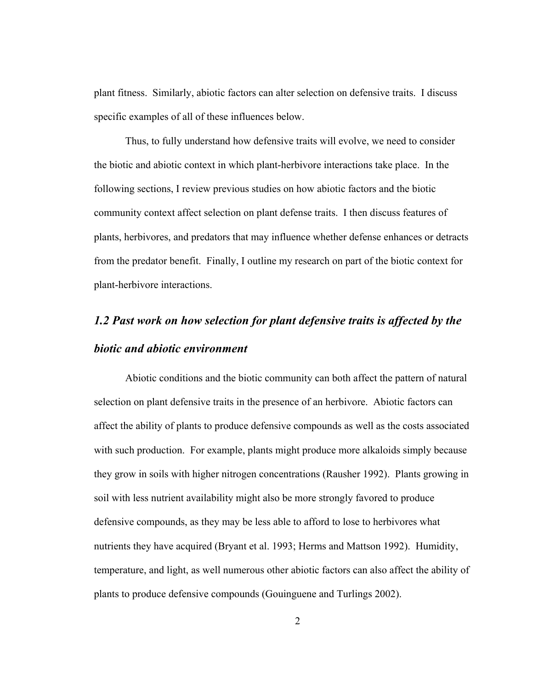<span id="page-14-0"></span>plant fitness. Similarly, abiotic factors can alter selection on defensive traits. I discuss specific examples of all of these influences below.

Thus, to fully understand how defensive traits will evolve, we need to consider the biotic and abiotic context in which plant-herbivore interactions take place. In the following sections, I review previous studies on how abiotic factors and the biotic community context affect selection on plant defense traits. I then discuss features of plants, herbivores, and predators that may influence whether defense enhances or detracts from the predator benefit. Finally, I outline my research on part of the biotic context for plant-herbivore interactions.

## *1.2 Past work on how selection for plant defensive traits is affected by the biotic and abiotic environment*

Abiotic conditions and the biotic community can both affect the pattern of natural selection on plant defensive traits in the presence of an herbivore. Abiotic factors can affect the ability of plants to produce defensive compounds as well as the costs associated with such production. For example, plants might produce more alkaloids simply because they grow in soils with higher nitrogen concentrations (Rausher 1992). Plants growing in soil with less nutrient availability might also be more strongly favored to produce defensive compounds, as they may be less able to afford to lose to herbivores what nutrients they have acquired (Bryant et al. 1993; Herms and Mattson 1992). Humidity, temperature, and light, as well numerous other abiotic factors can also affect the ability of plants to produce defensive compounds (Gouinguene and Turlings 2002).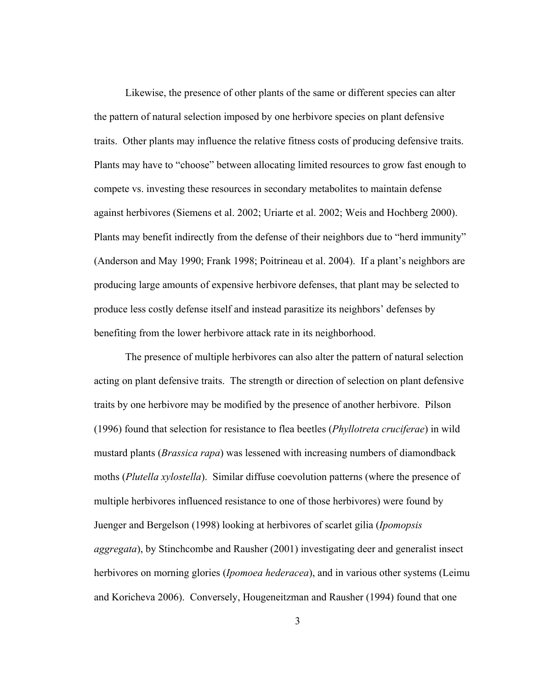Likewise, the presence of other plants of the same or different species can alter the pattern of natural selection imposed by one herbivore species on plant defensive traits. Other plants may influence the relative fitness costs of producing defensive traits. Plants may have to "choose" between allocating limited resources to grow fast enough to compete vs. investing these resources in secondary metabolites to maintain defense against herbivores (Siemens et al. 2002; Uriarte et al. 2002; Weis and Hochberg 2000). Plants may benefit indirectly from the defense of their neighbors due to "herd immunity" (Anderson and May 1990; Frank 1998; Poitrineau et al. 2004). If a plant's neighbors are producing large amounts of expensive herbivore defenses, that plant may be selected to produce less costly defense itself and instead parasitize its neighbors' defenses by benefiting from the lower herbivore attack rate in its neighborhood.

The presence of multiple herbivores can also alter the pattern of natural selection acting on plant defensive traits. The strength or direction of selection on plant defensive traits by one herbivore may be modified by the presence of another herbivore. Pilson (1996) found that selection for resistance to flea beetles (*Phyllotreta cruciferae*) in wild mustard plants (*Brassica rapa*) was lessened with increasing numbers of diamondback moths (*Plutella xylostella*). Similar diffuse coevolution patterns (where the presence of multiple herbivores influenced resistance to one of those herbivores) were found by Juenger and Bergelson (1998) looking at herbivores of scarlet gilia (*Ipomopsis aggregata*), by Stinchcombe and Rausher (2001) investigating deer and generalist insect herbivores on morning glories (*Ipomoea hederacea*), and in various other systems (Leimu and Koricheva 2006). Conversely, Hougeneitzman and Rausher (1994) found that one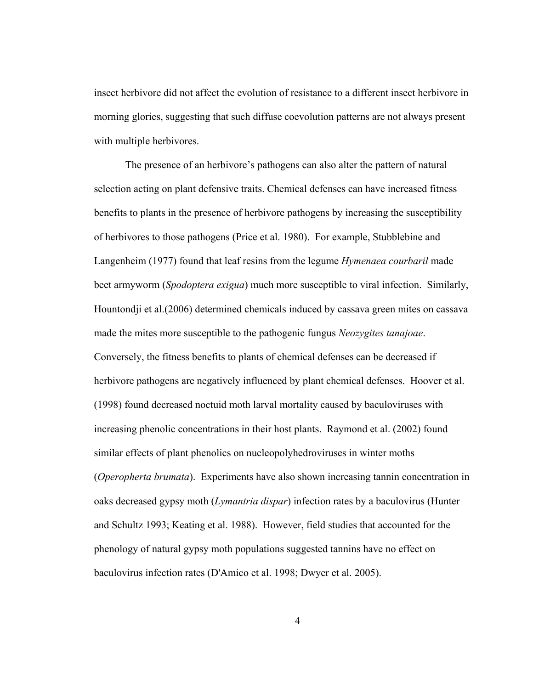insect herbivore did not affect the evolution of resistance to a different insect herbivore in morning glories, suggesting that such diffuse coevolution patterns are not always present with multiple herbivores.

The presence of an herbivore's pathogens can also alter the pattern of natural selection acting on plant defensive traits. Chemical defenses can have increased fitness benefits to plants in the presence of herbivore pathogens by increasing the susceptibility of herbivores to those pathogens (Price et al. 1980). For example, Stubblebine and Langenheim (1977) found that leaf resins from the legume *Hymenaea courbaril* made beet armyworm (*Spodoptera exigua*) much more susceptible to viral infection. Similarly, Hountondji et al.(2006) determined chemicals induced by cassava green mites on cassava made the mites more susceptible to the pathogenic fungus *Neozygites tanajoae*. Conversely, the fitness benefits to plants of chemical defenses can be decreased if herbivore pathogens are negatively influenced by plant chemical defenses. Hoover et al. (1998) found decreased noctuid moth larval mortality caused by baculoviruses with increasing phenolic concentrations in their host plants. Raymond et al. (2002) found similar effects of plant phenolics on nucleopolyhedroviruses in winter moths (*Operopherta brumata*). Experiments have also shown increasing tannin concentration in oaks decreased gypsy moth (*Lymantria dispar*) infection rates by a baculovirus (Hunter and Schultz 1993; Keating et al. 1988). However, field studies that accounted for the phenology of natural gypsy moth populations suggested tannins have no effect on baculovirus infection rates (D'Amico et al. 1998; Dwyer et al. 2005).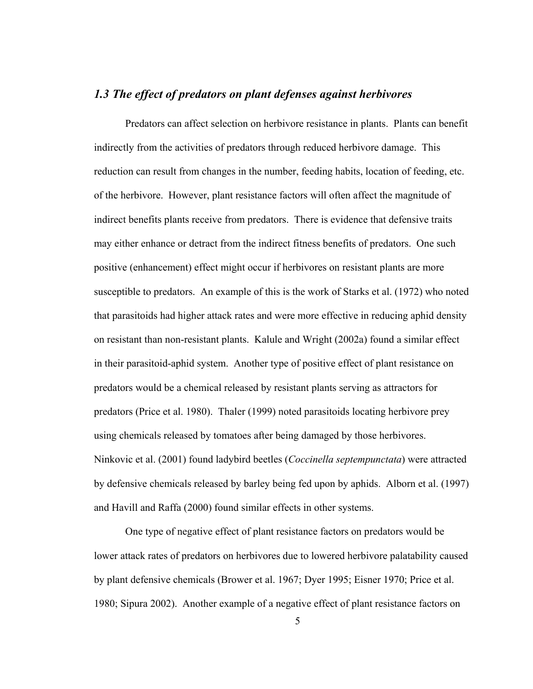#### <span id="page-17-0"></span>*1.3 The effect of predators on plant defenses against herbivores*

Predators can affect selection on herbivore resistance in plants. Plants can benefit indirectly from the activities of predators through reduced herbivore damage. This reduction can result from changes in the number, feeding habits, location of feeding, etc. of the herbivore. However, plant resistance factors will often affect the magnitude of indirect benefits plants receive from predators. There is evidence that defensive traits may either enhance or detract from the indirect fitness benefits of predators. One such positive (enhancement) effect might occur if herbivores on resistant plants are more susceptible to predators. An example of this is the work of Starks et al. (1972) who noted that parasitoids had higher attack rates and were more effective in reducing aphid density on resistant than non-resistant plants. Kalule and Wright (2002a) found a similar effect in their parasitoid-aphid system. Another type of positive effect of plant resistance on predators would be a chemical released by resistant plants serving as attractors for predators (Price et al. 1980). Thaler (1999) noted parasitoids locating herbivore prey using chemicals released by tomatoes after being damaged by those herbivores. Ninkovic et al. (2001) found ladybird beetles (*Coccinella septempunctata*) were attracted by defensive chemicals released by barley being fed upon by aphids. Alborn et al. (1997) and Havill and Raffa (2000) found similar effects in other systems.

One type of negative effect of plant resistance factors on predators would be lower attack rates of predators on herbivores due to lowered herbivore palatability caused by plant defensive chemicals (Brower et al. 1967; Dyer 1995; Eisner 1970; Price et al. 1980; Sipura 2002). Another example of a negative effect of plant resistance factors on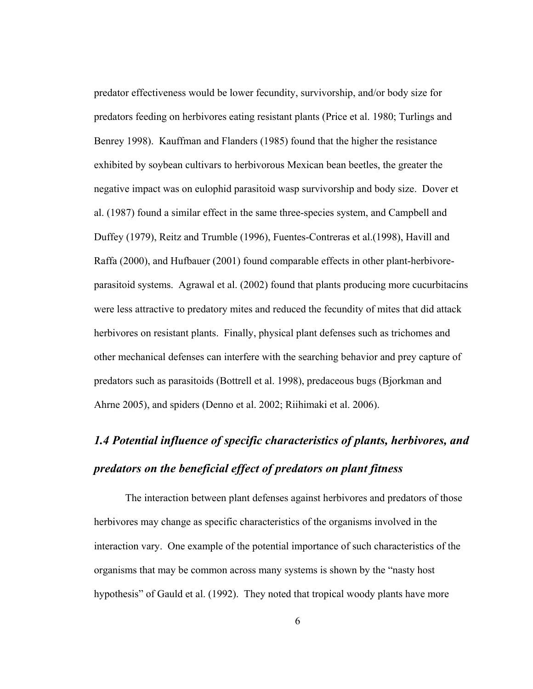<span id="page-18-0"></span>predator effectiveness would be lower fecundity, survivorship, and/or body size for predators feeding on herbivores eating resistant plants (Price et al. 1980; Turlings and Benrey 1998). Kauffman and Flanders (1985) found that the higher the resistance exhibited by soybean cultivars to herbivorous Mexican bean beetles, the greater the negative impact was on eulophid parasitoid wasp survivorship and body size. Dover et al. (1987) found a similar effect in the same three-species system, and Campbell and Duffey (1979), Reitz and Trumble (1996), Fuentes-Contreras et al.(1998), Havill and Raffa (2000), and Hufbauer (2001) found comparable effects in other plant-herbivoreparasitoid systems. Agrawal et al. (2002) found that plants producing more cucurbitacins were less attractive to predatory mites and reduced the fecundity of mites that did attack herbivores on resistant plants. Finally, physical plant defenses such as trichomes and other mechanical defenses can interfere with the searching behavior and prey capture of predators such as parasitoids (Bottrell et al. 1998), predaceous bugs (Bjorkman and Ahrne 2005), and spiders (Denno et al. 2002; Riihimaki et al. 2006).

## *1.4 Potential influence of specific characteristics of plants, herbivores, and predators on the beneficial effect of predators on plant fitness*

The interaction between plant defenses against herbivores and predators of those herbivores may change as specific characteristics of the organisms involved in the interaction vary. One example of the potential importance of such characteristics of the organisms that may be common across many systems is shown by the "nasty host hypothesis" of Gauld et al. (1992). They noted that tropical woody plants have more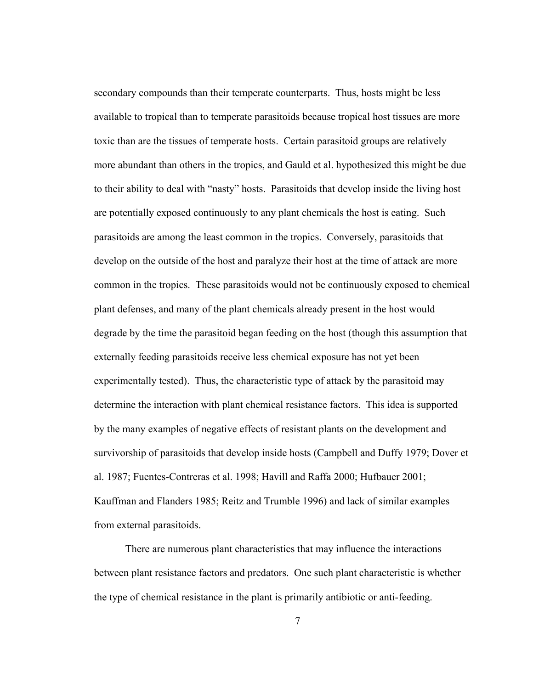secondary compounds than their temperate counterparts. Thus, hosts might be less available to tropical than to temperate parasitoids because tropical host tissues are more toxic than are the tissues of temperate hosts. Certain parasitoid groups are relatively more abundant than others in the tropics, and Gauld et al. hypothesized this might be due to their ability to deal with "nasty" hosts. Parasitoids that develop inside the living host are potentially exposed continuously to any plant chemicals the host is eating. Such parasitoids are among the least common in the tropics. Conversely, parasitoids that develop on the outside of the host and paralyze their host at the time of attack are more common in the tropics. These parasitoids would not be continuously exposed to chemical plant defenses, and many of the plant chemicals already present in the host would degrade by the time the parasitoid began feeding on the host (though this assumption that externally feeding parasitoids receive less chemical exposure has not yet been experimentally tested). Thus, the characteristic type of attack by the parasitoid may determine the interaction with plant chemical resistance factors. This idea is supported by the many examples of negative effects of resistant plants on the development and survivorship of parasitoids that develop inside hosts (Campbell and Duffy 1979; Dover et al. 1987; Fuentes-Contreras et al. 1998; Havill and Raffa 2000; Hufbauer 2001; Kauffman and Flanders 1985; Reitz and Trumble 1996) and lack of similar examples from external parasitoids.

There are numerous plant characteristics that may influence the interactions between plant resistance factors and predators. One such plant characteristic is whether the type of chemical resistance in the plant is primarily antibiotic or anti-feeding.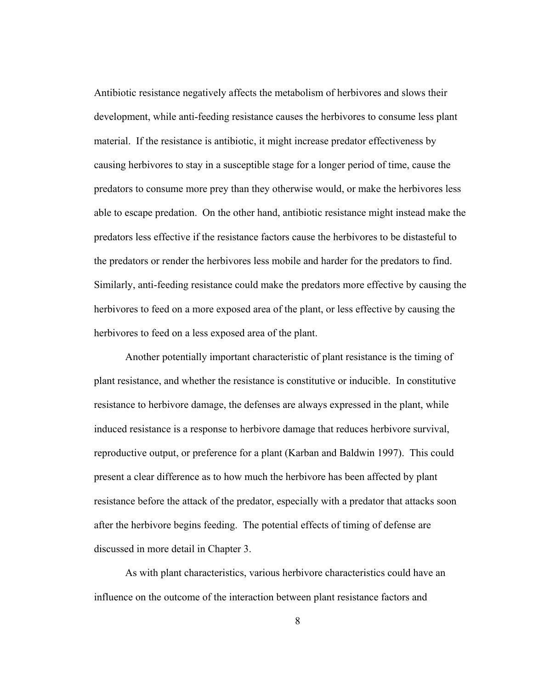Antibiotic resistance negatively affects the metabolism of herbivores and slows their development, while anti-feeding resistance causes the herbivores to consume less plant material. If the resistance is antibiotic, it might increase predator effectiveness by causing herbivores to stay in a susceptible stage for a longer period of time, cause the predators to consume more prey than they otherwise would, or make the herbivores less able to escape predation. On the other hand, antibiotic resistance might instead make the predators less effective if the resistance factors cause the herbivores to be distasteful to the predators or render the herbivores less mobile and harder for the predators to find. Similarly, anti-feeding resistance could make the predators more effective by causing the herbivores to feed on a more exposed area of the plant, or less effective by causing the herbivores to feed on a less exposed area of the plant.

Another potentially important characteristic of plant resistance is the timing of plant resistance, and whether the resistance is constitutive or inducible. In constitutive resistance to herbivore damage, the defenses are always expressed in the plant, while induced resistance is a response to herbivore damage that reduces herbivore survival, reproductive output, or preference for a plant (Karban and Baldwin 1997). This could present a clear difference as to how much the herbivore has been affected by plant resistance before the attack of the predator, especially with a predator that attacks soon after the herbivore begins feeding. The potential effects of timing of defense are discussed in more detail in Chapter 3.

As with plant characteristics, various herbivore characteristics could have an influence on the outcome of the interaction between plant resistance factors and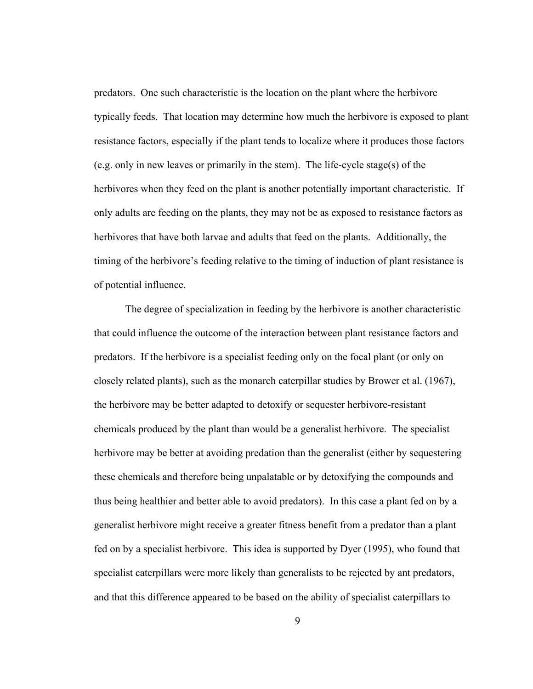predators. One such characteristic is the location on the plant where the herbivore typically feeds. That location may determine how much the herbivore is exposed to plant resistance factors, especially if the plant tends to localize where it produces those factors (e.g. only in new leaves or primarily in the stem). The life-cycle stage(s) of the herbivores when they feed on the plant is another potentially important characteristic. If only adults are feeding on the plants, they may not be as exposed to resistance factors as herbivores that have both larvae and adults that feed on the plants. Additionally, the timing of the herbivore's feeding relative to the timing of induction of plant resistance is of potential influence.

The degree of specialization in feeding by the herbivore is another characteristic that could influence the outcome of the interaction between plant resistance factors and predators. If the herbivore is a specialist feeding only on the focal plant (or only on closely related plants), such as the monarch caterpillar studies by Brower et al. (1967), the herbivore may be better adapted to detoxify or sequester herbivore-resistant chemicals produced by the plant than would be a generalist herbivore. The specialist herbivore may be better at avoiding predation than the generalist (either by sequestering these chemicals and therefore being unpalatable or by detoxifying the compounds and thus being healthier and better able to avoid predators). In this case a plant fed on by a generalist herbivore might receive a greater fitness benefit from a predator than a plant fed on by a specialist herbivore. This idea is supported by Dyer (1995), who found that specialist caterpillars were more likely than generalists to be rejected by ant predators, and that this difference appeared to be based on the ability of specialist caterpillars to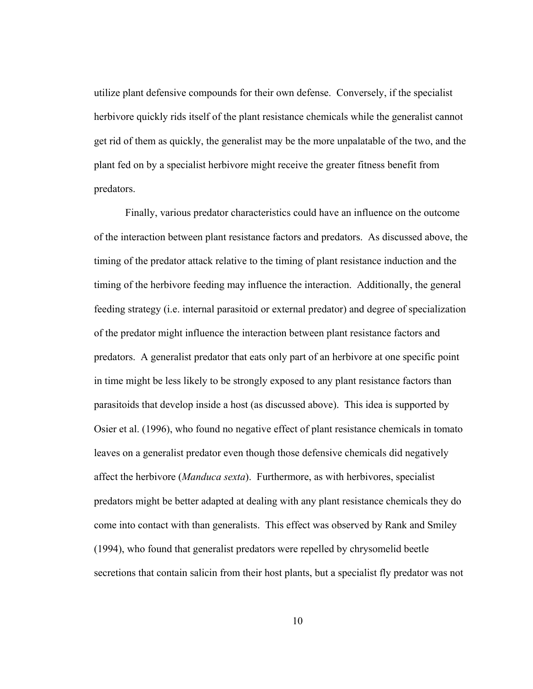utilize plant defensive compounds for their own defense. Conversely, if the specialist herbivore quickly rids itself of the plant resistance chemicals while the generalist cannot get rid of them as quickly, the generalist may be the more unpalatable of the two, and the plant fed on by a specialist herbivore might receive the greater fitness benefit from predators.

Finally, various predator characteristics could have an influence on the outcome of the interaction between plant resistance factors and predators. As discussed above, the timing of the predator attack relative to the timing of plant resistance induction and the timing of the herbivore feeding may influence the interaction. Additionally, the general feeding strategy (i.e. internal parasitoid or external predator) and degree of specialization of the predator might influence the interaction between plant resistance factors and predators. A generalist predator that eats only part of an herbivore at one specific point in time might be less likely to be strongly exposed to any plant resistance factors than parasitoids that develop inside a host (as discussed above). This idea is supported by Osier et al. (1996), who found no negative effect of plant resistance chemicals in tomato leaves on a generalist predator even though those defensive chemicals did negatively affect the herbivore (*Manduca sexta*). Furthermore, as with herbivores, specialist predators might be better adapted at dealing with any plant resistance chemicals they do come into contact with than generalists. This effect was observed by Rank and Smiley (1994), who found that generalist predators were repelled by chrysomelid beetle secretions that contain salicin from their host plants, but a specialist fly predator was not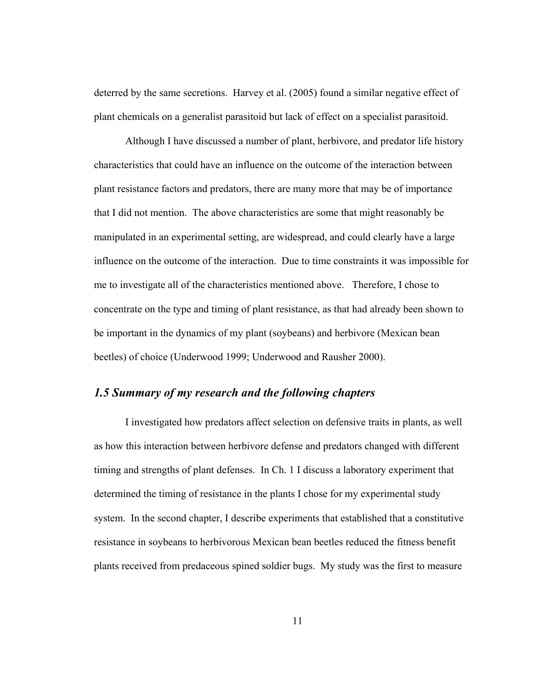<span id="page-23-0"></span>deterred by the same secretions. Harvey et al. (2005) found a similar negative effect of plant chemicals on a generalist parasitoid but lack of effect on a specialist parasitoid.

Although I have discussed a number of plant, herbivore, and predator life history characteristics that could have an influence on the outcome of the interaction between plant resistance factors and predators, there are many more that may be of importance that I did not mention. The above characteristics are some that might reasonably be manipulated in an experimental setting, are widespread, and could clearly have a large influence on the outcome of the interaction. Due to time constraints it was impossible for me to investigate all of the characteristics mentioned above. Therefore, I chose to concentrate on the type and timing of plant resistance, as that had already been shown to be important in the dynamics of my plant (soybeans) and herbivore (Mexican bean beetles) of choice (Underwood 1999; Underwood and Rausher 2000).

#### *1.5 Summary of my research and the following chapters*

I investigated how predators affect selection on defensive traits in plants, as well as how this interaction between herbivore defense and predators changed with different timing and strengths of plant defenses. In Ch. 1 I discuss a laboratory experiment that determined the timing of resistance in the plants I chose for my experimental study system. In the second chapter, I describe experiments that established that a constitutive resistance in soybeans to herbivorous Mexican bean beetles reduced the fitness benefit plants received from predaceous spined soldier bugs. My study was the first to measure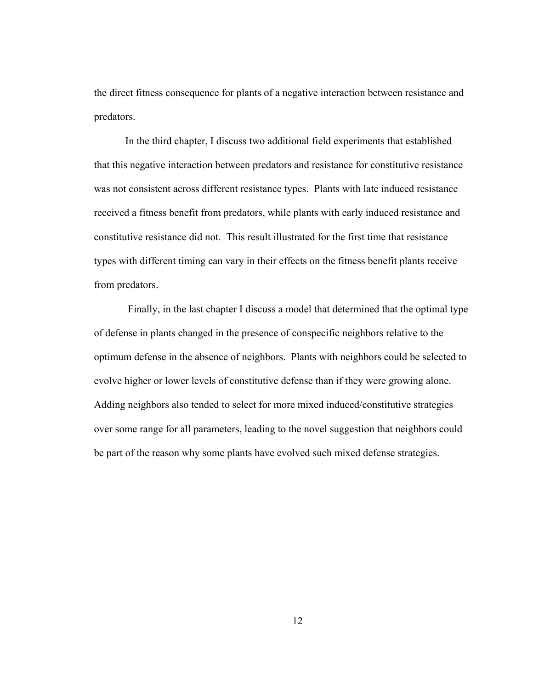the direct fitness consequence for plants of a negative interaction between resistance and predators.

In the third chapter, I discuss two additional field experiments that established that this negative interaction between predators and resistance for constitutive resistance was not consistent across different resistance types. Plants with late induced resistance received a fitness benefit from predators, while plants with early induced resistance and constitutive resistance did not. This result illustrated for the first time that resistance types with different timing can vary in their effects on the fitness benefit plants receive from predators.

 Finally, in the last chapter I discuss a model that determined that the optimal type of defense in plants changed in the presence of conspecific neighbors relative to the optimum defense in the absence of neighbors. Plants with neighbors could be selected to evolve higher or lower levels of constitutive defense than if they were growing alone. Adding neighbors also tended to select for more mixed induced/constitutive strategies over some range for all parameters, leading to the novel suggestion that neighbors could be part of the reason why some plants have evolved such mixed defense strategies.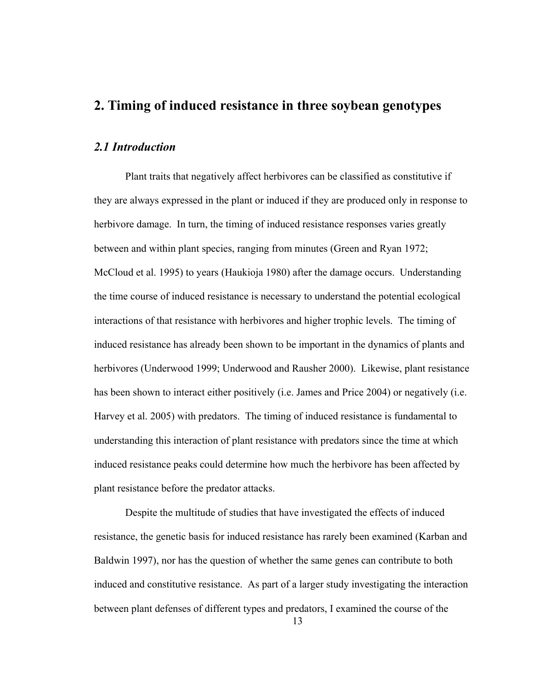## <span id="page-25-0"></span>**2. Timing of induced resistance in three soybean genotypes**

#### *2.1 Introduction*

Plant traits that negatively affect herbivores can be classified as constitutive if they are always expressed in the plant or induced if they are produced only in response to herbivore damage. In turn, the timing of induced resistance responses varies greatly between and within plant species, ranging from minutes (Green and Ryan 1972; McCloud et al. 1995) to years (Haukioja 1980) after the damage occurs. Understanding the time course of induced resistance is necessary to understand the potential ecological interactions of that resistance with herbivores and higher trophic levels. The timing of induced resistance has already been shown to be important in the dynamics of plants and herbivores (Underwood 1999; Underwood and Rausher 2000). Likewise, plant resistance has been shown to interact either positively (i.e. James and Price 2004) or negatively (i.e. Harvey et al. 2005) with predators. The timing of induced resistance is fundamental to understanding this interaction of plant resistance with predators since the time at which induced resistance peaks could determine how much the herbivore has been affected by plant resistance before the predator attacks.

Despite the multitude of studies that have investigated the effects of induced resistance, the genetic basis for induced resistance has rarely been examined (Karban and Baldwin 1997), nor has the question of whether the same genes can contribute to both induced and constitutive resistance. As part of a larger study investigating the interaction between plant defenses of different types and predators, I examined the course of the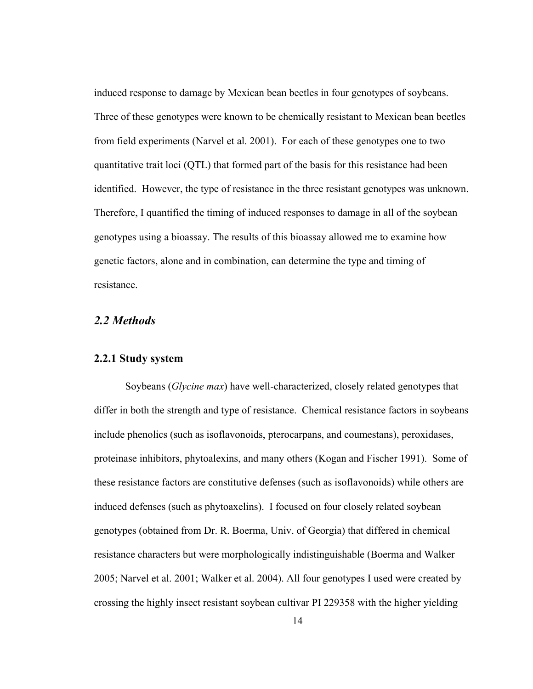<span id="page-26-0"></span>induced response to damage by Mexican bean beetles in four genotypes of soybeans. Three of these genotypes were known to be chemically resistant to Mexican bean beetles from field experiments (Narvel et al. 2001). For each of these genotypes one to two quantitative trait loci (QTL) that formed part of the basis for this resistance had been identified. However, the type of resistance in the three resistant genotypes was unknown. Therefore, I quantified the timing of induced responses to damage in all of the soybean genotypes using a bioassay. The results of this bioassay allowed me to examine how genetic factors, alone and in combination, can determine the type and timing of resistance.

#### *2.2 Methods*

#### **2.2.1 Study system**

Soybeans (*Glycine max*) have well-characterized, closely related genotypes that differ in both the strength and type of resistance. Chemical resistance factors in soybeans include phenolics (such as isoflavonoids, pterocarpans, and coumestans), peroxidases, proteinase inhibitors, phytoalexins, and many others (Kogan and Fischer 1991). Some of these resistance factors are constitutive defenses (such as isoflavonoids) while others are induced defenses (such as phytoaxelins). I focused on four closely related soybean genotypes (obtained from Dr. R. Boerma, Univ. of Georgia) that differed in chemical resistance characters but were morphologically indistinguishable (Boerma and Walker 2005; Narvel et al. 2001; Walker et al. 2004). All four genotypes I used were created by crossing the highly insect resistant soybean cultivar PI 229358 with the higher yielding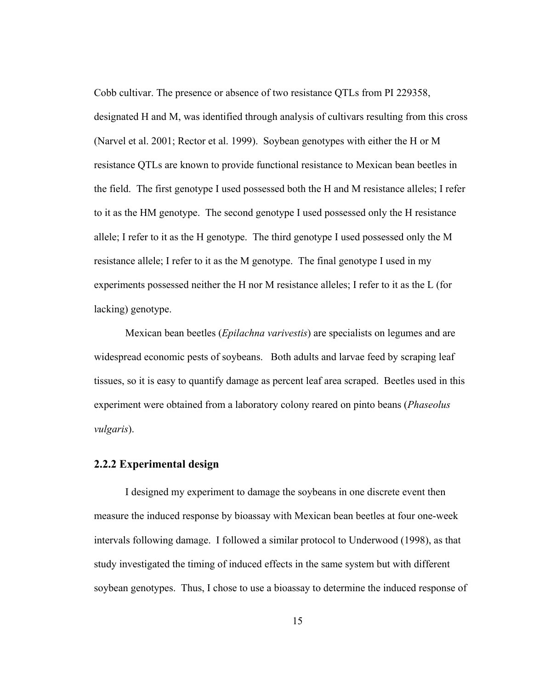<span id="page-27-0"></span>Cobb cultivar. The presence or absence of two resistance QTLs from PI 229358, designated H and M, was identified through analysis of cultivars resulting from this cross (Narvel et al. 2001; Rector et al. 1999). Soybean genotypes with either the H or M resistance QTLs are known to provide functional resistance to Mexican bean beetles in the field. The first genotype I used possessed both the H and M resistance alleles; I refer to it as the HM genotype. The second genotype I used possessed only the H resistance allele; I refer to it as the H genotype. The third genotype I used possessed only the M resistance allele; I refer to it as the M genotype. The final genotype I used in my experiments possessed neither the H nor M resistance alleles; I refer to it as the L (for lacking) genotype.

Mexican bean beetles (*Epilachna varivestis*) are specialists on legumes and are widespread economic pests of soybeans. Both adults and larvae feed by scraping leaf tissues, so it is easy to quantify damage as percent leaf area scraped. Beetles used in this experiment were obtained from a laboratory colony reared on pinto beans (*Phaseolus vulgaris*).

#### **2.2.2 Experimental design**

I designed my experiment to damage the soybeans in one discrete event then measure the induced response by bioassay with Mexican bean beetles at four one-week intervals following damage. I followed a similar protocol to Underwood (1998), as that study investigated the timing of induced effects in the same system but with different soybean genotypes. Thus, I chose to use a bioassay to determine the induced response of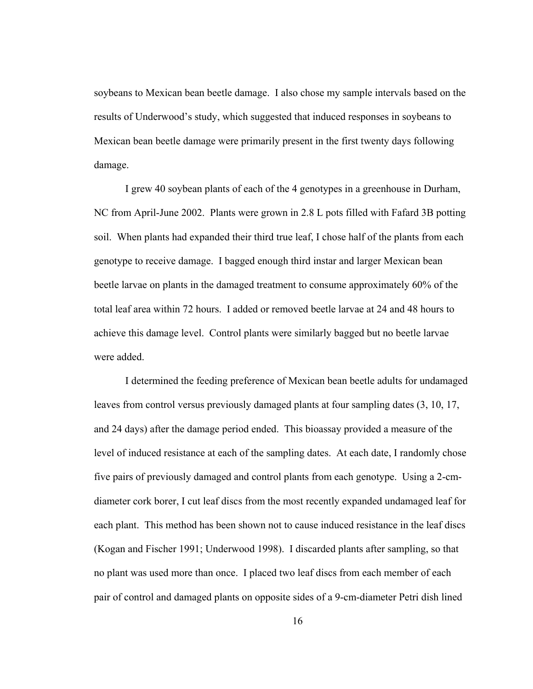soybeans to Mexican bean beetle damage. I also chose my sample intervals based on the results of Underwood's study, which suggested that induced responses in soybeans to Mexican bean beetle damage were primarily present in the first twenty days following damage.

I grew 40 soybean plants of each of the 4 genotypes in a greenhouse in Durham, NC from April-June 2002. Plants were grown in 2.8 L pots filled with Fafard 3B potting soil. When plants had expanded their third true leaf, I chose half of the plants from each genotype to receive damage. I bagged enough third instar and larger Mexican bean beetle larvae on plants in the damaged treatment to consume approximately 60% of the total leaf area within 72 hours. I added or removed beetle larvae at 24 and 48 hours to achieve this damage level. Control plants were similarly bagged but no beetle larvae were added.

I determined the feeding preference of Mexican bean beetle adults for undamaged leaves from control versus previously damaged plants at four sampling dates (3, 10, 17, and 24 days) after the damage period ended. This bioassay provided a measure of the level of induced resistance at each of the sampling dates. At each date, I randomly chose five pairs of previously damaged and control plants from each genotype. Using a 2-cmdiameter cork borer, I cut leaf discs from the most recently expanded undamaged leaf for each plant. This method has been shown not to cause induced resistance in the leaf discs (Kogan and Fischer 1991; Underwood 1998). I discarded plants after sampling, so that no plant was used more than once. I placed two leaf discs from each member of each pair of control and damaged plants on opposite sides of a 9-cm-diameter Petri dish lined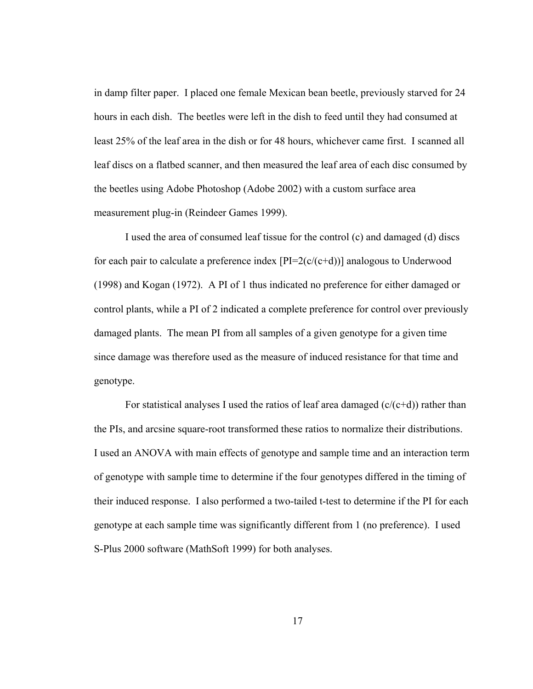in damp filter paper. I placed one female Mexican bean beetle, previously starved for 24 hours in each dish. The beetles were left in the dish to feed until they had consumed at least 25% of the leaf area in the dish or for 48 hours, whichever came first. I scanned all leaf discs on a flatbed scanner, and then measured the leaf area of each disc consumed by the beetles using Adobe Photoshop (Adobe 2002) with a custom surface area measurement plug-in (Reindeer Games 1999).

I used the area of consumed leaf tissue for the control (c) and damaged (d) discs for each pair to calculate a preference index  $[PI=2(c/(c+d))]$  analogous to Underwood (1998) and Kogan (1972). A PI of 1 thus indicated no preference for either damaged or control plants, while a PI of 2 indicated a complete preference for control over previously damaged plants. The mean PI from all samples of a given genotype for a given time since damage was therefore used as the measure of induced resistance for that time and genotype.

For statistical analyses I used the ratios of leaf area damaged  $(c/(c+d))$  rather than the PIs, and arcsine square-root transformed these ratios to normalize their distributions. I used an ANOVA with main effects of genotype and sample time and an interaction term of genotype with sample time to determine if the four genotypes differed in the timing of their induced response. I also performed a two-tailed t-test to determine if the PI for each genotype at each sample time was significantly different from 1 (no preference). I used S-Plus 2000 software (MathSoft 1999) for both analyses.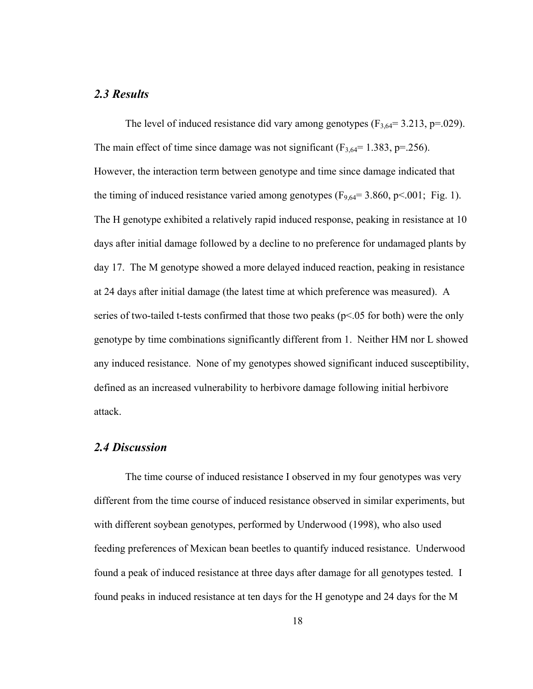#### <span id="page-30-0"></span>*2.3 Results*

The level of induced resistance did vary among genotypes ( $F_{3,64}$ = 3.213, p=.029). The main effect of time since damage was not significant ( $F_{3,64}$ = 1.383, p=.256). However, the interaction term between genotype and time since damage indicated that the timing of induced resistance varied among genotypes ( $F_{9,64}$ = 3.860, p<.001; Fig. 1). The H genotype exhibited a relatively rapid induced response, peaking in resistance at 10 days after initial damage followed by a decline to no preference for undamaged plants by day 17. The M genotype showed a more delayed induced reaction, peaking in resistance at 24 days after initial damage (the latest time at which preference was measured). A series of two-tailed t-tests confirmed that those two peaks (p<.05 for both) were the only genotype by time combinations significantly different from 1. Neither HM nor L showed any induced resistance. None of my genotypes showed significant induced susceptibility, defined as an increased vulnerability to herbivore damage following initial herbivore attack.

#### *2.4 Discussion*

The time course of induced resistance I observed in my four genotypes was very different from the time course of induced resistance observed in similar experiments, but with different soybean genotypes, performed by Underwood (1998), who also used feeding preferences of Mexican bean beetles to quantify induced resistance. Underwood found a peak of induced resistance at three days after damage for all genotypes tested. I found peaks in induced resistance at ten days for the H genotype and 24 days for the M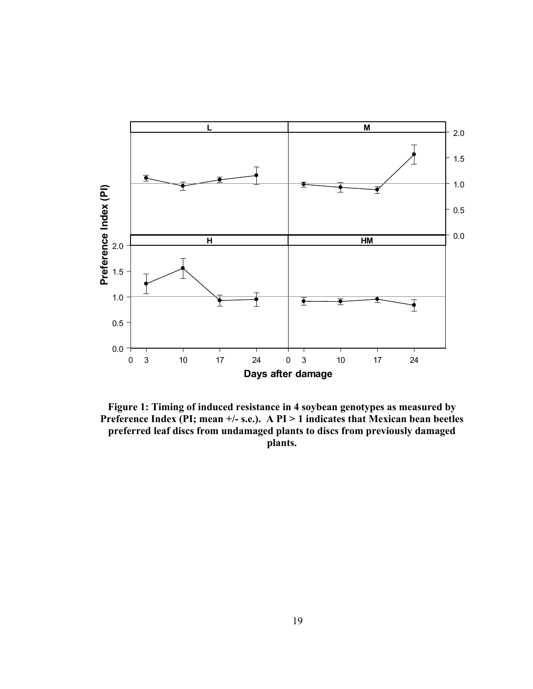<span id="page-31-0"></span>

**Figure 1: Timing of induced resistance in 4 soybean genotypes as measured by Preference Index (PI; mean +/- s.e.). A PI > 1 indicates that Mexican bean beetles preferred leaf discs from undamaged plants to discs from previously damaged plants.**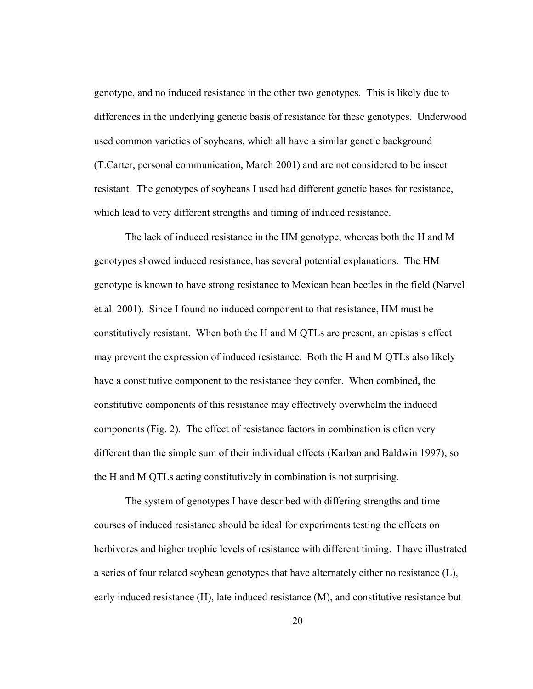genotype, and no induced resistance in the other two genotypes. This is likely due to differences in the underlying genetic basis of resistance for these genotypes. Underwood used common varieties of soybeans, which all have a similar genetic background (T.Carter, personal communication, March 2001) and are not considered to be insect resistant. The genotypes of soybeans I used had different genetic bases for resistance, which lead to very different strengths and timing of induced resistance.

The lack of induced resistance in the HM genotype, whereas both the H and M genotypes showed induced resistance, has several potential explanations. The HM genotype is known to have strong resistance to Mexican bean beetles in the field (Narvel et al. 2001). Since I found no induced component to that resistance, HM must be constitutively resistant. When both the H and M QTLs are present, an epistasis effect may prevent the expression of induced resistance. Both the H and M QTLs also likely have a constitutive component to the resistance they confer. When combined, the constitutive components of this resistance may effectively overwhelm the induced components (Fig. 2). The effect of resistance factors in combination is often very different than the simple sum of their individual effects (Karban and Baldwin 1997), so the H and M QTLs acting constitutively in combination is not surprising.

The system of genotypes I have described with differing strengths and time courses of induced resistance should be ideal for experiments testing the effects on herbivores and higher trophic levels of resistance with different timing. I have illustrated a series of four related soybean genotypes that have alternately either no resistance (L), early induced resistance (H), late induced resistance (M), and constitutive resistance but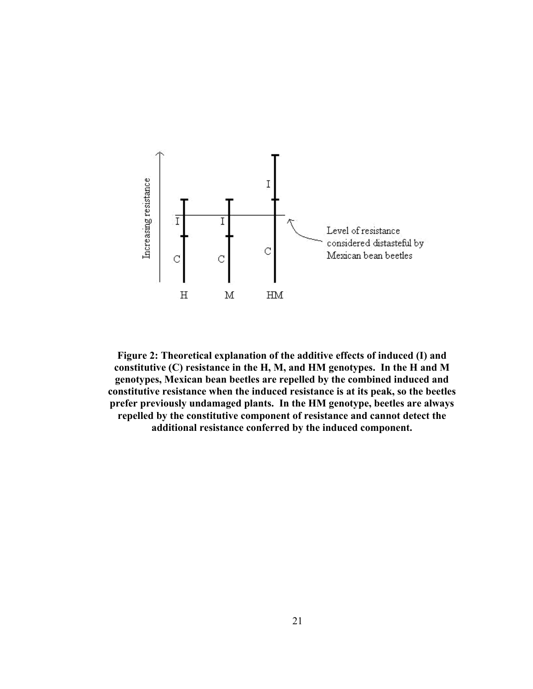<span id="page-33-0"></span>

**Figure 2: Theoretical explanation of the additive effects of induced (I) and constitutive (C) resistance in the H, M, and HM genotypes. In the H and M genotypes, Mexican bean beetles are repelled by the combined induced and constitutive resistance when the induced resistance is at its peak, so the beetles prefer previously undamaged plants. In the HM genotype, beetles are always repelled by the constitutive component of resistance and cannot detect the additional resistance conferred by the induced component.**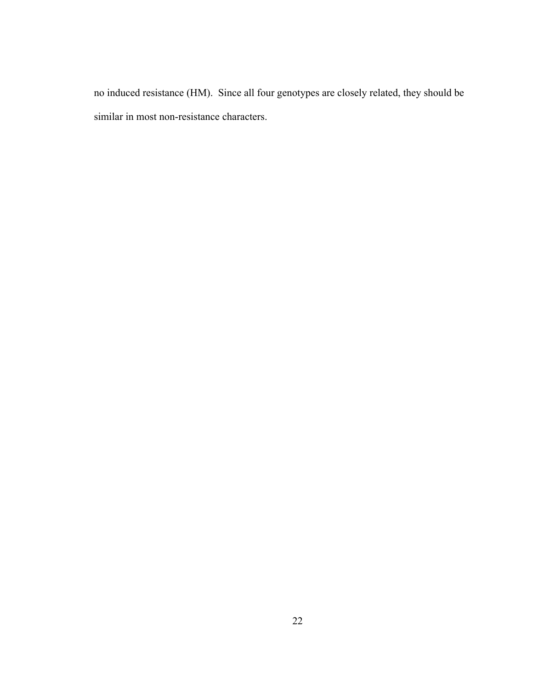no induced resistance (HM). Since all four genotypes are closely related, they should be similar in most non-resistance characters.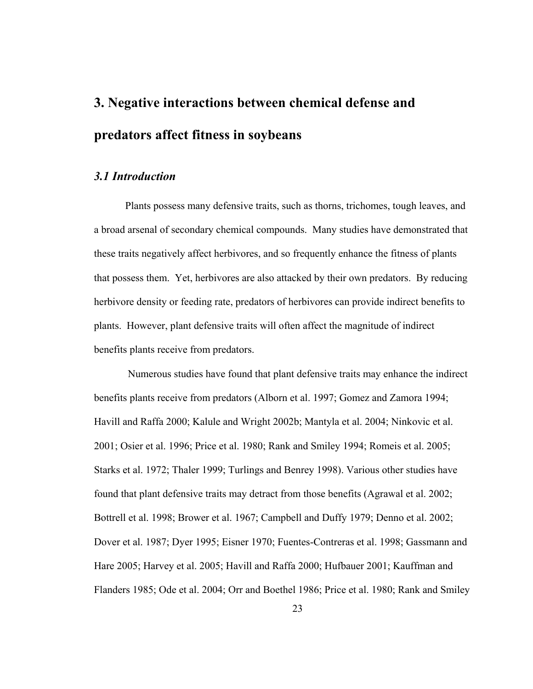# <span id="page-35-0"></span>**3. Negative interactions between chemical defense and predators affect fitness in soybeans**

#### *3.1 Introduction*

Plants possess many defensive traits, such as thorns, trichomes, tough leaves, and a broad arsenal of secondary chemical compounds. Many studies have demonstrated that these traits negatively affect herbivores, and so frequently enhance the fitness of plants that possess them. Yet, herbivores are also attacked by their own predators. By reducing herbivore density or feeding rate, predators of herbivores can provide indirect benefits to plants. However, plant defensive traits will often affect the magnitude of indirect benefits plants receive from predators.

 Numerous studies have found that plant defensive traits may enhance the indirect benefits plants receive from predators (Alborn et al. 1997; Gomez and Zamora 1994; Havill and Raffa 2000; Kalule and Wright 2002b; Mantyla et al. 2004; Ninkovic et al. 2001; Osier et al. 1996; Price et al. 1980; Rank and Smiley 1994; Romeis et al. 2005; Starks et al. 1972; Thaler 1999; Turlings and Benrey 1998). Various other studies have found that plant defensive traits may detract from those benefits (Agrawal et al. 2002; Bottrell et al. 1998; Brower et al. 1967; Campbell and Duffy 1979; Denno et al. 2002; Dover et al. 1987; Dyer 1995; Eisner 1970; Fuentes-Contreras et al. 1998; Gassmann and Hare 2005; Harvey et al. 2005; Havill and Raffa 2000; Hufbauer 2001; Kauffman and Flanders 1985; Ode et al. 2004; Orr and Boethel 1986; Price et al. 1980; Rank and Smiley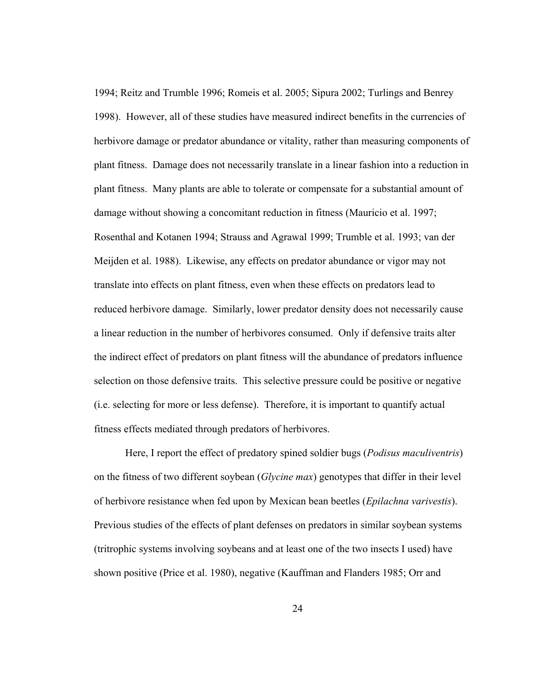1994; Reitz and Trumble 1996; Romeis et al. 2005; Sipura 2002; Turlings and Benrey 1998). However, all of these studies have measured indirect benefits in the currencies of herbivore damage or predator abundance or vitality, rather than measuring components of plant fitness. Damage does not necessarily translate in a linear fashion into a reduction in plant fitness. Many plants are able to tolerate or compensate for a substantial amount of damage without showing a concomitant reduction in fitness (Mauricio et al. 1997; Rosenthal and Kotanen 1994; Strauss and Agrawal 1999; Trumble et al. 1993; van der Meijden et al. 1988). Likewise, any effects on predator abundance or vigor may not translate into effects on plant fitness, even when these effects on predators lead to reduced herbivore damage. Similarly, lower predator density does not necessarily cause a linear reduction in the number of herbivores consumed. Only if defensive traits alter the indirect effect of predators on plant fitness will the abundance of predators influence selection on those defensive traits. This selective pressure could be positive or negative (i.e. selecting for more or less defense). Therefore, it is important to quantify actual fitness effects mediated through predators of herbivores.

Here, I report the effect of predatory spined soldier bugs (*Podisus maculiventris*) on the fitness of two different soybean (*Glycine max*) genotypes that differ in their level of herbivore resistance when fed upon by Mexican bean beetles (*Epilachna varivestis*). Previous studies of the effects of plant defenses on predators in similar soybean systems (tritrophic systems involving soybeans and at least one of the two insects I used) have shown positive (Price et al. 1980), negative (Kauffman and Flanders 1985; Orr and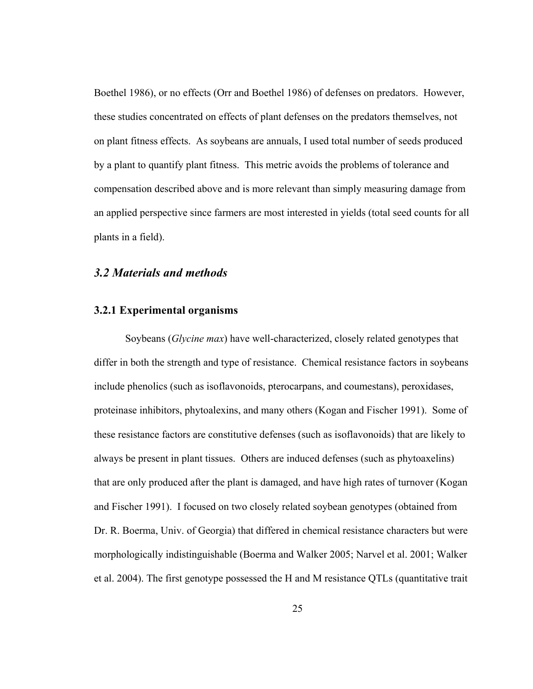Boethel 1986), or no effects (Orr and Boethel 1986) of defenses on predators. However, these studies concentrated on effects of plant defenses on the predators themselves, not on plant fitness effects. As soybeans are annuals, I used total number of seeds produced by a plant to quantify plant fitness. This metric avoids the problems of tolerance and compensation described above and is more relevant than simply measuring damage from an applied perspective since farmers are most interested in yields (total seed counts for all plants in a field).

# *3.2 Materials and methods*

#### **3.2.1 Experimental organisms**

Soybeans (*Glycine max*) have well-characterized, closely related genotypes that differ in both the strength and type of resistance. Chemical resistance factors in soybeans include phenolics (such as isoflavonoids, pterocarpans, and coumestans), peroxidases, proteinase inhibitors, phytoalexins, and many others (Kogan and Fischer 1991). Some of these resistance factors are constitutive defenses (such as isoflavonoids) that are likely to always be present in plant tissues. Others are induced defenses (such as phytoaxelins) that are only produced after the plant is damaged, and have high rates of turnover (Kogan and Fischer 1991). I focused on two closely related soybean genotypes (obtained from Dr. R. Boerma, Univ. of Georgia) that differed in chemical resistance characters but were morphologically indistinguishable (Boerma and Walker 2005; Narvel et al. 2001; Walker et al. 2004). The first genotype possessed the H and M resistance QTLs (quantitative trait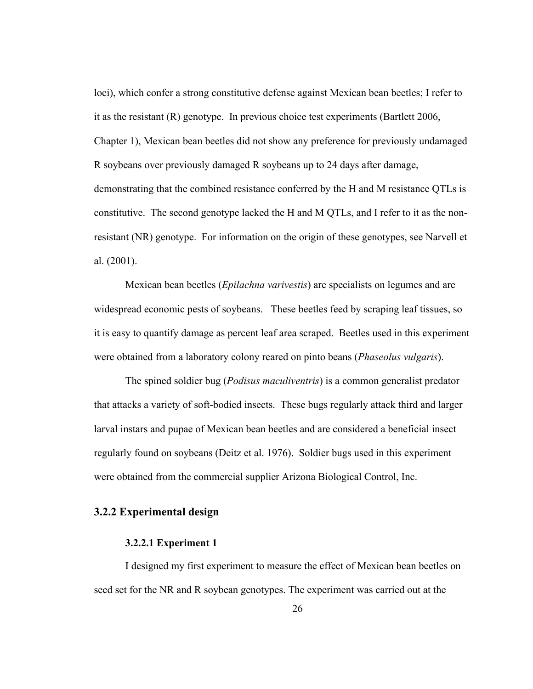loci), which confer a strong constitutive defense against Mexican bean beetles; I refer to it as the resistant (R) genotype. In previous choice test experiments (Bartlett 2006, Chapter 1), Mexican bean beetles did not show any preference for previously undamaged R soybeans over previously damaged R soybeans up to 24 days after damage, demonstrating that the combined resistance conferred by the H and M resistance QTLs is constitutive. The second genotype lacked the H and M QTLs, and I refer to it as the nonresistant (NR) genotype. For information on the origin of these genotypes, see Narvell et al. (2001).

Mexican bean beetles (*Epilachna varivestis*) are specialists on legumes and are widespread economic pests of soybeans. These beetles feed by scraping leaf tissues, so it is easy to quantify damage as percent leaf area scraped. Beetles used in this experiment were obtained from a laboratory colony reared on pinto beans (*Phaseolus vulgaris*).

The spined soldier bug (*Podisus maculiventris*) is a common generalist predator that attacks a variety of soft-bodied insects. These bugs regularly attack third and larger larval instars and pupae of Mexican bean beetles and are considered a beneficial insect regularly found on soybeans (Deitz et al. 1976). Soldier bugs used in this experiment were obtained from the commercial supplier Arizona Biological Control, Inc.

# **3.2.2 Experimental design**

#### **3.2.2.1 Experiment 1**

I designed my first experiment to measure the effect of Mexican bean beetles on seed set for the NR and R soybean genotypes. The experiment was carried out at the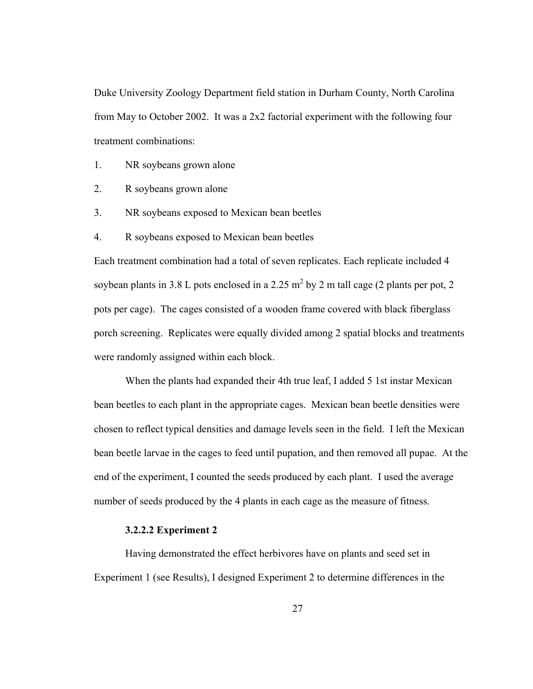Duke University Zoology Department field station in Durham County, North Carolina from May to October 2002. It was a 2x2 factorial experiment with the following four treatment combinations:

- 1. NR soybeans grown alone
- 2. R soybeans grown alone
- 3. NR soybeans exposed to Mexican bean beetles
- 4. R soybeans exposed to Mexican bean beetles

Each treatment combination had a total of seven replicates. Each replicate included 4 soybean plants in 3.8 L pots enclosed in a 2.25 m<sup>2</sup> by 2 m tall cage (2 plants per pot, 2 pots per cage). The cages consisted of a wooden frame covered with black fiberglass porch screening. Replicates were equally divided among 2 spatial blocks and treatments were randomly assigned within each block.

When the plants had expanded their 4th true leaf, I added 5 1st instar Mexican bean beetles to each plant in the appropriate cages. Mexican bean beetle densities were chosen to reflect typical densities and damage levels seen in the field. I left the Mexican bean beetle larvae in the cages to feed until pupation, and then removed all pupae. At the end of the experiment, I counted the seeds produced by each plant. I used the average number of seeds produced by the 4 plants in each cage as the measure of fitness.

## **3.2.2.2 Experiment 2**

Having demonstrated the effect herbivores have on plants and seed set in Experiment 1 (see Results), I designed Experiment 2 to determine differences in the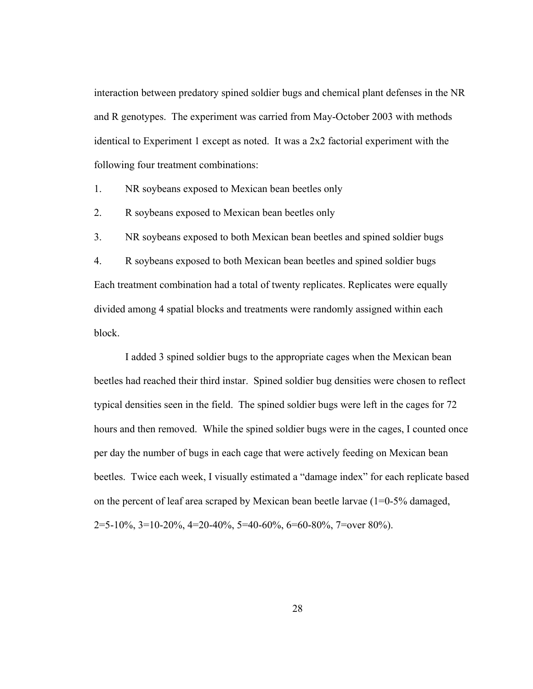interaction between predatory spined soldier bugs and chemical plant defenses in the NR and R genotypes. The experiment was carried from May-October 2003 with methods identical to Experiment 1 except as noted. It was a 2x2 factorial experiment with the following four treatment combinations:

1. NR soybeans exposed to Mexican bean beetles only

2. R soybeans exposed to Mexican bean beetles only

3. NR soybeans exposed to both Mexican bean beetles and spined soldier bugs

4. R soybeans exposed to both Mexican bean beetles and spined soldier bugs Each treatment combination had a total of twenty replicates. Replicates were equally divided among 4 spatial blocks and treatments were randomly assigned within each block.

I added 3 spined soldier bugs to the appropriate cages when the Mexican bean beetles had reached their third instar. Spined soldier bug densities were chosen to reflect typical densities seen in the field. The spined soldier bugs were left in the cages for 72 hours and then removed. While the spined soldier bugs were in the cages, I counted once per day the number of bugs in each cage that were actively feeding on Mexican bean beetles. Twice each week, I visually estimated a "damage index" for each replicate based on the percent of leaf area scraped by Mexican bean beetle larvae (1=0-5% damaged,  $2=5-10\%$ ,  $3=10-20\%$ ,  $4=20-40\%$ ,  $5=40-60\%$ ,  $6=60-80\%$ ,  $7=$ over  $80\%$ ).

28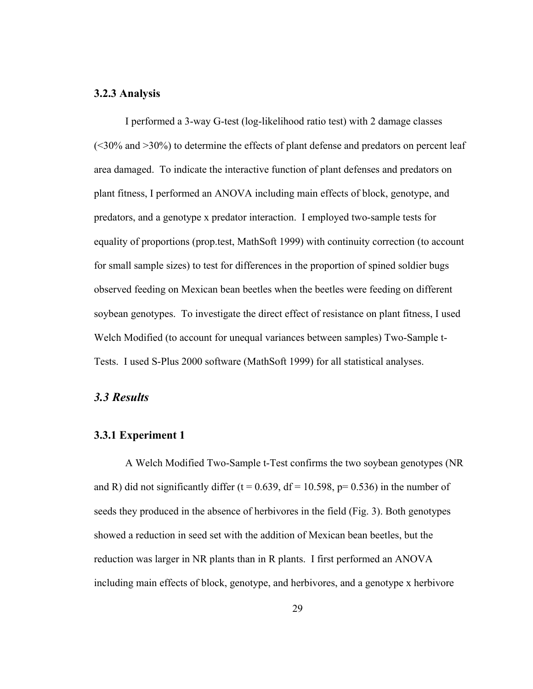#### **3.2.3 Analysis**

I performed a 3-way G-test (log-likelihood ratio test) with 2 damage classes  $(\leq 30\%$  and  $> 30\%)$  to determine the effects of plant defense and predators on percent leaf area damaged. To indicate the interactive function of plant defenses and predators on plant fitness, I performed an ANOVA including main effects of block, genotype, and predators, and a genotype x predator interaction. I employed two-sample tests for equality of proportions (prop.test, MathSoft 1999) with continuity correction (to account for small sample sizes) to test for differences in the proportion of spined soldier bugs observed feeding on Mexican bean beetles when the beetles were feeding on different soybean genotypes. To investigate the direct effect of resistance on plant fitness, I used Welch Modified (to account for unequal variances between samples) Two-Sample t-Tests. I used S-Plus 2000 software (MathSoft 1999) for all statistical analyses.

## *3.3 Results*

### **3.3.1 Experiment 1**

A Welch Modified Two-Sample t-Test confirms the two soybean genotypes (NR and R) did not significantly differ ( $t = 0.639$ ,  $df = 10.598$ ,  $p = 0.536$ ) in the number of seeds they produced in the absence of herbivores in the field (Fig. 3). Both genotypes showed a reduction in seed set with the addition of Mexican bean beetles, but the reduction was larger in NR plants than in R plants. I first performed an ANOVA including main effects of block, genotype, and herbivores, and a genotype x herbivore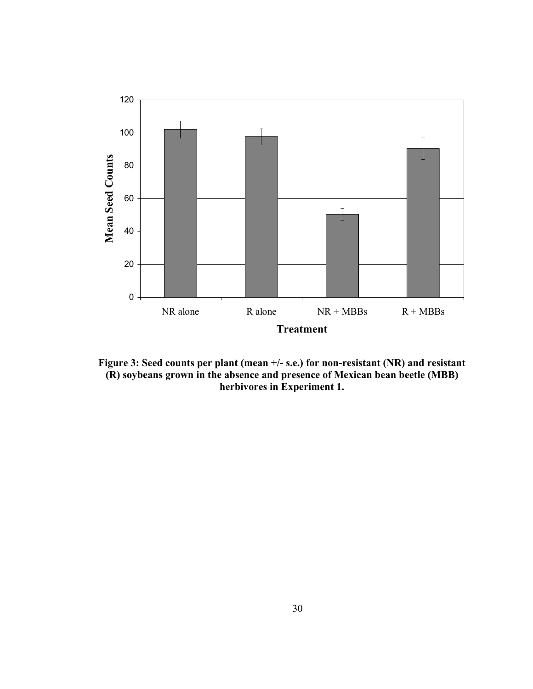

**Figure 3: Seed counts per plant (mean +/- s.e.) for non-resistant (NR) and resistant (R) soybeans grown in the absence and presence of Mexican bean beetle (MBB) herbivores in Experiment 1.**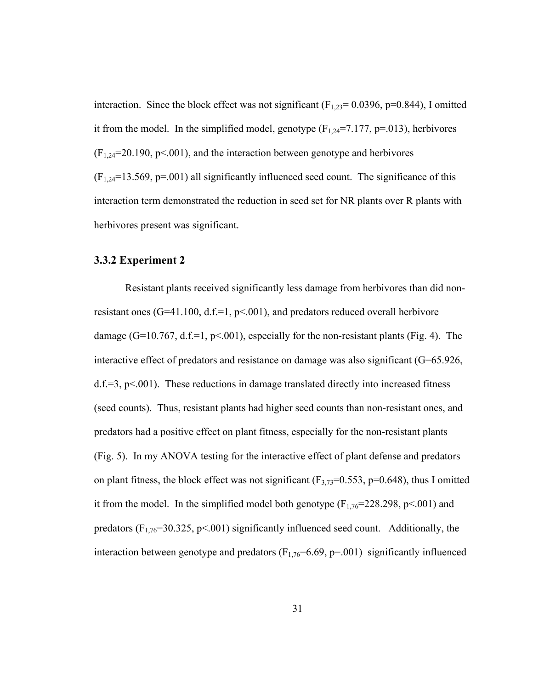interaction. Since the block effect was not significant  $(F_{1,23}=0.0396, p=0.844)$ , I omitted it from the model. In the simplified model, genotype  $(F_{1,24}=7.177, p=.013)$ , herbivores  $(F_{1,24}=20.190, p<.001)$ , and the interaction between genotype and herbivores  $(F<sub>1,24</sub>=13.569, p=.001)$  all significantly influenced seed count. The significance of this interaction term demonstrated the reduction in seed set for NR plants over R plants with herbivores present was significant.

## **3.3.2 Experiment 2**

Resistant plants received significantly less damage from herbivores than did nonresistant ones  $(G=41.100, d.f=1, p<0.001)$ , and predators reduced overall herbivore damage (G=10.767, d.f.=1,  $p<0.01$ ), especially for the non-resistant plants (Fig. 4). The interactive effect of predators and resistance on damage was also significant (G=65.926,  $d.f.=3, p<001$ . These reductions in damage translated directly into increased fitness (seed counts). Thus, resistant plants had higher seed counts than non-resistant ones, and predators had a positive effect on plant fitness, especially for the non-resistant plants (Fig. 5). In my ANOVA testing for the interactive effect of plant defense and predators on plant fitness, the block effect was not significant  $(F_{3,73}=0.553, p=0.648)$ , thus I omitted it from the model. In the simplified model both genotype  $(F_{1.76} = 228.298, p \le 0.001)$  and predators  $(F_{1,76}=30.325, p<0.01)$  significantly influenced seed count. Additionally, the interaction between genotype and predators  $(F_{1,76}=6.69, p=.001)$  significantly influenced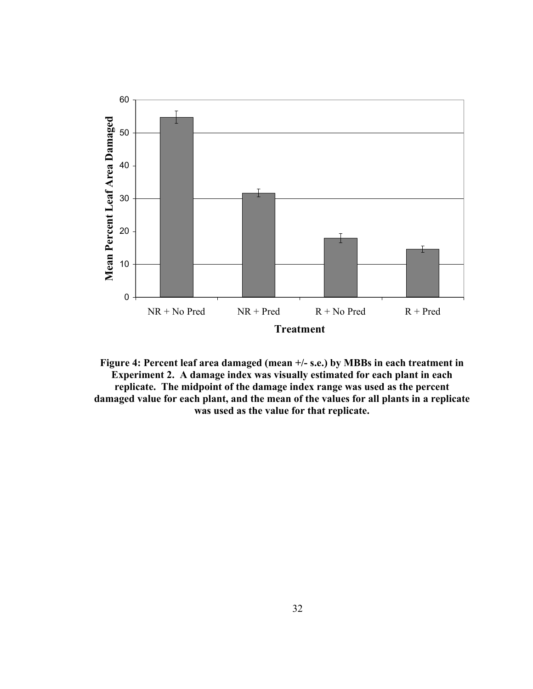

**Figure 4: Percent leaf area damaged (mean +/- s.e.) by MBBs in each treatment in Experiment 2. A damage index was visually estimated for each plant in each replicate. The midpoint of the damage index range was used as the percent damaged value for each plant, and the mean of the values for all plants in a replicate was used as the value for that replicate.**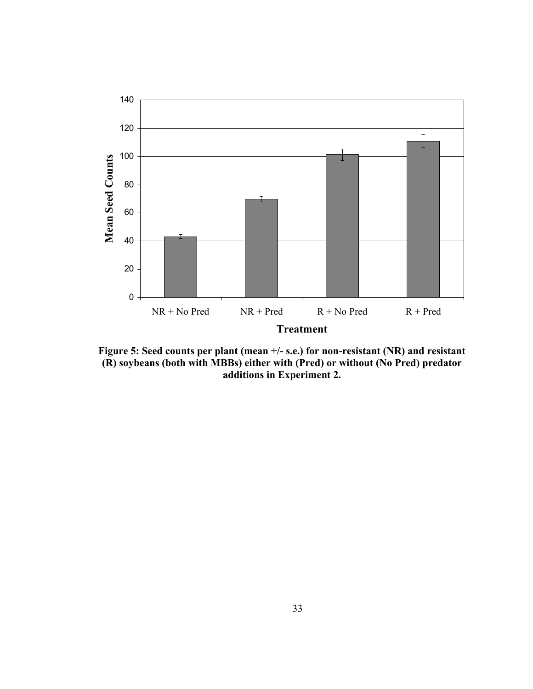

**Figure 5: Seed counts per plant (mean +/- s.e.) for non-resistant (NR) and resistant (R) soybeans (both with MBBs) either with (Pred) or without (No Pred) predator additions in Experiment 2.**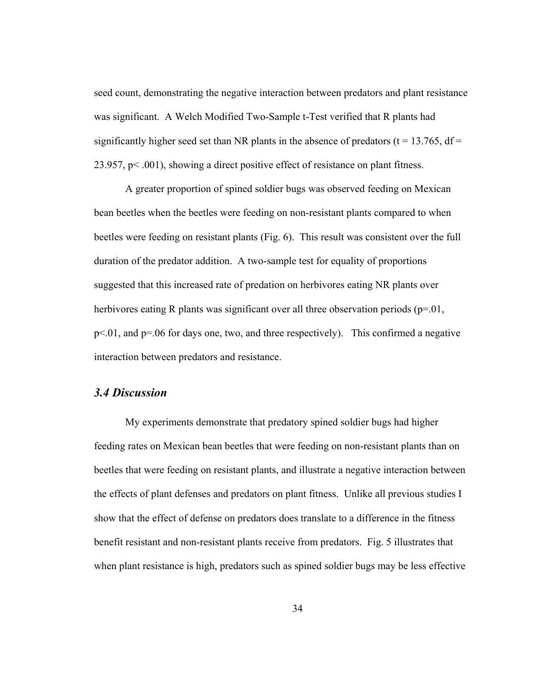seed count, demonstrating the negative interaction between predators and plant resistance was significant. A Welch Modified Two-Sample t-Test verified that R plants had significantly higher seed set than NR plants in the absence of predators ( $t = 13.765$ ,  $df =$ 23.957, p< .001), showing a direct positive effect of resistance on plant fitness.

A greater proportion of spined soldier bugs was observed feeding on Mexican bean beetles when the beetles were feeding on non-resistant plants compared to when beetles were feeding on resistant plants (Fig. 6). This result was consistent over the full duration of the predator addition. A two-sample test for equality of proportions suggested that this increased rate of predation on herbivores eating NR plants over herbivores eating R plants was significant over all three observation periods (p=.01,  $p<.01$ , and  $p=.06$  for days one, two, and three respectively). This confirmed a negative interaction between predators and resistance.

## *3.4 Discussion*

My experiments demonstrate that predatory spined soldier bugs had higher feeding rates on Mexican bean beetles that were feeding on non-resistant plants than on beetles that were feeding on resistant plants, and illustrate a negative interaction between the effects of plant defenses and predators on plant fitness. Unlike all previous studies I show that the effect of defense on predators does translate to a difference in the fitness benefit resistant and non-resistant plants receive from predators. Fig. 5 illustrates that when plant resistance is high, predators such as spined soldier bugs may be less effective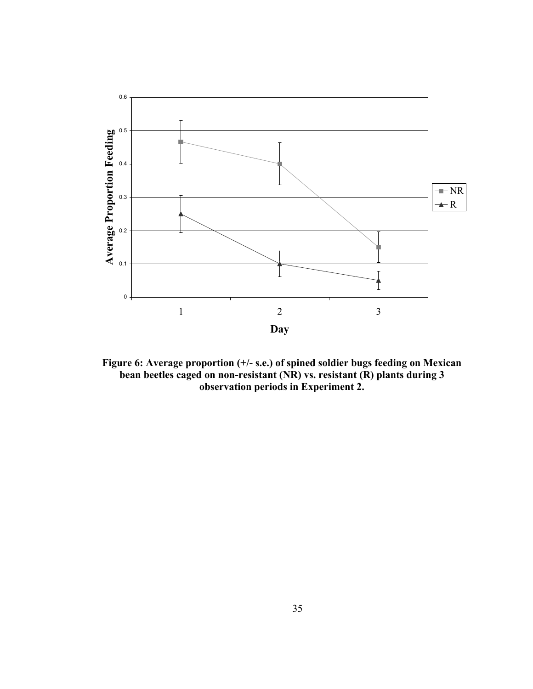

**Figure 6: Average proportion (+/- s.e.) of spined soldier bugs feeding on Mexican bean beetles caged on non-resistant (NR) vs. resistant (R) plants during 3 observation periods in Experiment 2.**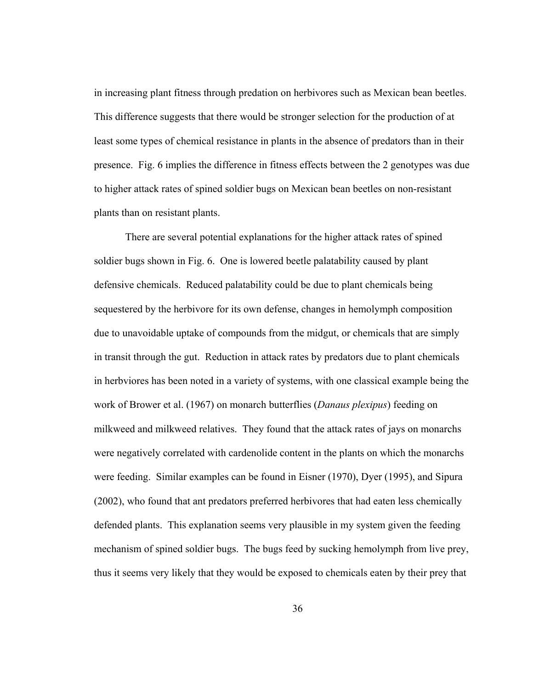in increasing plant fitness through predation on herbivores such as Mexican bean beetles. This difference suggests that there would be stronger selection for the production of at least some types of chemical resistance in plants in the absence of predators than in their presence. Fig. 6 implies the difference in fitness effects between the 2 genotypes was due to higher attack rates of spined soldier bugs on Mexican bean beetles on non-resistant plants than on resistant plants.

There are several potential explanations for the higher attack rates of spined soldier bugs shown in Fig. 6. One is lowered beetle palatability caused by plant defensive chemicals. Reduced palatability could be due to plant chemicals being sequestered by the herbivore for its own defense, changes in hemolymph composition due to unavoidable uptake of compounds from the midgut, or chemicals that are simply in transit through the gut. Reduction in attack rates by predators due to plant chemicals in herbviores has been noted in a variety of systems, with one classical example being the work of Brower et al. (1967) on monarch butterflies (*Danaus plexipus*) feeding on milkweed and milkweed relatives. They found that the attack rates of jays on monarchs were negatively correlated with cardenolide content in the plants on which the monarchs were feeding. Similar examples can be found in Eisner (1970), Dyer (1995), and Sipura (2002), who found that ant predators preferred herbivores that had eaten less chemically defended plants. This explanation seems very plausible in my system given the feeding mechanism of spined soldier bugs. The bugs feed by sucking hemolymph from live prey, thus it seems very likely that they would be exposed to chemicals eaten by their prey that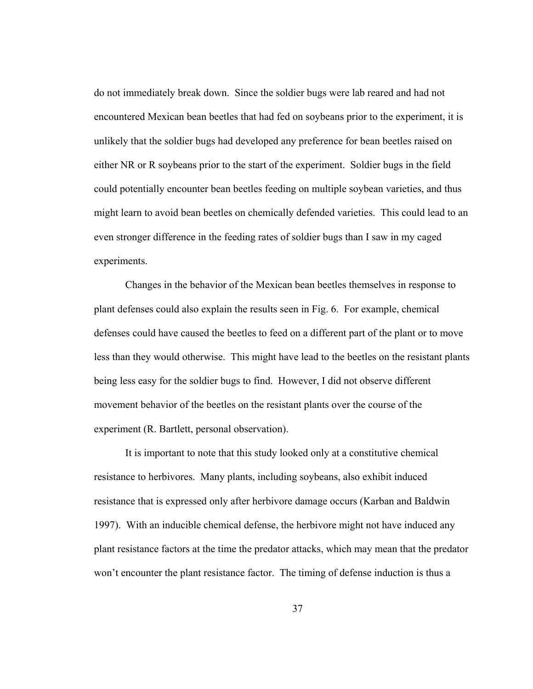do not immediately break down. Since the soldier bugs were lab reared and had not encountered Mexican bean beetles that had fed on soybeans prior to the experiment, it is unlikely that the soldier bugs had developed any preference for bean beetles raised on either NR or R soybeans prior to the start of the experiment. Soldier bugs in the field could potentially encounter bean beetles feeding on multiple soybean varieties, and thus might learn to avoid bean beetles on chemically defended varieties. This could lead to an even stronger difference in the feeding rates of soldier bugs than I saw in my caged experiments.

Changes in the behavior of the Mexican bean beetles themselves in response to plant defenses could also explain the results seen in Fig. 6. For example, chemical defenses could have caused the beetles to feed on a different part of the plant or to move less than they would otherwise. This might have lead to the beetles on the resistant plants being less easy for the soldier bugs to find. However, I did not observe different movement behavior of the beetles on the resistant plants over the course of the experiment (R. Bartlett, personal observation).

It is important to note that this study looked only at a constitutive chemical resistance to herbivores. Many plants, including soybeans, also exhibit induced resistance that is expressed only after herbivore damage occurs (Karban and Baldwin 1997). With an inducible chemical defense, the herbivore might not have induced any plant resistance factors at the time the predator attacks, which may mean that the predator won't encounter the plant resistance factor. The timing of defense induction is thus a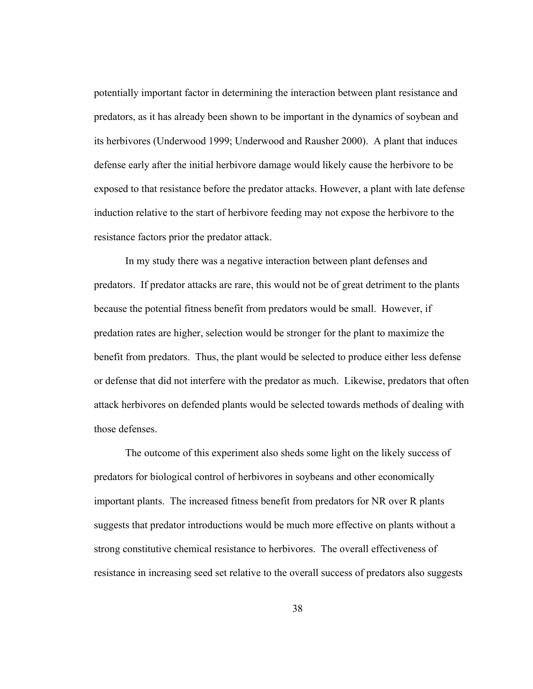potentially important factor in determining the interaction between plant resistance and predators, as it has already been shown to be important in the dynamics of soybean and its herbivores (Underwood 1999; Underwood and Rausher 2000). A plant that induces defense early after the initial herbivore damage would likely cause the herbivore to be exposed to that resistance before the predator attacks. However, a plant with late defense induction relative to the start of herbivore feeding may not expose the herbivore to the resistance factors prior the predator attack.

In my study there was a negative interaction between plant defenses and predators. If predator attacks are rare, this would not be of great detriment to the plants because the potential fitness benefit from predators would be small. However, if predation rates are higher, selection would be stronger for the plant to maximize the benefit from predators. Thus, the plant would be selected to produce either less defense or defense that did not interfere with the predator as much. Likewise, predators that often attack herbivores on defended plants would be selected towards methods of dealing with those defenses.

The outcome of this experiment also sheds some light on the likely success of predators for biological control of herbivores in soybeans and other economically important plants. The increased fitness benefit from predators for NR over R plants suggests that predator introductions would be much more effective on plants without a strong constitutive chemical resistance to herbivores. The overall effectiveness of resistance in increasing seed set relative to the overall success of predators also suggests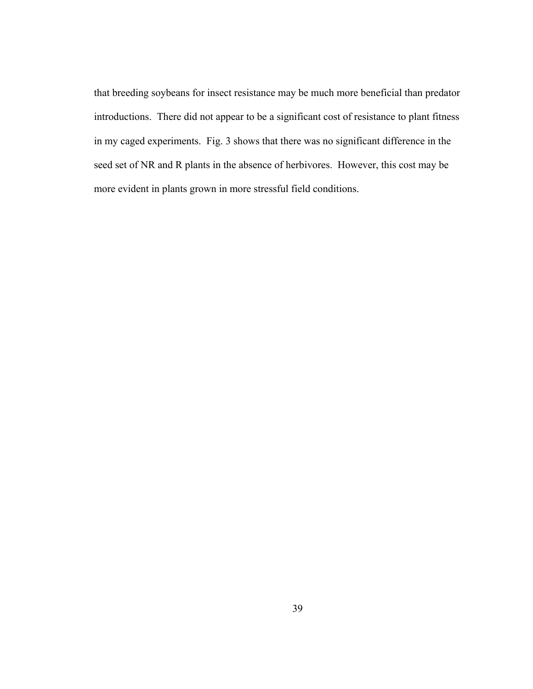that breeding soybeans for insect resistance may be much more beneficial than predator introductions. There did not appear to be a significant cost of resistance to plant fitness in my caged experiments. Fig. 3 shows that there was no significant difference in the seed set of NR and R plants in the absence of herbivores. However, this cost may be more evident in plants grown in more stressful field conditions.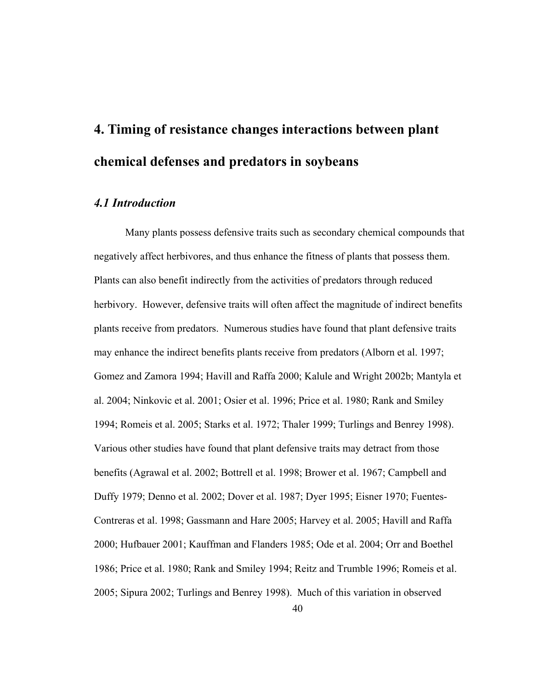# **4. Timing of resistance changes interactions between plant chemical defenses and predators in soybeans**

# *4.1 Introduction*

Many plants possess defensive traits such as secondary chemical compounds that negatively affect herbivores, and thus enhance the fitness of plants that possess them. Plants can also benefit indirectly from the activities of predators through reduced herbivory. However, defensive traits will often affect the magnitude of indirect benefits plants receive from predators. Numerous studies have found that plant defensive traits may enhance the indirect benefits plants receive from predators (Alborn et al. 1997; Gomez and Zamora 1994; Havill and Raffa 2000; Kalule and Wright 2002b; Mantyla et al. 2004; Ninkovic et al. 2001; Osier et al. 1996; Price et al. 1980; Rank and Smiley 1994; Romeis et al. 2005; Starks et al. 1972; Thaler 1999; Turlings and Benrey 1998). Various other studies have found that plant defensive traits may detract from those benefits (Agrawal et al. 2002; Bottrell et al. 1998; Brower et al. 1967; Campbell and Duffy 1979; Denno et al. 2002; Dover et al. 1987; Dyer 1995; Eisner 1970; Fuentes-Contreras et al. 1998; Gassmann and Hare 2005; Harvey et al. 2005; Havill and Raffa 2000; Hufbauer 2001; Kauffman and Flanders 1985; Ode et al. 2004; Orr and Boethel 1986; Price et al. 1980; Rank and Smiley 1994; Reitz and Trumble 1996; Romeis et al. 2005; Sipura 2002; Turlings and Benrey 1998). Much of this variation in observed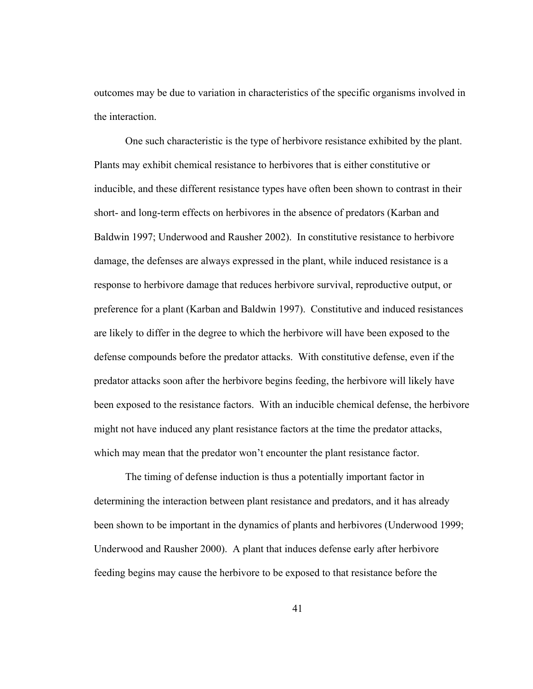outcomes may be due to variation in characteristics of the specific organisms involved in the interaction.

One such characteristic is the type of herbivore resistance exhibited by the plant. Plants may exhibit chemical resistance to herbivores that is either constitutive or inducible, and these different resistance types have often been shown to contrast in their short- and long-term effects on herbivores in the absence of predators (Karban and Baldwin 1997; Underwood and Rausher 2002). In constitutive resistance to herbivore damage, the defenses are always expressed in the plant, while induced resistance is a response to herbivore damage that reduces herbivore survival, reproductive output, or preference for a plant (Karban and Baldwin 1997). Constitutive and induced resistances are likely to differ in the degree to which the herbivore will have been exposed to the defense compounds before the predator attacks. With constitutive defense, even if the predator attacks soon after the herbivore begins feeding, the herbivore will likely have been exposed to the resistance factors. With an inducible chemical defense, the herbivore might not have induced any plant resistance factors at the time the predator attacks, which may mean that the predator won't encounter the plant resistance factor.

The timing of defense induction is thus a potentially important factor in determining the interaction between plant resistance and predators, and it has already been shown to be important in the dynamics of plants and herbivores (Underwood 1999; Underwood and Rausher 2000). A plant that induces defense early after herbivore feeding begins may cause the herbivore to be exposed to that resistance before the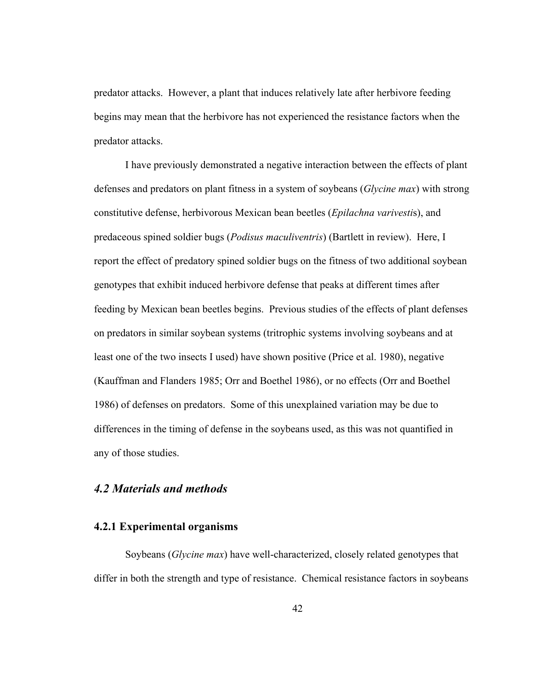predator attacks. However, a plant that induces relatively late after herbivore feeding begins may mean that the herbivore has not experienced the resistance factors when the predator attacks.

I have previously demonstrated a negative interaction between the effects of plant defenses and predators on plant fitness in a system of soybeans (*Glycine max*) with strong constitutive defense, herbivorous Mexican bean beetles (*Epilachna varivesti*s), and predaceous spined soldier bugs (*Podisus maculiventris*) (Bartlett in review). Here, I report the effect of predatory spined soldier bugs on the fitness of two additional soybean genotypes that exhibit induced herbivore defense that peaks at different times after feeding by Mexican bean beetles begins. Previous studies of the effects of plant defenses on predators in similar soybean systems (tritrophic systems involving soybeans and at least one of the two insects I used) have shown positive (Price et al. 1980), negative (Kauffman and Flanders 1985; Orr and Boethel 1986), or no effects (Orr and Boethel 1986) of defenses on predators. Some of this unexplained variation may be due to differences in the timing of defense in the soybeans used, as this was not quantified in any of those studies.

# *4.2 Materials and methods*

## **4.2.1 Experimental organisms**

Soybeans (*Glycine max*) have well-characterized, closely related genotypes that differ in both the strength and type of resistance. Chemical resistance factors in soybeans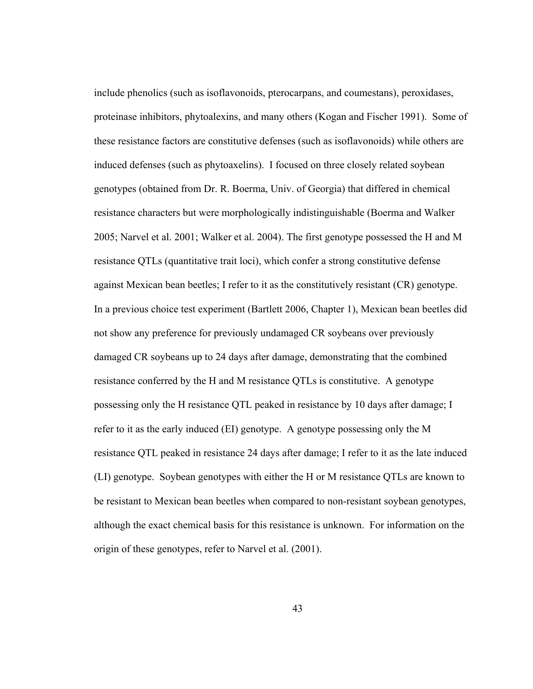include phenolics (such as isoflavonoids, pterocarpans, and coumestans), peroxidases, proteinase inhibitors, phytoalexins, and many others (Kogan and Fischer 1991). Some of these resistance factors are constitutive defenses (such as isoflavonoids) while others are induced defenses (such as phytoaxelins). I focused on three closely related soybean genotypes (obtained from Dr. R. Boerma, Univ. of Georgia) that differed in chemical resistance characters but were morphologically indistinguishable (Boerma and Walker 2005; Narvel et al. 2001; Walker et al. 2004). The first genotype possessed the H and M resistance QTLs (quantitative trait loci), which confer a strong constitutive defense against Mexican bean beetles; I refer to it as the constitutively resistant (CR) genotype. In a previous choice test experiment (Bartlett 2006, Chapter 1), Mexican bean beetles did not show any preference for previously undamaged CR soybeans over previously damaged CR soybeans up to 24 days after damage, demonstrating that the combined resistance conferred by the H and M resistance QTLs is constitutive. A genotype possessing only the H resistance QTL peaked in resistance by 10 days after damage; I refer to it as the early induced (EI) genotype. A genotype possessing only the M resistance QTL peaked in resistance 24 days after damage; I refer to it as the late induced (LI) genotype. Soybean genotypes with either the H or M resistance QTLs are known to be resistant to Mexican bean beetles when compared to non-resistant soybean genotypes, although the exact chemical basis for this resistance is unknown. For information on the origin of these genotypes, refer to Narvel et al. (2001).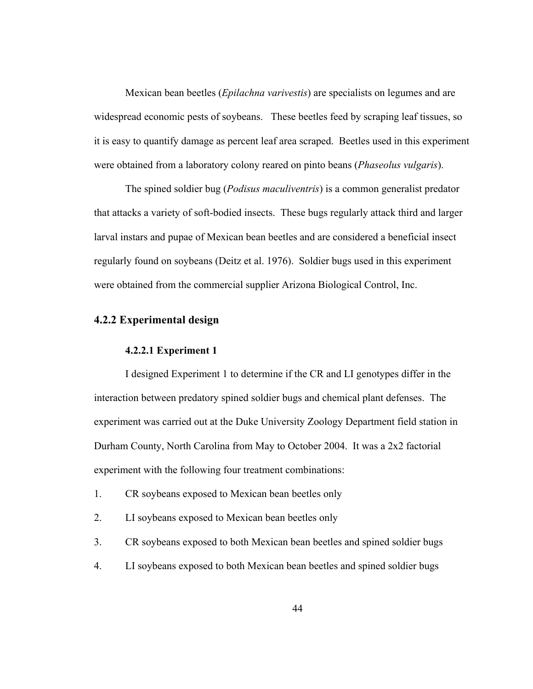Mexican bean beetles (*Epilachna varivestis*) are specialists on legumes and are widespread economic pests of soybeans. These beetles feed by scraping leaf tissues, so it is easy to quantify damage as percent leaf area scraped. Beetles used in this experiment were obtained from a laboratory colony reared on pinto beans (*Phaseolus vulgaris*).

The spined soldier bug (*Podisus maculiventris*) is a common generalist predator that attacks a variety of soft-bodied insects. These bugs regularly attack third and larger larval instars and pupae of Mexican bean beetles and are considered a beneficial insect regularly found on soybeans (Deitz et al. 1976). Soldier bugs used in this experiment were obtained from the commercial supplier Arizona Biological Control, Inc.

#### **4.2.2 Experimental design**

#### **4.2.2.1 Experiment 1**

I designed Experiment 1 to determine if the CR and LI genotypes differ in the interaction between predatory spined soldier bugs and chemical plant defenses. The experiment was carried out at the Duke University Zoology Department field station in Durham County, North Carolina from May to October 2004. It was a 2x2 factorial experiment with the following four treatment combinations:

- 1. CR soybeans exposed to Mexican bean beetles only
- 2. LI soybeans exposed to Mexican bean beetles only
- 3. CR soybeans exposed to both Mexican bean beetles and spined soldier bugs
- 4. LI soybeans exposed to both Mexican bean beetles and spined soldier bugs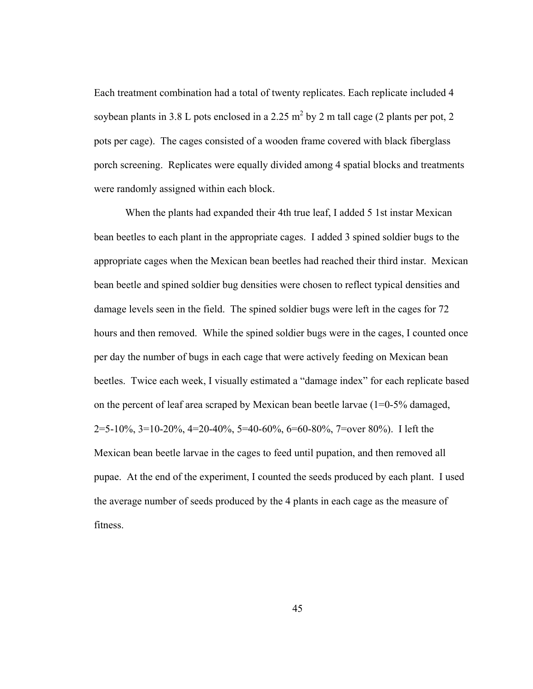Each treatment combination had a total of twenty replicates. Each replicate included 4 soybean plants in 3.8 L pots enclosed in a 2.25 m<sup>2</sup> by 2 m tall cage (2 plants per pot, 2 pots per cage). The cages consisted of a wooden frame covered with black fiberglass porch screening. Replicates were equally divided among 4 spatial blocks and treatments were randomly assigned within each block.

When the plants had expanded their 4th true leaf, I added 5 1st instar Mexican bean beetles to each plant in the appropriate cages. I added 3 spined soldier bugs to the appropriate cages when the Mexican bean beetles had reached their third instar. Mexican bean beetle and spined soldier bug densities were chosen to reflect typical densities and damage levels seen in the field. The spined soldier bugs were left in the cages for 72 hours and then removed. While the spined soldier bugs were in the cages, I counted once per day the number of bugs in each cage that were actively feeding on Mexican bean beetles. Twice each week, I visually estimated a "damage index" for each replicate based on the percent of leaf area scraped by Mexican bean beetle larvae (1=0-5% damaged, 2=5-10%, 3=10-20%, 4=20-40%, 5=40-60%, 6=60-80%, 7=over 80%). I left the Mexican bean beetle larvae in the cages to feed until pupation, and then removed all pupae. At the end of the experiment, I counted the seeds produced by each plant. I used the average number of seeds produced by the 4 plants in each cage as the measure of fitness.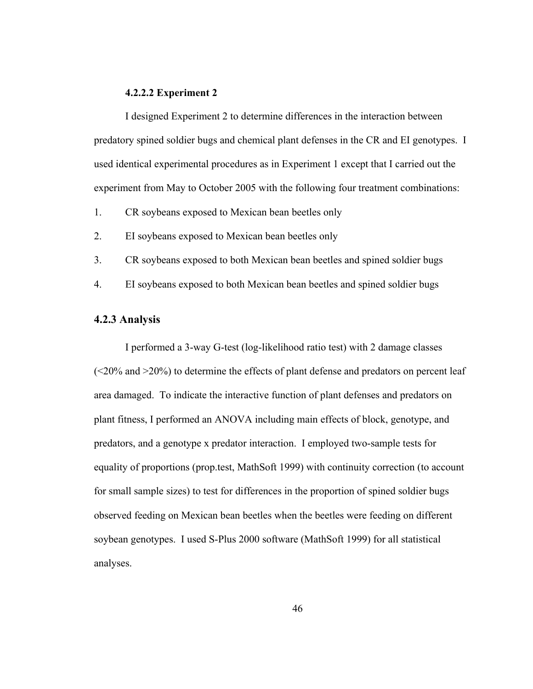#### **4.2.2.2 Experiment 2**

I designed Experiment 2 to determine differences in the interaction between predatory spined soldier bugs and chemical plant defenses in the CR and EI genotypes. I used identical experimental procedures as in Experiment 1 except that I carried out the experiment from May to October 2005 with the following four treatment combinations:

- 1. CR soybeans exposed to Mexican bean beetles only
- 2. EI soybeans exposed to Mexican bean beetles only
- 3. CR soybeans exposed to both Mexican bean beetles and spined soldier bugs
- 4. EI soybeans exposed to both Mexican bean beetles and spined soldier bugs

#### **4.2.3 Analysis**

I performed a 3-way G-test (log-likelihood ratio test) with 2 damage classes  $(\leq 20\%$  and  $\geq 20\%)$  to determine the effects of plant defense and predators on percent leaf area damaged. To indicate the interactive function of plant defenses and predators on plant fitness, I performed an ANOVA including main effects of block, genotype, and predators, and a genotype x predator interaction. I employed two-sample tests for equality of proportions (prop.test, MathSoft 1999) with continuity correction (to account for small sample sizes) to test for differences in the proportion of spined soldier bugs observed feeding on Mexican bean beetles when the beetles were feeding on different soybean genotypes. I used S-Plus 2000 software (MathSoft 1999) for all statistical analyses.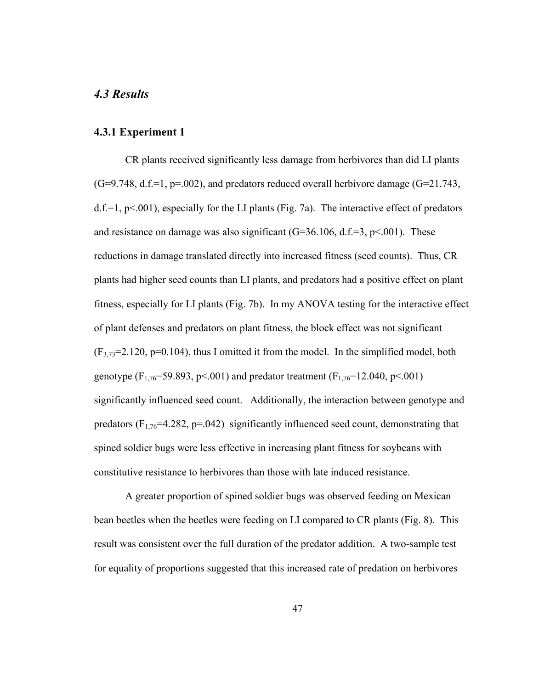# *4.3 Results*

#### **4.3.1 Experiment 1**

CR plants received significantly less damage from herbivores than did LI plants  $(G=9.748, d.f.=1, p=.002)$ , and predators reduced overall herbivore damage  $(G=21.743,$  $d.f.=1, p<0.001$ , especially for the LI plants (Fig. 7a). The interactive effect of predators and resistance on damage was also significant  $(G=36.106, d.f = 3, p < 001)$ . These reductions in damage translated directly into increased fitness (seed counts). Thus, CR plants had higher seed counts than LI plants, and predators had a positive effect on plant fitness, especially for LI plants (Fig. 7b). In my ANOVA testing for the interactive effect of plant defenses and predators on plant fitness, the block effect was not significant  $(F_{3,73}=2.120, p=0.104)$ , thus I omitted it from the model. In the simplified model, both genotype (F<sub>1,76</sub>=59.893, p<.001) and predator treatment (F<sub>1,76</sub>=12.040, p<.001) significantly influenced seed count. Additionally, the interaction between genotype and predators  $(F_{1,76} = 4.282, p = .042)$  significantly influenced seed count, demonstrating that spined soldier bugs were less effective in increasing plant fitness for soybeans with constitutive resistance to herbivores than those with late induced resistance.

A greater proportion of spined soldier bugs was observed feeding on Mexican bean beetles when the beetles were feeding on LI compared to CR plants (Fig. 8). This result was consistent over the full duration of the predator addition. A two-sample test for equality of proportions suggested that this increased rate of predation on herbivores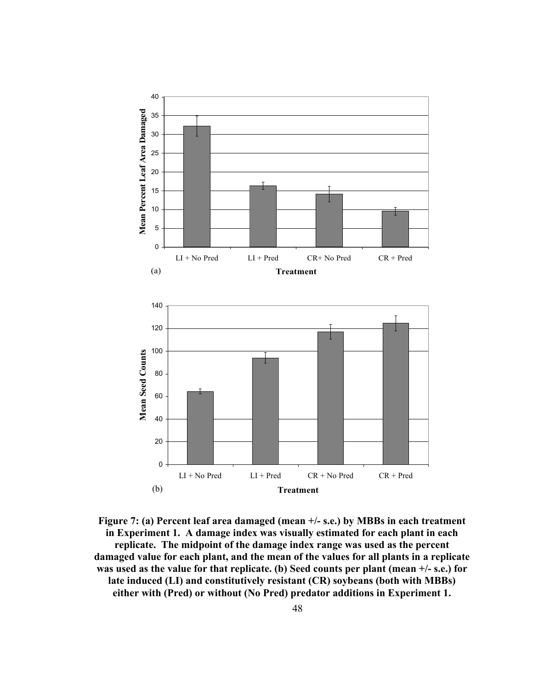

**Figure 7: (a) Percent leaf area damaged (mean +/- s.e.) by MBBs in each treatment in Experiment 1. A damage index was visually estimated for each plant in each replicate. The midpoint of the damage index range was used as the percent damaged value for each plant, and the mean of the values for all plants in a replicate was used as the value for that replicate. (b) Seed counts per plant (mean +/- s.e.) for late induced (LI) and constitutively resistant (CR) soybeans (both with MBBs) either with (Pred) or without (No Pred) predator additions in Experiment 1.**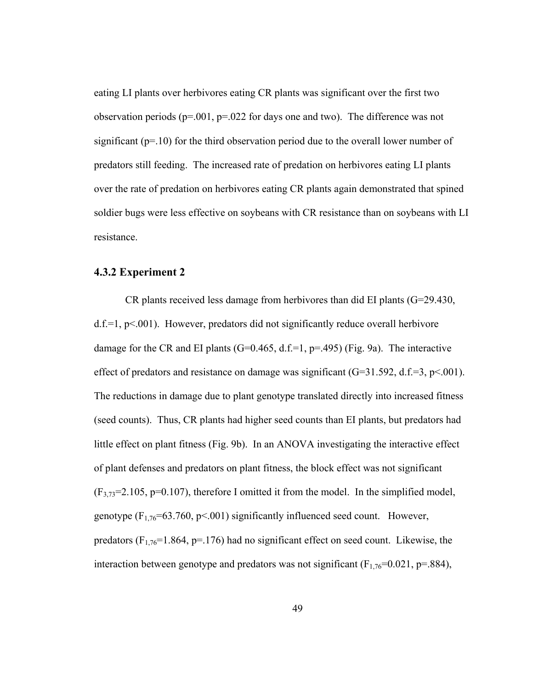eating LI plants over herbivores eating CR plants was significant over the first two observation periods ( $p=.001$ ,  $p=.022$  for days one and two). The difference was not significant ( $p=10$ ) for the third observation period due to the overall lower number of predators still feeding. The increased rate of predation on herbivores eating LI plants over the rate of predation on herbivores eating CR plants again demonstrated that spined soldier bugs were less effective on soybeans with CR resistance than on soybeans with LI resistance.

## **4.3.2 Experiment 2**

CR plants received less damage from herbivores than did EI plants (G=29.430,  $d.f.=1, p<0.001$ . However, predators did not significantly reduce overall herbivore damage for the CR and EI plants (G=0.465, d.f.=1,  $p=0.495$ ) (Fig. 9a). The interactive effect of predators and resistance on damage was significant (G=31.592, d.f.=3, p<.001). The reductions in damage due to plant genotype translated directly into increased fitness (seed counts). Thus, CR plants had higher seed counts than EI plants, but predators had little effect on plant fitness (Fig. 9b). In an ANOVA investigating the interactive effect of plant defenses and predators on plant fitness, the block effect was not significant  $(F_{3,73}=2.105, p=0.107)$ , therefore I omitted it from the model. In the simplified model, genotype  $(F_{1,76} = 63.760, p \le 0.001)$  significantly influenced seed count. However, predators ( $F_{1,76}$ =1.864, p=.176) had no significant effect on seed count. Likewise, the interaction between genotype and predators was not significant ( $F_{1,76}=0.021$ , p=.884),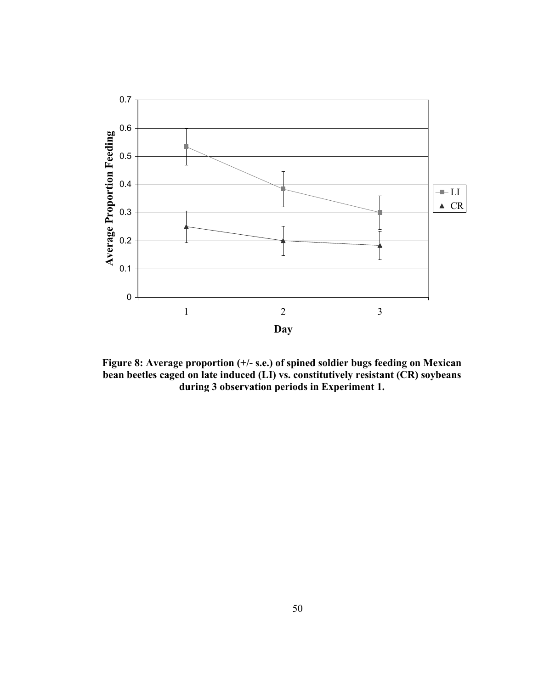

**Figure 8: Average proportion (+/- s.e.) of spined soldier bugs feeding on Mexican bean beetles caged on late induced (LI) vs. constitutively resistant (CR) soybeans during 3 observation periods in Experiment 1.**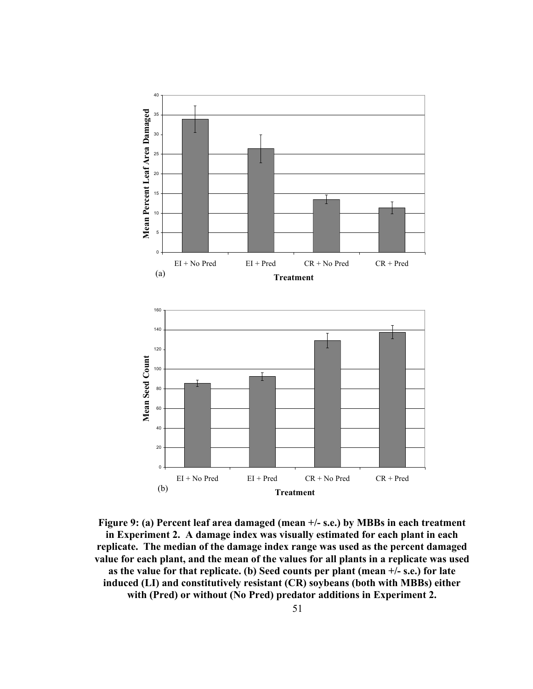

**Figure 9: (a) Percent leaf area damaged (mean +/- s.e.) by MBBs in each treatment in Experiment 2. A damage index was visually estimated for each plant in each replicate. The median of the damage index range was used as the percent damaged value for each plant, and the mean of the values for all plants in a replicate was used as the value for that replicate. (b) Seed counts per plant (mean +/- s.e.) for late induced (LI) and constitutively resistant (CR) soybeans (both with MBBs) either with (Pred) or without (No Pred) predator additions in Experiment 2.**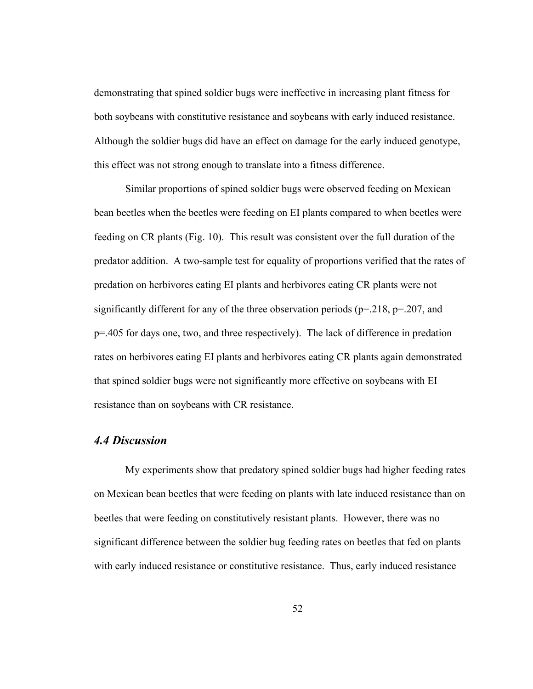demonstrating that spined soldier bugs were ineffective in increasing plant fitness for both soybeans with constitutive resistance and soybeans with early induced resistance. Although the soldier bugs did have an effect on damage for the early induced genotype, this effect was not strong enough to translate into a fitness difference.

Similar proportions of spined soldier bugs were observed feeding on Mexican bean beetles when the beetles were feeding on EI plants compared to when beetles were feeding on CR plants (Fig. 10). This result was consistent over the full duration of the predator addition. A two-sample test for equality of proportions verified that the rates of predation on herbivores eating EI plants and herbivores eating CR plants were not significantly different for any of the three observation periods ( $p=218$ ,  $p=207$ , and p=.405 for days one, two, and three respectively). The lack of difference in predation rates on herbivores eating EI plants and herbivores eating CR plants again demonstrated that spined soldier bugs were not significantly more effective on soybeans with EI resistance than on soybeans with CR resistance.

## *4.4 Discussion*

My experiments show that predatory spined soldier bugs had higher feeding rates on Mexican bean beetles that were feeding on plants with late induced resistance than on beetles that were feeding on constitutively resistant plants. However, there was no significant difference between the soldier bug feeding rates on beetles that fed on plants with early induced resistance or constitutive resistance. Thus, early induced resistance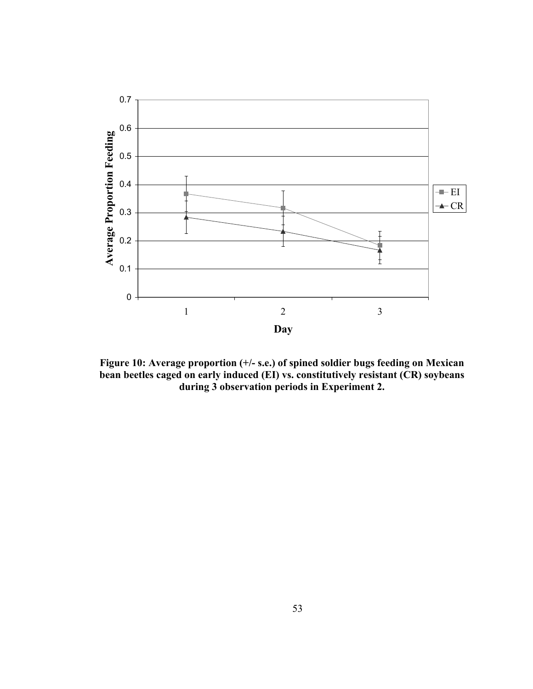

**Figure 10: Average proportion (+/- s.e.) of spined soldier bugs feeding on Mexican bean beetles caged on early induced (EI) vs. constitutively resistant (CR) soybeans during 3 observation periods in Experiment 2.**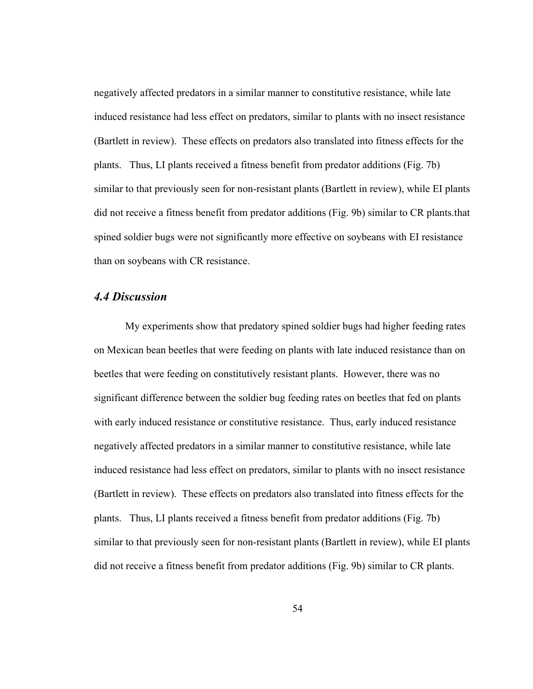negatively affected predators in a similar manner to constitutive resistance, while late induced resistance had less effect on predators, similar to plants with no insect resistance (Bartlett in review). These effects on predators also translated into fitness effects for the plants. Thus, LI plants received a fitness benefit from predator additions (Fig. 7b) similar to that previously seen for non-resistant plants (Bartlett in review), while EI plants did not receive a fitness benefit from predator additions (Fig. 9b) similar to CR plants.that spined soldier bugs were not significantly more effective on soybeans with EI resistance than on soybeans with CR resistance.

# *4.4 Discussion*

My experiments show that predatory spined soldier bugs had higher feeding rates on Mexican bean beetles that were feeding on plants with late induced resistance than on beetles that were feeding on constitutively resistant plants. However, there was no significant difference between the soldier bug feeding rates on beetles that fed on plants with early induced resistance or constitutive resistance. Thus, early induced resistance negatively affected predators in a similar manner to constitutive resistance, while late induced resistance had less effect on predators, similar to plants with no insect resistance (Bartlett in review). These effects on predators also translated into fitness effects for the plants. Thus, LI plants received a fitness benefit from predator additions (Fig. 7b) similar to that previously seen for non-resistant plants (Bartlett in review), while EI plants did not receive a fitness benefit from predator additions (Fig. 9b) similar to CR plants.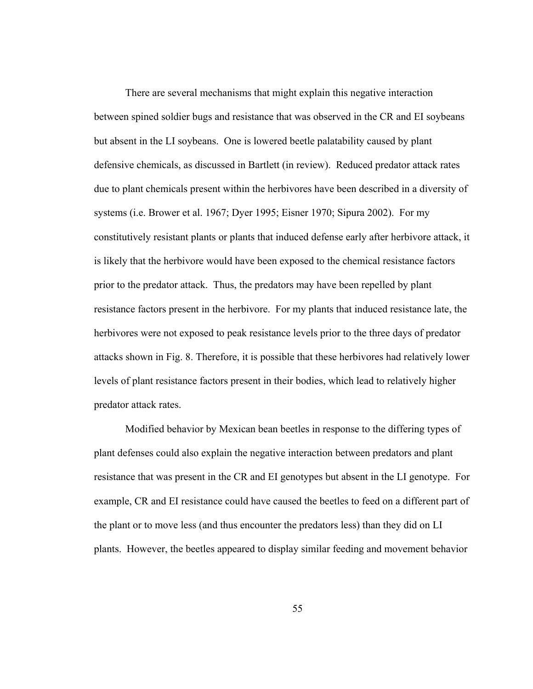There are several mechanisms that might explain this negative interaction between spined soldier bugs and resistance that was observed in the CR and EI soybeans but absent in the LI soybeans. One is lowered beetle palatability caused by plant defensive chemicals, as discussed in Bartlett (in review). Reduced predator attack rates due to plant chemicals present within the herbivores have been described in a diversity of systems (i.e. Brower et al. 1967; Dyer 1995; Eisner 1970; Sipura 2002). For my constitutively resistant plants or plants that induced defense early after herbivore attack, it is likely that the herbivore would have been exposed to the chemical resistance factors prior to the predator attack. Thus, the predators may have been repelled by plant resistance factors present in the herbivore. For my plants that induced resistance late, the herbivores were not exposed to peak resistance levels prior to the three days of predator attacks shown in Fig. 8. Therefore, it is possible that these herbivores had relatively lower levels of plant resistance factors present in their bodies, which lead to relatively higher predator attack rates.

Modified behavior by Mexican bean beetles in response to the differing types of plant defenses could also explain the negative interaction between predators and plant resistance that was present in the CR and EI genotypes but absent in the LI genotype. For example, CR and EI resistance could have caused the beetles to feed on a different part of the plant or to move less (and thus encounter the predators less) than they did on LI plants. However, the beetles appeared to display similar feeding and movement behavior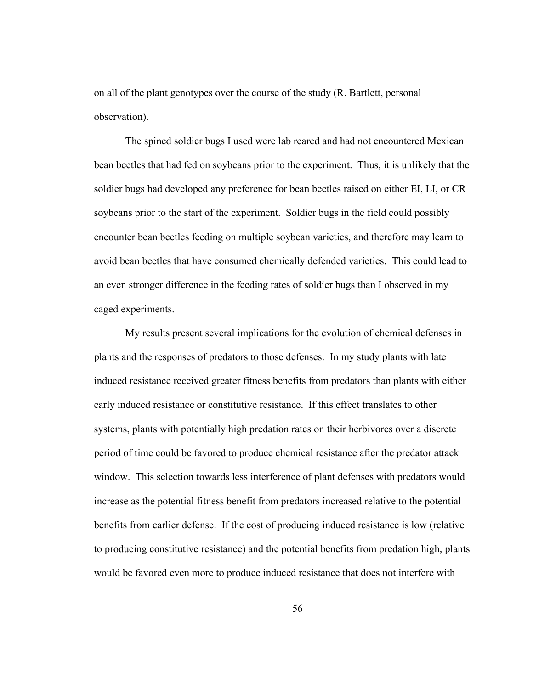on all of the plant genotypes over the course of the study (R. Bartlett, personal observation).

The spined soldier bugs I used were lab reared and had not encountered Mexican bean beetles that had fed on soybeans prior to the experiment. Thus, it is unlikely that the soldier bugs had developed any preference for bean beetles raised on either EI, LI, or CR soybeans prior to the start of the experiment. Soldier bugs in the field could possibly encounter bean beetles feeding on multiple soybean varieties, and therefore may learn to avoid bean beetles that have consumed chemically defended varieties. This could lead to an even stronger difference in the feeding rates of soldier bugs than I observed in my caged experiments.

My results present several implications for the evolution of chemical defenses in plants and the responses of predators to those defenses. In my study plants with late induced resistance received greater fitness benefits from predators than plants with either early induced resistance or constitutive resistance. If this effect translates to other systems, plants with potentially high predation rates on their herbivores over a discrete period of time could be favored to produce chemical resistance after the predator attack window. This selection towards less interference of plant defenses with predators would increase as the potential fitness benefit from predators increased relative to the potential benefits from earlier defense. If the cost of producing induced resistance is low (relative to producing constitutive resistance) and the potential benefits from predation high, plants would be favored even more to produce induced resistance that does not interfere with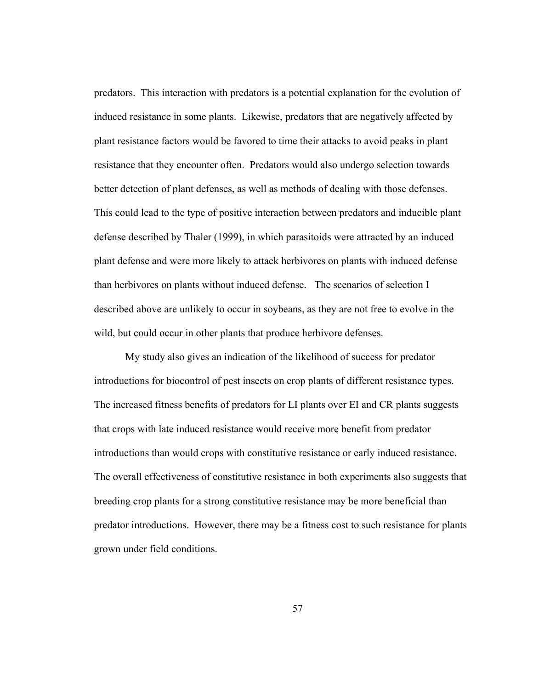predators. This interaction with predators is a potential explanation for the evolution of induced resistance in some plants. Likewise, predators that are negatively affected by plant resistance factors would be favored to time their attacks to avoid peaks in plant resistance that they encounter often. Predators would also undergo selection towards better detection of plant defenses, as well as methods of dealing with those defenses. This could lead to the type of positive interaction between predators and inducible plant defense described by Thaler (1999), in which parasitoids were attracted by an induced plant defense and were more likely to attack herbivores on plants with induced defense than herbivores on plants without induced defense. The scenarios of selection I described above are unlikely to occur in soybeans, as they are not free to evolve in the wild, but could occur in other plants that produce herbivore defenses.

My study also gives an indication of the likelihood of success for predator introductions for biocontrol of pest insects on crop plants of different resistance types. The increased fitness benefits of predators for LI plants over EI and CR plants suggests that crops with late induced resistance would receive more benefit from predator introductions than would crops with constitutive resistance or early induced resistance. The overall effectiveness of constitutive resistance in both experiments also suggests that breeding crop plants for a strong constitutive resistance may be more beneficial than predator introductions. However, there may be a fitness cost to such resistance for plants grown under field conditions.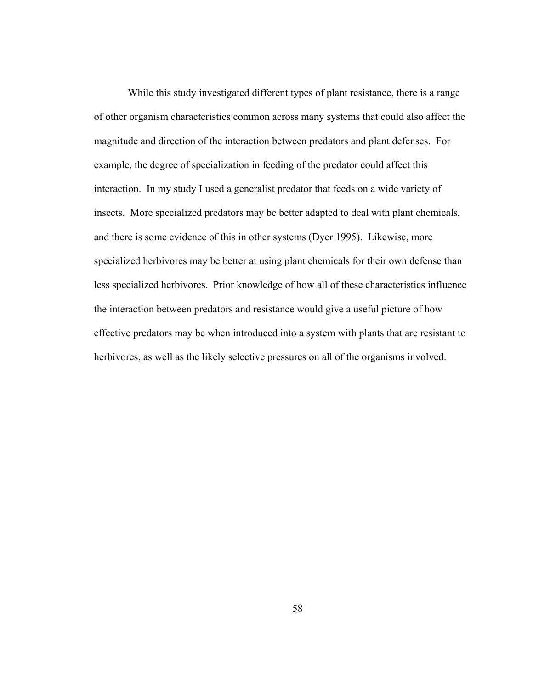While this study investigated different types of plant resistance, there is a range of other organism characteristics common across many systems that could also affect the magnitude and direction of the interaction between predators and plant defenses. For example, the degree of specialization in feeding of the predator could affect this interaction. In my study I used a generalist predator that feeds on a wide variety of insects. More specialized predators may be better adapted to deal with plant chemicals, and there is some evidence of this in other systems (Dyer 1995). Likewise, more specialized herbivores may be better at using plant chemicals for their own defense than less specialized herbivores. Prior knowledge of how all of these characteristics influence the interaction between predators and resistance would give a useful picture of how effective predators may be when introduced into a system with plants that are resistant to herbivores, as well as the likely selective pressures on all of the organisms involved.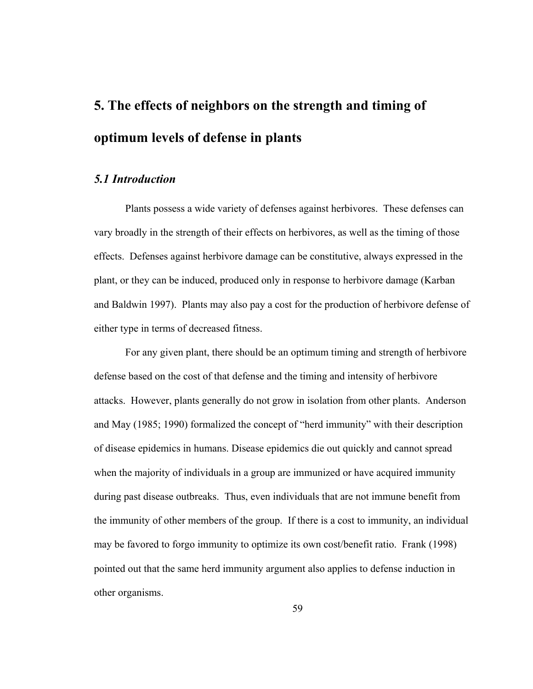# **5. The effects of neighbors on the strength and timing of optimum levels of defense in plants**

# *5.1 Introduction*

Plants possess a wide variety of defenses against herbivores. These defenses can vary broadly in the strength of their effects on herbivores, as well as the timing of those effects. Defenses against herbivore damage can be constitutive, always expressed in the plant, or they can be induced, produced only in response to herbivore damage (Karban and Baldwin 1997). Plants may also pay a cost for the production of herbivore defense of either type in terms of decreased fitness.

For any given plant, there should be an optimum timing and strength of herbivore defense based on the cost of that defense and the timing and intensity of herbivore attacks. However, plants generally do not grow in isolation from other plants. Anderson and May (1985; 1990) formalized the concept of "herd immunity" with their description of disease epidemics in humans. Disease epidemics die out quickly and cannot spread when the majority of individuals in a group are immunized or have acquired immunity during past disease outbreaks. Thus, even individuals that are not immune benefit from the immunity of other members of the group. If there is a cost to immunity, an individual may be favored to forgo immunity to optimize its own cost/benefit ratio. Frank (1998) pointed out that the same herd immunity argument also applies to defense induction in other organisms.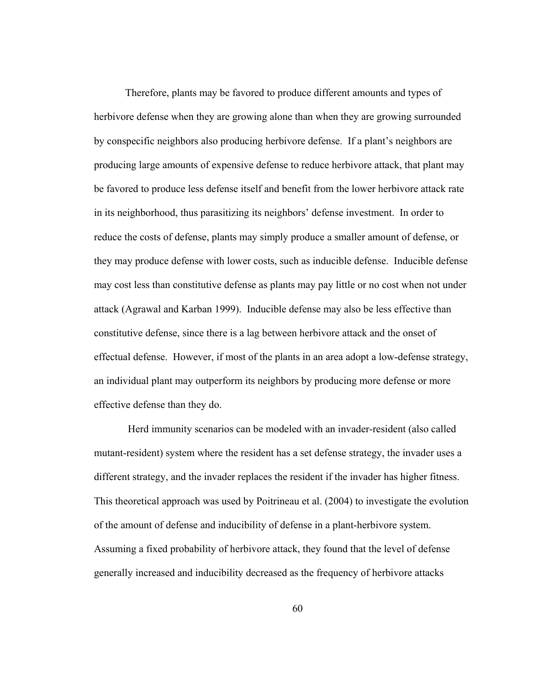Therefore, plants may be favored to produce different amounts and types of herbivore defense when they are growing alone than when they are growing surrounded by conspecific neighbors also producing herbivore defense. If a plant's neighbors are producing large amounts of expensive defense to reduce herbivore attack, that plant may be favored to produce less defense itself and benefit from the lower herbivore attack rate in its neighborhood, thus parasitizing its neighbors' defense investment. In order to reduce the costs of defense, plants may simply produce a smaller amount of defense, or they may produce defense with lower costs, such as inducible defense. Inducible defense may cost less than constitutive defense as plants may pay little or no cost when not under attack (Agrawal and Karban 1999). Inducible defense may also be less effective than constitutive defense, since there is a lag between herbivore attack and the onset of effectual defense. However, if most of the plants in an area adopt a low-defense strategy, an individual plant may outperform its neighbors by producing more defense or more effective defense than they do.

 Herd immunity scenarios can be modeled with an invader-resident (also called mutant-resident) system where the resident has a set defense strategy, the invader uses a different strategy, and the invader replaces the resident if the invader has higher fitness. This theoretical approach was used by Poitrineau et al. (2004) to investigate the evolution of the amount of defense and inducibility of defense in a plant-herbivore system. Assuming a fixed probability of herbivore attack, they found that the level of defense generally increased and inducibility decreased as the frequency of herbivore attacks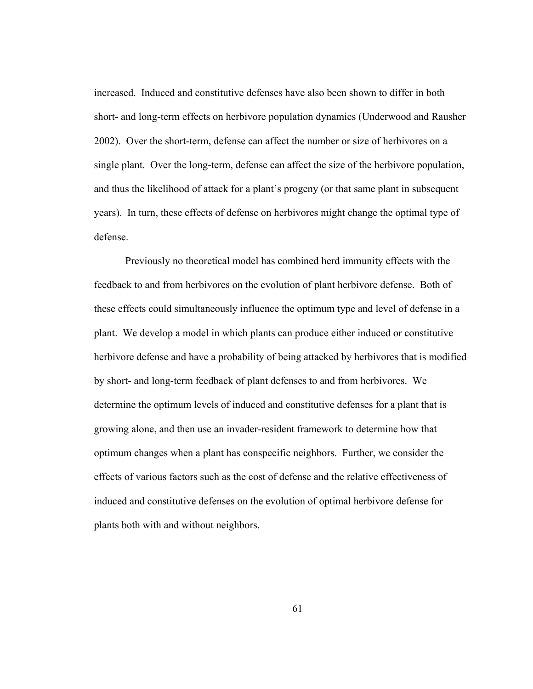increased. Induced and constitutive defenses have also been shown to differ in both short- and long-term effects on herbivore population dynamics (Underwood and Rausher 2002). Over the short-term, defense can affect the number or size of herbivores on a single plant. Over the long-term, defense can affect the size of the herbivore population, and thus the likelihood of attack for a plant's progeny (or that same plant in subsequent years). In turn, these effects of defense on herbivores might change the optimal type of defense.

Previously no theoretical model has combined herd immunity effects with the feedback to and from herbivores on the evolution of plant herbivore defense. Both of these effects could simultaneously influence the optimum type and level of defense in a plant. We develop a model in which plants can produce either induced or constitutive herbivore defense and have a probability of being attacked by herbivores that is modified by short- and long-term feedback of plant defenses to and from herbivores. We determine the optimum levels of induced and constitutive defenses for a plant that is growing alone, and then use an invader-resident framework to determine how that optimum changes when a plant has conspecific neighbors. Further, we consider the effects of various factors such as the cost of defense and the relative effectiveness of induced and constitutive defenses on the evolution of optimal herbivore defense for plants both with and without neighbors.

61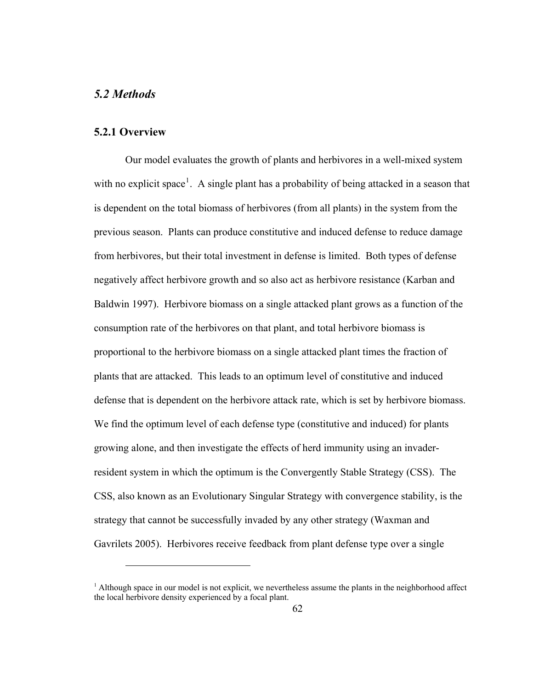# *5.2 Methods*

#### **5.2.1 Overview**

 $\overline{a}$ 

Our model evaluates the growth of plants and herbivores in a well-mixed system with no explicit space<sup>[1](#page-74-0)</sup>. A single plant has a probability of being attacked in a season that is dependent on the total biomass of herbivores (from all plants) in the system from the previous season. Plants can produce constitutive and induced defense to reduce damage from herbivores, but their total investment in defense is limited. Both types of defense negatively affect herbivore growth and so also act as herbivore resistance (Karban and Baldwin 1997). Herbivore biomass on a single attacked plant grows as a function of the consumption rate of the herbivores on that plant, and total herbivore biomass is proportional to the herbivore biomass on a single attacked plant times the fraction of plants that are attacked. This leads to an optimum level of constitutive and induced defense that is dependent on the herbivore attack rate, which is set by herbivore biomass. We find the optimum level of each defense type (constitutive and induced) for plants growing alone, and then investigate the effects of herd immunity using an invaderresident system in which the optimum is the Convergently Stable Strategy (CSS). The CSS, also known as an Evolutionary Singular Strategy with convergence stability, is the strategy that cannot be successfully invaded by any other strategy (Waxman and Gavrilets 2005). Herbivores receive feedback from plant defense type over a single

<span id="page-74-0"></span><sup>&</sup>lt;sup>1</sup> Although space in our model is not explicit, we nevertheless assume the plants in the neighborhood affect the local herbivore density experienced by a focal plant.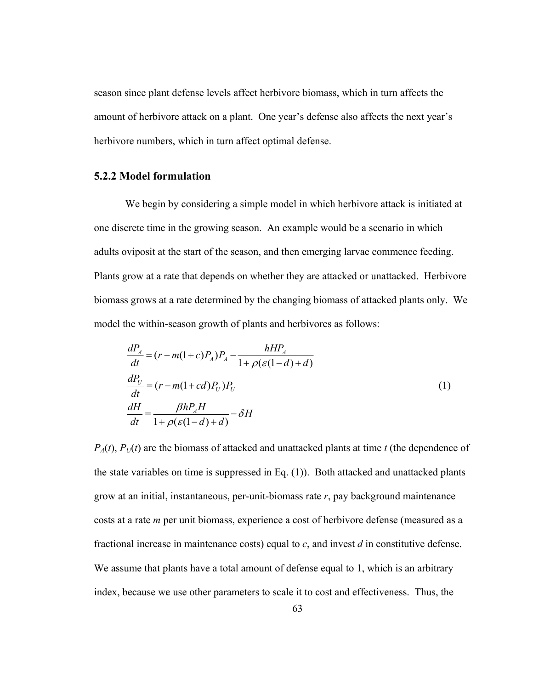season since plant defense levels affect herbivore biomass, which in turn affects the amount of herbivore attack on a plant. One year's defense also affects the next year's herbivore numbers, which in turn affect optimal defense.

#### **5.2.2 Model formulation**

We begin by considering a simple model in which herbivore attack is initiated at one discrete time in the growing season. An example would be a scenario in which adults oviposit at the start of the season, and then emerging larvae commence feeding. Plants grow at a rate that depends on whether they are attacked or unattacked. Herbivore biomass grows at a rate determined by the changing biomass of attacked plants only. We model the within-season growth of plants and herbivores as follows:

$$
\frac{dP_A}{dt} = (r - m(1 + c)P_A)P_A - \frac{hHP_A}{1 + \rho(\varepsilon(1 - d) + d)}
$$
\n
$$
\frac{dP_U}{dt} = (r - m(1 + cd)P_U)P_U
$$
\n
$$
\frac{dH}{dt} = \frac{\beta hP_A H}{1 + \rho(\varepsilon(1 - d) + d)} - \delta H
$$
\n(1)

 $P_A(t)$ ,  $P_U(t)$  are the biomass of attacked and unattacked plants at time *t* (the dependence of the state variables on time is suppressed in Eq. (1)). Both attacked and unattacked plants grow at an initial, instantaneous, per-unit-biomass rate *r*, pay background maintenance costs at a rate *m* per unit biomass, experience a cost of herbivore defense (measured as a fractional increase in maintenance costs) equal to *c*, and invest *d* in constitutive defense. We assume that plants have a total amount of defense equal to 1, which is an arbitrary index, because we use other parameters to scale it to cost and effectiveness. Thus, the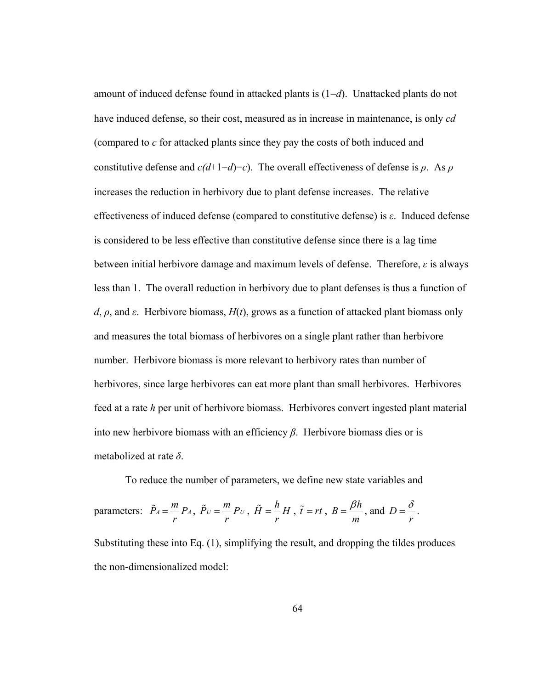amount of induced defense found in attacked plants is (1−*d*). Unattacked plants do not have induced defense, so their cost, measured as in increase in maintenance, is only *cd* (compared to *c* for attacked plants since they pay the costs of both induced and constitutive defense and  $c(d+1-d)=c$ ). The overall effectiveness of defense is  $\rho$ . As  $\rho$ increases the reduction in herbivory due to plant defense increases. The relative effectiveness of induced defense (compared to constitutive defense) is *ε*. Induced defense is considered to be less effective than constitutive defense since there is a lag time between initial herbivore damage and maximum levels of defense. Therefore, *ε* is always less than 1. The overall reduction in herbivory due to plant defenses is thus a function of *d*, *ρ*, and *ε*. Herbivore biomass, *H*(*t*), grows as a function of attacked plant biomass only and measures the total biomass of herbivores on a single plant rather than herbivore number. Herbivore biomass is more relevant to herbivory rates than number of herbivores, since large herbivores can eat more plant than small herbivores. Herbivores feed at a rate *h* per unit of herbivore biomass. Herbivores convert ingested plant material into new herbivore biomass with an efficiency *β*. Herbivore biomass dies or is metabolized at rate *δ*.

parameters:  $\tilde{P}_A = \frac{m}{2} P_A$ *r*  $\tilde{P}_A = \frac{m}{\rho} P_A$ ,  $\tilde{P}_U = \frac{m}{\rho} P_U$ *r*  $\tilde{P}_U = \frac{m}{\mu} P_U$ ,  $\tilde{H} = \frac{h}{\mu} H$ *r*  $\tilde{H} = -\frac{h}{H}$ ,  $\tilde{t} = rt$ ,  $B = \frac{\beta h}{H}$ *m*  $=\frac{\beta h}{\beta}$ , and *D r*  $=\frac{\delta}{\epsilon}$ . Substituting these into Eq. (1), simplifying the result, and dropping the tildes produces the non-dimensionalized model:

To reduce the number of parameters, we define new state variables and

64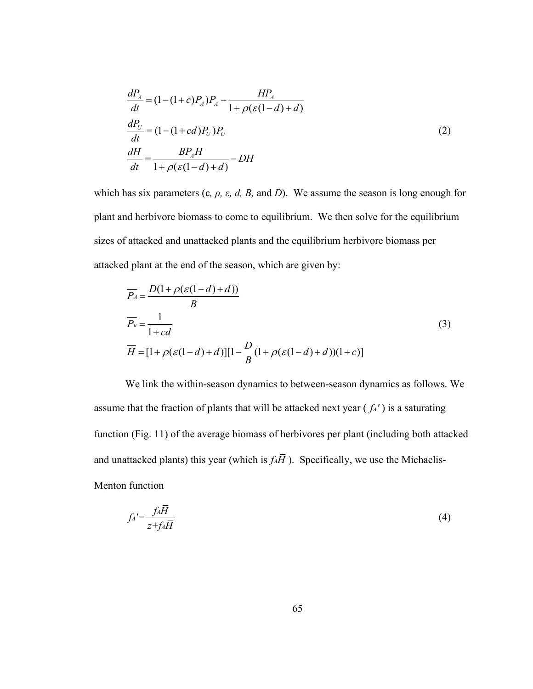$$
\frac{dP_A}{dt} = (1 - (1 + c)P_A)P_A - \frac{HP_A}{1 + \rho(\varepsilon(1 - d) + d)}
$$
\n
$$
\frac{dP_U}{dt} = (1 - (1 + cd)P_U)P_U
$$
\n
$$
\frac{dH}{dt} = \frac{BP_A H}{1 + \rho(\varepsilon(1 - d) + d)} - DH
$$
\n(2)

which has six parameters (c,  $\rho$ ,  $\varepsilon$ ,  $d$ ,  $B$ , and  $D$ ). We assume the season is long enough for plant and herbivore biomass to come to equilibrium. We then solve for the equilibrium sizes of attacked and unattacked plants and the equilibrium herbivore biomass per attacked plant at the end of the season, which are given by:

$$
\overline{P_A} = \frac{D(1 + \rho(\varepsilon(1-d) + d))}{B}
$$
\n
$$
\overline{P_u} = \frac{1}{1 + cd}
$$
\n
$$
\overline{H} = [1 + \rho(\varepsilon(1-d) + d)][1 - \frac{D}{B}(1 + \rho(\varepsilon(1-d) + d))(1+c)]
$$
\n(3)

We link the within-season dynamics to between-season dynamics as follows. We assume that the fraction of plants that will be attacked next year  $(f_A')$  is a saturating function (Fig. 11) of the average biomass of herbivores per plant (including both attacked and unattacked plants) this year (which is  $f \sim \overline{H}$ ). Specifically, we use the Michaelis-Menton function

$$
f_A' = \frac{f_A \overline{H}}{z + f_A \overline{H}}
$$
 (4)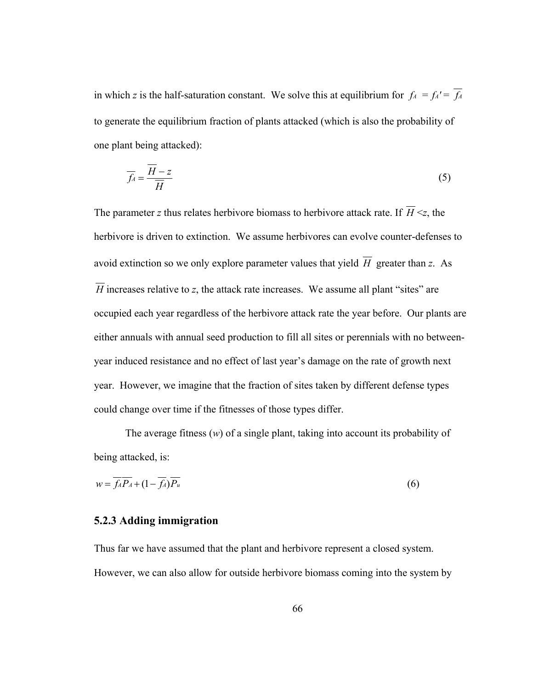in which *z* is the half-saturation constant. We solve this at equilibrium for  $f_A = f_A' = \overline{f_A}$ to generate the equilibrium fraction of plants attacked (which is also the probability of one plant being attacked):

$$
\overline{f}_A = \frac{\overline{H} - z}{\overline{H}}
$$
\n(5)

The parameter *z* thus relates herbivore biomass to herbivore attack rate. If  $\overline{H} \leq z$ , the herbivore is driven to extinction. We assume herbivores can evolve counter-defenses to avoid extinction so we only explore parameter values that yield  $\overline{H}$  greater than *z*. As  $\overline{H}$  increases relative to *z*, the attack rate increases. We assume all plant "sites" are occupied each year regardless of the herbivore attack rate the year before. Our plants are either annuals with annual seed production to fill all sites or perennials with no betweenyear induced resistance and no effect of last year's damage on the rate of growth next year. However, we imagine that the fraction of sites taken by different defense types could change over time if the fitnesses of those types differ.

The average fitness (*w*) of a single plant, taking into account its probability of being attacked, is:

$$
w = \overline{f_A P_A} + (1 - \overline{f_A}) \overline{P_u}
$$
\n<sup>(6)</sup>

#### **5.2.3 Adding immigration**

Thus far we have assumed that the plant and herbivore represent a closed system. However, we can also allow for outside herbivore biomass coming into the system by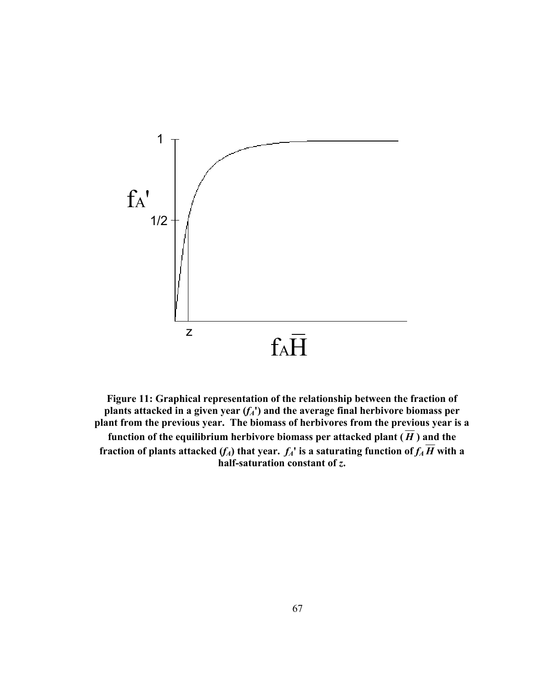

**Figure 11: Graphical representation of the relationship between the fraction of**  plants attacked in a given year  $(f_A)$  and the average final herbivore biomass per **plant from the previous year. The biomass of herbivores from the previous year is a**  function of the equilibrium herbivore biomass per attacked plant  $(\overline{H})$  and the fraction of plants attacked  $(f_A)$  that year.  $f_A$ ' is a saturating function of  $f_A$  *H* with a **half-saturation constant of** *z***.**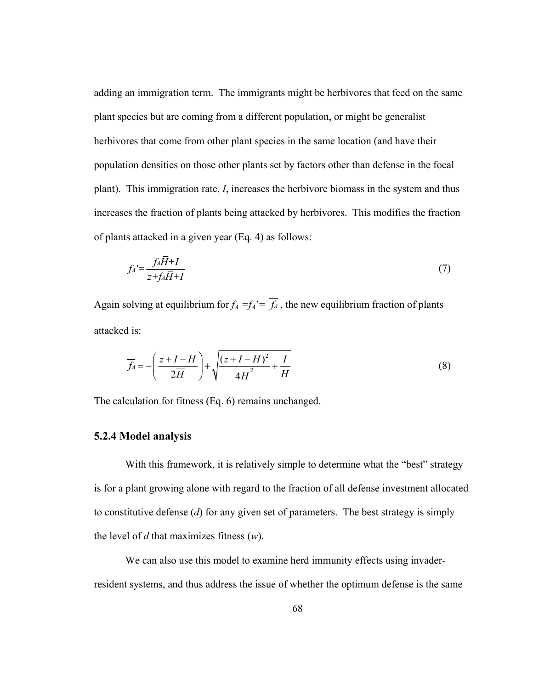adding an immigration term. The immigrants might be herbivores that feed on the same plant species but are coming from a different population, or might be generalist herbivores that come from other plant species in the same location (and have their population densities on those other plants set by factors other than defense in the focal plant). This immigration rate, *I*, increases the herbivore biomass in the system and thus increases the fraction of plants being attacked by herbivores. This modifies the fraction of plants attacked in a given year (Eq. 4) as follows:

$$
f_A' = \frac{f_A \overline{H} + I}{z + f_A \overline{H} + I} \tag{7}
$$

Again solving at equilibrium for  $f_A = f_A' = \overline{f_A}$ , the new equilibrium fraction of plants attacked is:

$$
\overline{f_A} = -\left(\frac{z + I - \overline{H}}{2\overline{H}}\right) + \sqrt{\frac{(z + I - \overline{H})^2}{4\overline{H}^2} + \frac{I}{H}}
$$
\n(8)

The calculation for fitness (Eq. 6) remains unchanged.

## **5.2.4 Model analysis**

With this framework, it is relatively simple to determine what the "best" strategy is for a plant growing alone with regard to the fraction of all defense investment allocated to constitutive defense (*d*) for any given set of parameters. The best strategy is simply the level of *d* that maximizes fitness (*w*).

We can also use this model to examine herd immunity effects using invaderresident systems, and thus address the issue of whether the optimum defense is the same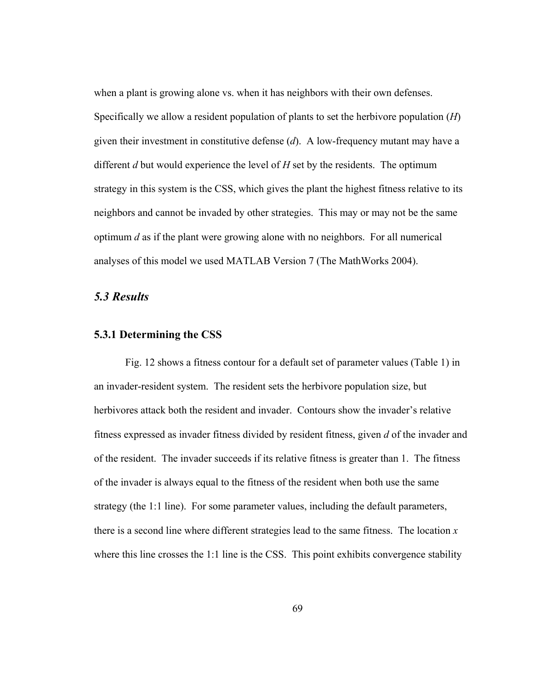when a plant is growing alone vs. when it has neighbors with their own defenses. Specifically we allow a resident population of plants to set the herbivore population (*H*) given their investment in constitutive defense (*d*). A low-frequency mutant may have a different *d* but would experience the level of *H* set by the residents. The optimum strategy in this system is the CSS, which gives the plant the highest fitness relative to its neighbors and cannot be invaded by other strategies. This may or may not be the same optimum *d* as if the plant were growing alone with no neighbors. For all numerical analyses of this model we used MATLAB Version 7 (The MathWorks 2004).

# *5.3 Results*

#### **5.3.1 Determining the CSS**

Fig. 12 shows a fitness contour for a default set of parameter values (Table 1) in an invader-resident system. The resident sets the herbivore population size, but herbivores attack both the resident and invader. Contours show the invader's relative fitness expressed as invader fitness divided by resident fitness, given *d* of the invader and of the resident. The invader succeeds if its relative fitness is greater than 1. The fitness of the invader is always equal to the fitness of the resident when both use the same strategy (the 1:1 line). For some parameter values, including the default parameters, there is a second line where different strategies lead to the same fitness. The location *x* where this line crosses the 1:1 line is the CSS. This point exhibits convergence stability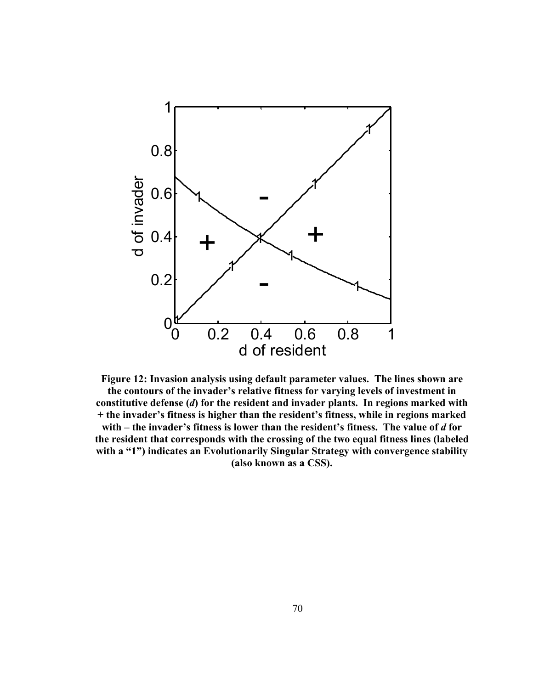

**Figure 12: Invasion analysis using default parameter values. The lines shown are the contours of the invader's relative fitness for varying levels of investment in constitutive defense (***d***) for the resident and invader plants. In regions marked with + the invader's fitness is higher than the resident's fitness, while in regions marked**  with – the invader's fitness is lower than the resident's fitness. The value of *d* for **the resident that corresponds with the crossing of the two equal fitness lines (labeled with a "1") indicates an Evolutionarily Singular Strategy with convergence stability (also known as a CSS).**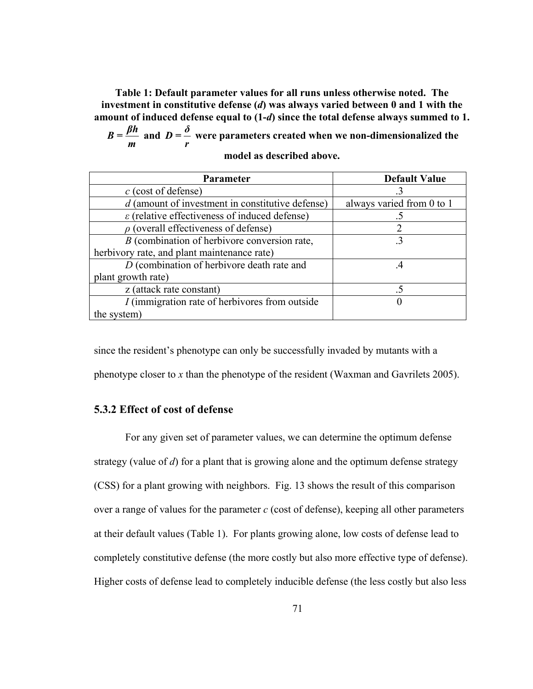**Table 1: Default parameter values for all runs unless otherwise noted. The investment in constitutive defense (***d***) was always varied between 0 and 1 with the amount of induced defense equal to (1-***d***) since the total defense always summed to 1.** 

*<sup>β</sup><sup>h</sup> B =*  $\frac{\beta h}{m}$  and  $D = \frac{\delta}{r}$  were parameters created when we non-dimensionalized the

| <b>Parameter</b>                                          | <b>Default Value</b>      |
|-----------------------------------------------------------|---------------------------|
| $c$ (cost of defense)                                     |                           |
| $d$ (amount of investment in constitutive defense)        | always varied from 0 to 1 |
| $\varepsilon$ (relative effectiveness of induced defense) |                           |
| $\rho$ (overall effectiveness of defense)                 |                           |
| B (combination of herbivore conversion rate,              |                           |
| herbivory rate, and plant maintenance rate)               |                           |
| D (combination of herbivore death rate and                | .4                        |
| plant growth rate)                                        |                           |
| z (attack rate constant)                                  |                           |
| I (immigration rate of herbivores from outside            |                           |
| the system)                                               |                           |

#### **model as described above.**

since the resident's phenotype can only be successfully invaded by mutants with a phenotype closer to *x* than the phenotype of the resident (Waxman and Gavrilets 2005).

#### **5.3.2 Effect of cost of defense**

For any given set of parameter values, we can determine the optimum defense strategy (value of *d*) for a plant that is growing alone and the optimum defense strategy (CSS) for a plant growing with neighbors. Fig. 13 shows the result of this comparison over a range of values for the parameter *c* (cost of defense), keeping all other parameters at their default values (Table 1). For plants growing alone, low costs of defense lead to completely constitutive defense (the more costly but also more effective type of defense). Higher costs of defense lead to completely inducible defense (the less costly but also less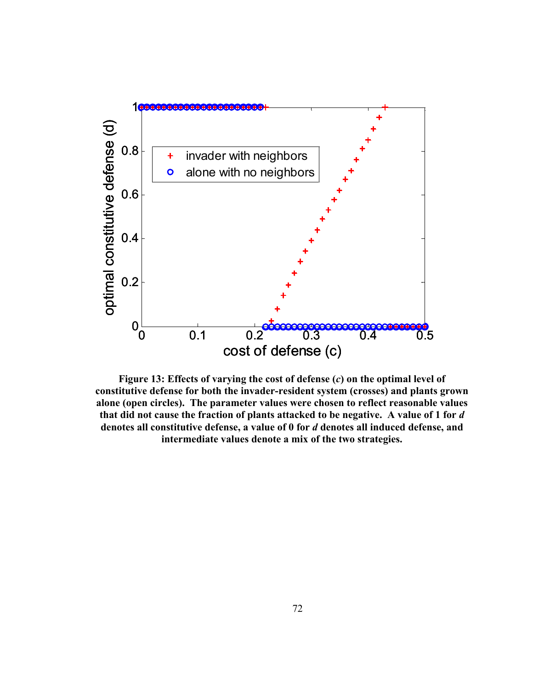

**Figure 13: Effects of varying the cost of defense (***c***) on the optimal level of constitutive defense for both the invader-resident system (crosses) and plants grown alone (open circles). The parameter values were chosen to reflect reasonable values that did not cause the fraction of plants attacked to be negative. A value of 1 for** *d* **denotes all constitutive defense, a value of 0 for** *d* **denotes all induced defense, and intermediate values denote a mix of the two strategies.**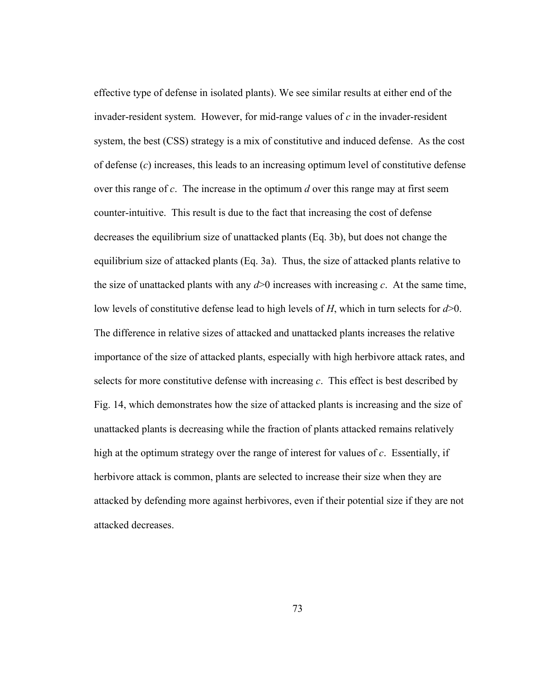effective type of defense in isolated plants). We see similar results at either end of the invader-resident system. However, for mid-range values of *c* in the invader-resident system, the best (CSS) strategy is a mix of constitutive and induced defense. As the cost of defense (*c*) increases, this leads to an increasing optimum level of constitutive defense over this range of *c*. The increase in the optimum *d* over this range may at first seem counter-intuitive. This result is due to the fact that increasing the cost of defense decreases the equilibrium size of unattacked plants (Eq. 3b), but does not change the equilibrium size of attacked plants (Eq. 3a). Thus, the size of attacked plants relative to the size of unattacked plants with any  $d > 0$  increases with increasing *c*. At the same time, low levels of constitutive defense lead to high levels of *H*, which in turn selects for *d*>0. The difference in relative sizes of attacked and unattacked plants increases the relative importance of the size of attacked plants, especially with high herbivore attack rates, and selects for more constitutive defense with increasing *c*. This effect is best described by Fig. 14, which demonstrates how the size of attacked plants is increasing and the size of unattacked plants is decreasing while the fraction of plants attacked remains relatively high at the optimum strategy over the range of interest for values of *c*. Essentially, if herbivore attack is common, plants are selected to increase their size when they are attacked by defending more against herbivores, even if their potential size if they are not attacked decreases.

73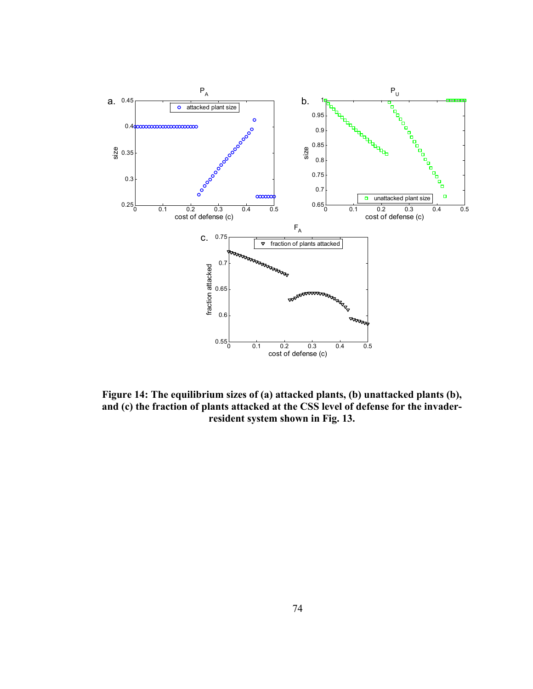

**Figure 14: The equilibrium sizes of (a) attacked plants, (b) unattacked plants (b), and (c) the fraction of plants attacked at the CSS level of defense for the invaderresident system shown in Fig. 13.**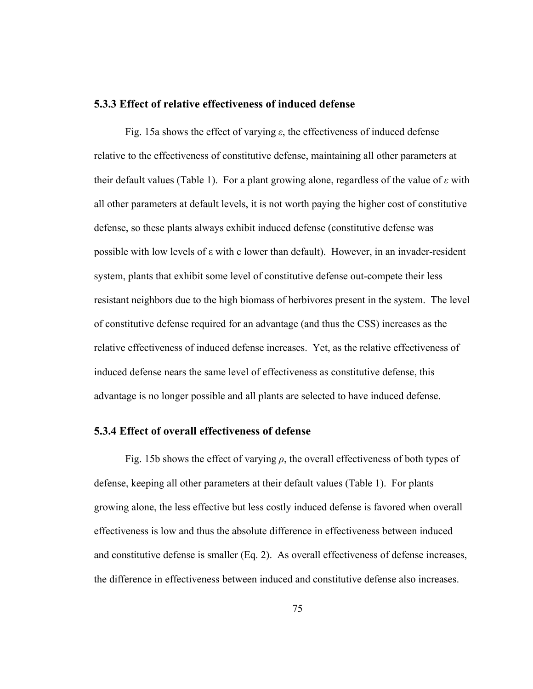#### **5.3.3 Effect of relative effectiveness of induced defense**

Fig. 15a shows the effect of varying *ε*, the effectiveness of induced defense relative to the effectiveness of constitutive defense, maintaining all other parameters at their default values (Table 1). For a plant growing alone, regardless of the value of *ε* with all other parameters at default levels, it is not worth paying the higher cost of constitutive defense, so these plants always exhibit induced defense (constitutive defense was possible with low levels of ε with c lower than default). However, in an invader-resident system, plants that exhibit some level of constitutive defense out-compete their less resistant neighbors due to the high biomass of herbivores present in the system. The level of constitutive defense required for an advantage (and thus the CSS) increases as the relative effectiveness of induced defense increases. Yet, as the relative effectiveness of induced defense nears the same level of effectiveness as constitutive defense, this advantage is no longer possible and all plants are selected to have induced defense.

#### **5.3.4 Effect of overall effectiveness of defense**

Fig. 15b shows the effect of varying  $\rho$ , the overall effectiveness of both types of defense, keeping all other parameters at their default values (Table 1). For plants growing alone, the less effective but less costly induced defense is favored when overall effectiveness is low and thus the absolute difference in effectiveness between induced and constitutive defense is smaller (Eq. 2). As overall effectiveness of defense increases, the difference in effectiveness between induced and constitutive defense also increases.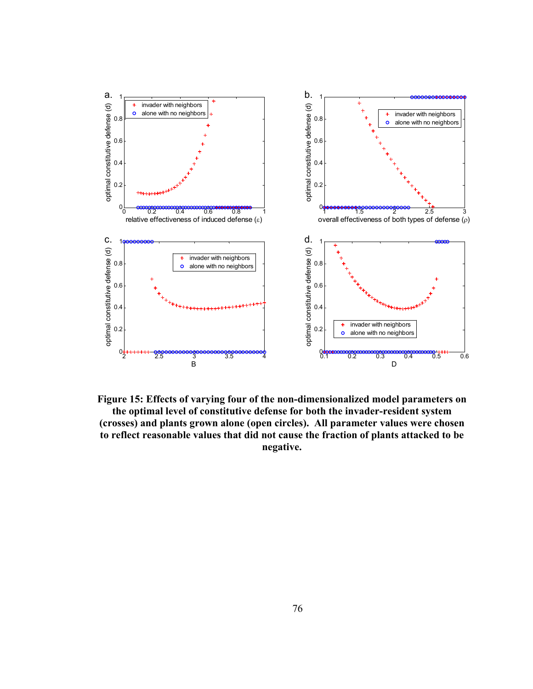

**Figure 15: Effects of varying four of the non-dimensionalized model parameters on the optimal level of constitutive defense for both the invader-resident system (crosses) and plants grown alone (open circles). All parameter values were chosen to reflect reasonable values that did not cause the fraction of plants attacked to be negative.**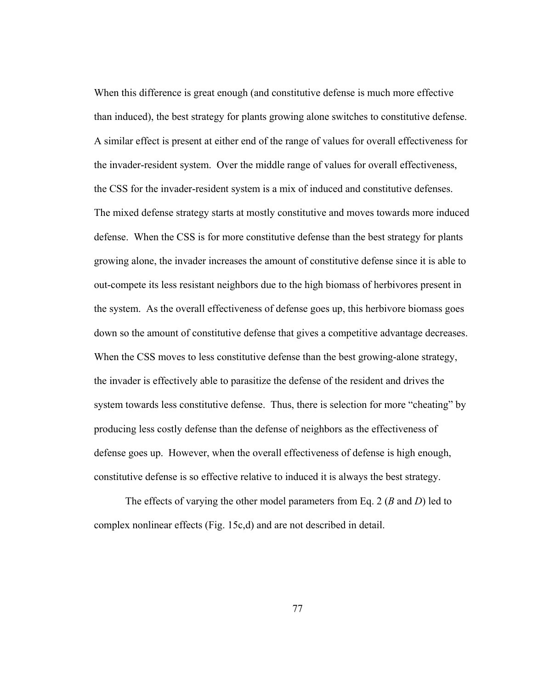When this difference is great enough (and constitutive defense is much more effective than induced), the best strategy for plants growing alone switches to constitutive defense. A similar effect is present at either end of the range of values for overall effectiveness for the invader-resident system. Over the middle range of values for overall effectiveness, the CSS for the invader-resident system is a mix of induced and constitutive defenses. The mixed defense strategy starts at mostly constitutive and moves towards more induced defense. When the CSS is for more constitutive defense than the best strategy for plants growing alone, the invader increases the amount of constitutive defense since it is able to out-compete its less resistant neighbors due to the high biomass of herbivores present in the system. As the overall effectiveness of defense goes up, this herbivore biomass goes down so the amount of constitutive defense that gives a competitive advantage decreases. When the CSS moves to less constitutive defense than the best growing-alone strategy, the invader is effectively able to parasitize the defense of the resident and drives the system towards less constitutive defense. Thus, there is selection for more "cheating" by producing less costly defense than the defense of neighbors as the effectiveness of defense goes up. However, when the overall effectiveness of defense is high enough, constitutive defense is so effective relative to induced it is always the best strategy.

The effects of varying the other model parameters from Eq. 2 (*B* and *D*) led to complex nonlinear effects (Fig. 15c,d) and are not described in detail.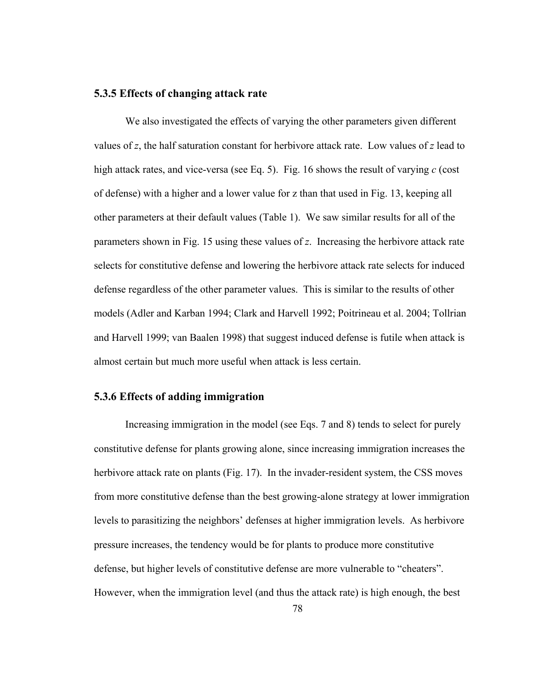### **5.3.5 Effects of changing attack rate**

We also investigated the effects of varying the other parameters given different values of *z*, the half saturation constant for herbivore attack rate. Low values of *z* lead to high attack rates, and vice-versa (see Eq. 5). Fig. 16 shows the result of varying *c* (cost of defense) with a higher and a lower value for z than that used in Fig. 13, keeping all other parameters at their default values (Table 1). We saw similar results for all of the parameters shown in Fig. 15 using these values of *z*. Increasing the herbivore attack rate selects for constitutive defense and lowering the herbivore attack rate selects for induced defense regardless of the other parameter values. This is similar to the results of other models (Adler and Karban 1994; Clark and Harvell 1992; Poitrineau et al. 2004; Tollrian and Harvell 1999; van Baalen 1998) that suggest induced defense is futile when attack is almost certain but much more useful when attack is less certain.

# **5.3.6 Effects of adding immigration**

Increasing immigration in the model (see Eqs. 7 and 8) tends to select for purely constitutive defense for plants growing alone, since increasing immigration increases the herbivore attack rate on plants (Fig. 17). In the invader-resident system, the CSS moves from more constitutive defense than the best growing-alone strategy at lower immigration levels to parasitizing the neighbors' defenses at higher immigration levels. As herbivore pressure increases, the tendency would be for plants to produce more constitutive defense, but higher levels of constitutive defense are more vulnerable to "cheaters". However, when the immigration level (and thus the attack rate) is high enough, the best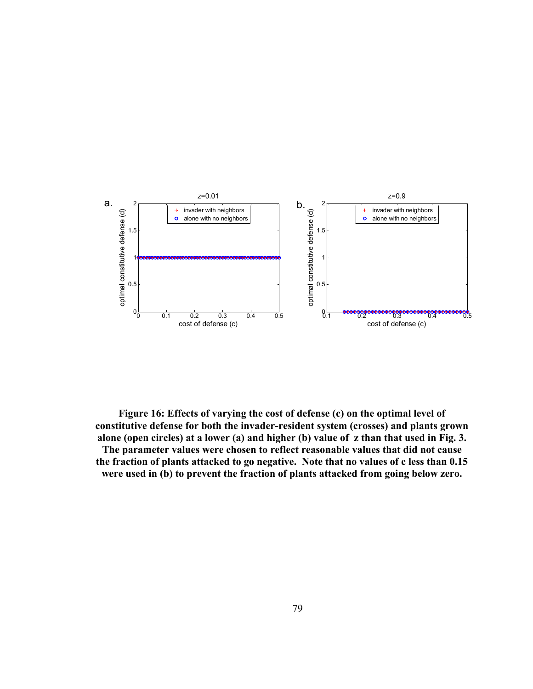

**Figure 16: Effects of varying the cost of defense (c) on the optimal level of constitutive defense for both the invader-resident system (crosses) and plants grown alone (open circles) at a lower (a) and higher (b) value of z than that used in Fig. 3. The parameter values were chosen to reflect reasonable values that did not cause the fraction of plants attacked to go negative. Note that no values of c less than 0.15 were used in (b) to prevent the fraction of plants attacked from going below zero.**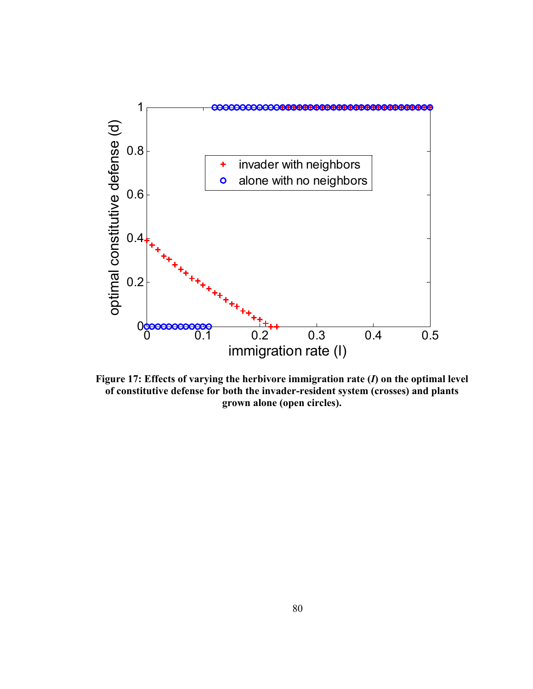

**Figure 17: Effects of varying the herbivore immigration rate (***I***) on the optimal level of constitutive defense for both the invader-resident system (crosses) and plants grown alone (open circles).**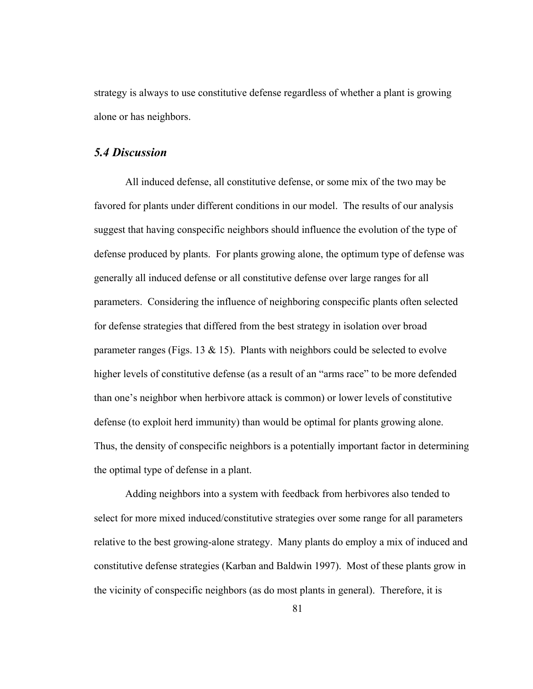strategy is always to use constitutive defense regardless of whether a plant is growing alone or has neighbors.

# *5.4 Discussion*

All induced defense, all constitutive defense, or some mix of the two may be favored for plants under different conditions in our model. The results of our analysis suggest that having conspecific neighbors should influence the evolution of the type of defense produced by plants. For plants growing alone, the optimum type of defense was generally all induced defense or all constitutive defense over large ranges for all parameters. Considering the influence of neighboring conspecific plants often selected for defense strategies that differed from the best strategy in isolation over broad parameter ranges (Figs. 13  $\&$  15). Plants with neighbors could be selected to evolve higher levels of constitutive defense (as a result of an "arms race" to be more defended than one's neighbor when herbivore attack is common) or lower levels of constitutive defense (to exploit herd immunity) than would be optimal for plants growing alone. Thus, the density of conspecific neighbors is a potentially important factor in determining the optimal type of defense in a plant.

Adding neighbors into a system with feedback from herbivores also tended to select for more mixed induced/constitutive strategies over some range for all parameters relative to the best growing-alone strategy. Many plants do employ a mix of induced and constitutive defense strategies (Karban and Baldwin 1997). Most of these plants grow in the vicinity of conspecific neighbors (as do most plants in general). Therefore, it is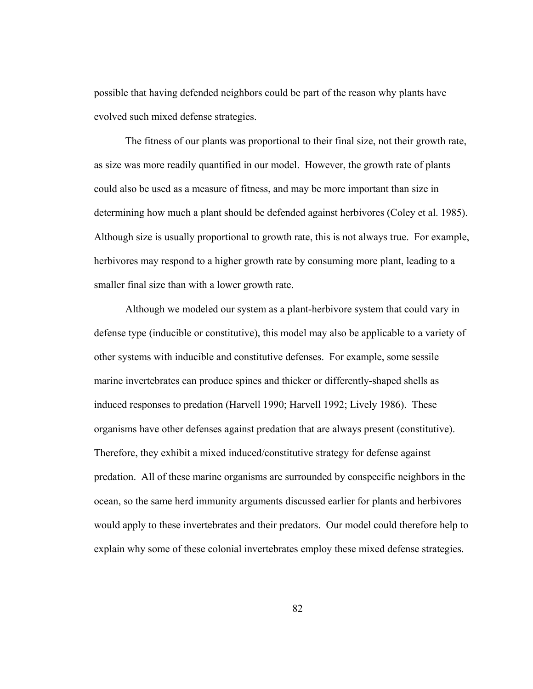possible that having defended neighbors could be part of the reason why plants have evolved such mixed defense strategies.

The fitness of our plants was proportional to their final size, not their growth rate, as size was more readily quantified in our model. However, the growth rate of plants could also be used as a measure of fitness, and may be more important than size in determining how much a plant should be defended against herbivores (Coley et al. 1985). Although size is usually proportional to growth rate, this is not always true. For example, herbivores may respond to a higher growth rate by consuming more plant, leading to a smaller final size than with a lower growth rate.

Although we modeled our system as a plant-herbivore system that could vary in defense type (inducible or constitutive), this model may also be applicable to a variety of other systems with inducible and constitutive defenses. For example, some sessile marine invertebrates can produce spines and thicker or differently-shaped shells as induced responses to predation (Harvell 1990; Harvell 1992; Lively 1986). These organisms have other defenses against predation that are always present (constitutive). Therefore, they exhibit a mixed induced/constitutive strategy for defense against predation. All of these marine organisms are surrounded by conspecific neighbors in the ocean, so the same herd immunity arguments discussed earlier for plants and herbivores would apply to these invertebrates and their predators. Our model could therefore help to explain why some of these colonial invertebrates employ these mixed defense strategies.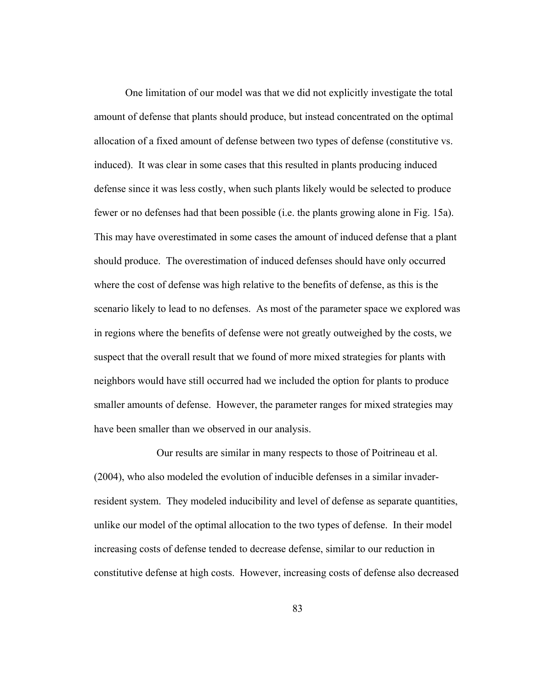One limitation of our model was that we did not explicitly investigate the total amount of defense that plants should produce, but instead concentrated on the optimal allocation of a fixed amount of defense between two types of defense (constitutive vs. induced). It was clear in some cases that this resulted in plants producing induced defense since it was less costly, when such plants likely would be selected to produce fewer or no defenses had that been possible (i.e. the plants growing alone in Fig. 15a). This may have overestimated in some cases the amount of induced defense that a plant should produce. The overestimation of induced defenses should have only occurred where the cost of defense was high relative to the benefits of defense, as this is the scenario likely to lead to no defenses. As most of the parameter space we explored was in regions where the benefits of defense were not greatly outweighed by the costs, we suspect that the overall result that we found of more mixed strategies for plants with neighbors would have still occurred had we included the option for plants to produce smaller amounts of defense. However, the parameter ranges for mixed strategies may have been smaller than we observed in our analysis.

 Our results are similar in many respects to those of Poitrineau et al. (2004), who also modeled the evolution of inducible defenses in a similar invaderresident system. They modeled inducibility and level of defense as separate quantities, unlike our model of the optimal allocation to the two types of defense. In their model increasing costs of defense tended to decrease defense, similar to our reduction in constitutive defense at high costs. However, increasing costs of defense also decreased

83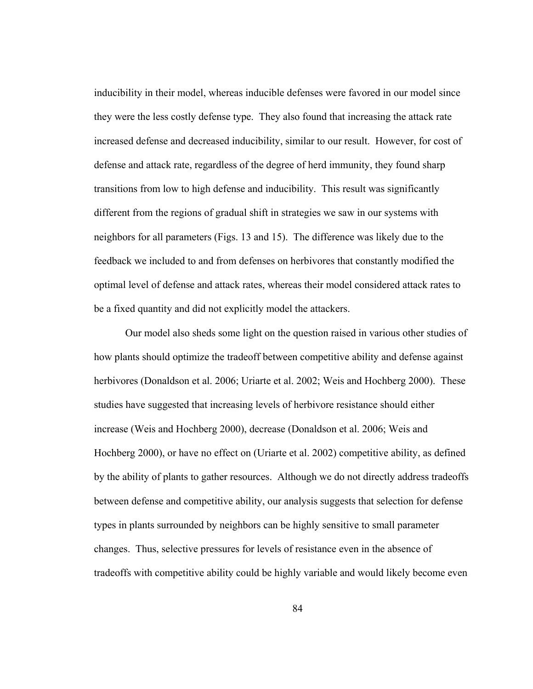inducibility in their model, whereas inducible defenses were favored in our model since they were the less costly defense type. They also found that increasing the attack rate increased defense and decreased inducibility, similar to our result. However, for cost of defense and attack rate, regardless of the degree of herd immunity, they found sharp transitions from low to high defense and inducibility. This result was significantly different from the regions of gradual shift in strategies we saw in our systems with neighbors for all parameters (Figs. 13 and 15). The difference was likely due to the feedback we included to and from defenses on herbivores that constantly modified the optimal level of defense and attack rates, whereas their model considered attack rates to be a fixed quantity and did not explicitly model the attackers.

Our model also sheds some light on the question raised in various other studies of how plants should optimize the tradeoff between competitive ability and defense against herbivores (Donaldson et al. 2006; Uriarte et al. 2002; Weis and Hochberg 2000). These studies have suggested that increasing levels of herbivore resistance should either increase (Weis and Hochberg 2000), decrease (Donaldson et al. 2006; Weis and Hochberg 2000), or have no effect on (Uriarte et al. 2002) competitive ability, as defined by the ability of plants to gather resources. Although we do not directly address tradeoffs between defense and competitive ability, our analysis suggests that selection for defense types in plants surrounded by neighbors can be highly sensitive to small parameter changes. Thus, selective pressures for levels of resistance even in the absence of tradeoffs with competitive ability could be highly variable and would likely become even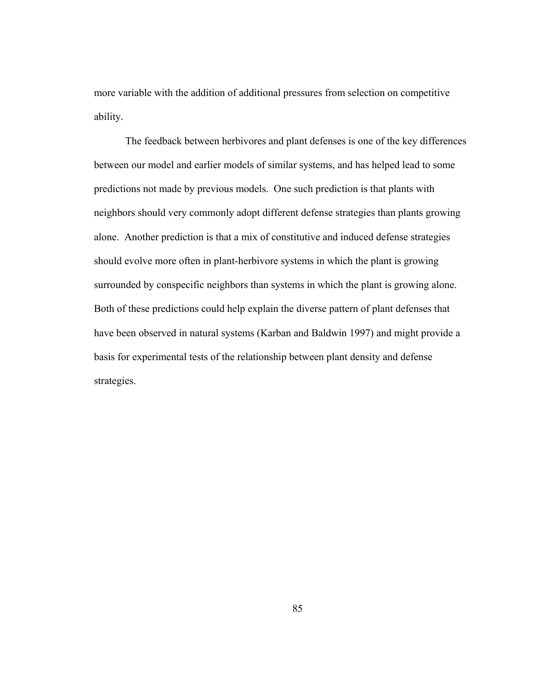more variable with the addition of additional pressures from selection on competitive ability.

The feedback between herbivores and plant defenses is one of the key differences between our model and earlier models of similar systems, and has helped lead to some predictions not made by previous models. One such prediction is that plants with neighbors should very commonly adopt different defense strategies than plants growing alone. Another prediction is that a mix of constitutive and induced defense strategies should evolve more often in plant-herbivore systems in which the plant is growing surrounded by conspecific neighbors than systems in which the plant is growing alone. Both of these predictions could help explain the diverse pattern of plant defenses that have been observed in natural systems (Karban and Baldwin 1997) and might provide a basis for experimental tests of the relationship between plant density and defense strategies.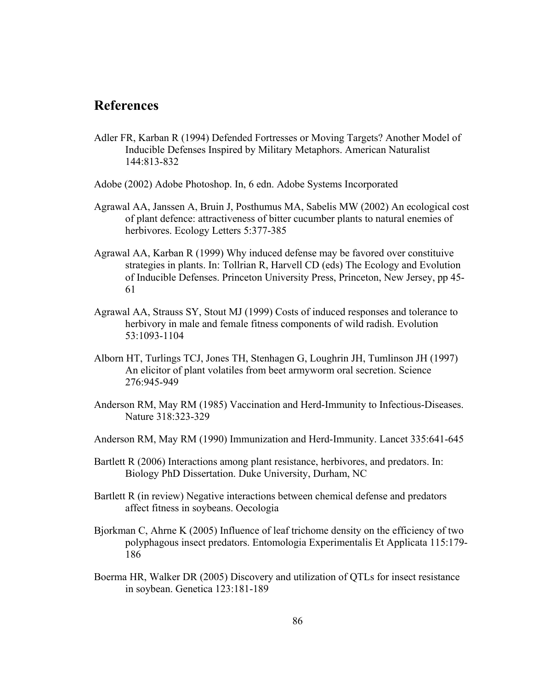# **References**

- Adler FR, Karban R (1994) Defended Fortresses or Moving Targets? Another Model of Inducible Defenses Inspired by Military Metaphors. American Naturalist 144:813-832
- Adobe (2002) Adobe Photoshop. In, 6 edn. Adobe Systems Incorporated
- Agrawal AA, Janssen A, Bruin J, Posthumus MA, Sabelis MW (2002) An ecological cost of plant defence: attractiveness of bitter cucumber plants to natural enemies of herbivores. Ecology Letters 5:377-385
- Agrawal AA, Karban R (1999) Why induced defense may be favored over constituive strategies in plants. In: Tollrian R, Harvell CD (eds) The Ecology and Evolution of Inducible Defenses. Princeton University Press, Princeton, New Jersey, pp 45- 61
- Agrawal AA, Strauss SY, Stout MJ (1999) Costs of induced responses and tolerance to herbivory in male and female fitness components of wild radish. Evolution 53:1093-1104
- Alborn HT, Turlings TCJ, Jones TH, Stenhagen G, Loughrin JH, Tumlinson JH (1997) An elicitor of plant volatiles from beet armyworm oral secretion. Science 276:945-949
- Anderson RM, May RM (1985) Vaccination and Herd-Immunity to Infectious-Diseases. Nature 318:323-329
- Anderson RM, May RM (1990) Immunization and Herd-Immunity. Lancet 335:641-645
- Bartlett R (2006) Interactions among plant resistance, herbivores, and predators. In: Biology PhD Dissertation. Duke University, Durham, NC
- Bartlett R (in review) Negative interactions between chemical defense and predators affect fitness in soybeans. Oecologia
- Bjorkman C, Ahrne K (2005) Influence of leaf trichome density on the efficiency of two polyphagous insect predators. Entomologia Experimentalis Et Applicata 115:179- 186
- Boerma HR, Walker DR (2005) Discovery and utilization of QTLs for insect resistance in soybean. Genetica 123:181-189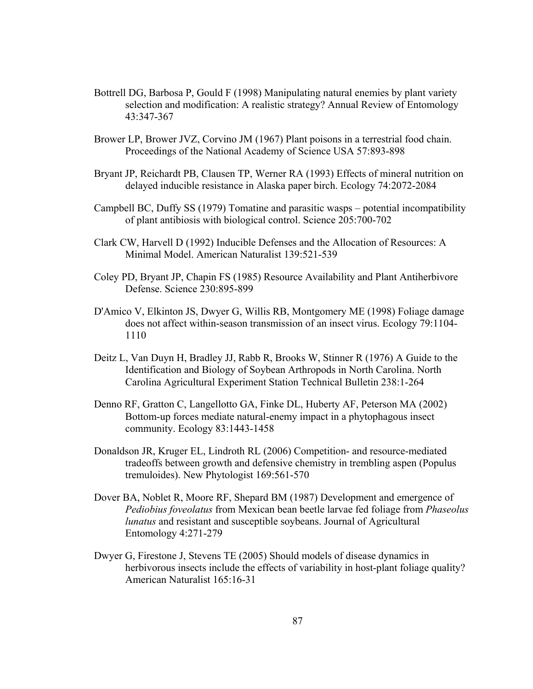- Bottrell DG, Barbosa P, Gould F (1998) Manipulating natural enemies by plant variety selection and modification: A realistic strategy? Annual Review of Entomology 43:347-367
- Brower LP, Brower JVZ, Corvino JM (1967) Plant poisons in a terrestrial food chain. Proceedings of the National Academy of Science USA 57:893-898
- Bryant JP, Reichardt PB, Clausen TP, Werner RA (1993) Effects of mineral nutrition on delayed inducible resistance in Alaska paper birch. Ecology 74:2072-2084
- Campbell BC, Duffy SS (1979) Tomatine and parasitic wasps potential incompatibility of plant antibiosis with biological control. Science 205:700-702
- Clark CW, Harvell D (1992) Inducible Defenses and the Allocation of Resources: A Minimal Model. American Naturalist 139:521-539
- Coley PD, Bryant JP, Chapin FS (1985) Resource Availability and Plant Antiherbivore Defense. Science 230:895-899
- D'Amico V, Elkinton JS, Dwyer G, Willis RB, Montgomery ME (1998) Foliage damage does not affect within-season transmission of an insect virus. Ecology 79:1104- 1110
- Deitz L, Van Duyn H, Bradley JJ, Rabb R, Brooks W, Stinner R (1976) A Guide to the Identification and Biology of Soybean Arthropods in North Carolina. North Carolina Agricultural Experiment Station Technical Bulletin 238:1-264
- Denno RF, Gratton C, Langellotto GA, Finke DL, Huberty AF, Peterson MA (2002) Bottom-up forces mediate natural-enemy impact in a phytophagous insect community. Ecology 83:1443-1458
- Donaldson JR, Kruger EL, Lindroth RL (2006) Competition- and resource-mediated tradeoffs between growth and defensive chemistry in trembling aspen (Populus tremuloides). New Phytologist 169:561-570
- Dover BA, Noblet R, Moore RF, Shepard BM (1987) Development and emergence of *Pediobius foveolatus* from Mexican bean beetle larvae fed foliage from *Phaseolus lunatus* and resistant and susceptible soybeans. Journal of Agricultural Entomology 4:271-279
- Dwyer G, Firestone J, Stevens TE (2005) Should models of disease dynamics in herbivorous insects include the effects of variability in host-plant foliage quality? American Naturalist 165:16-31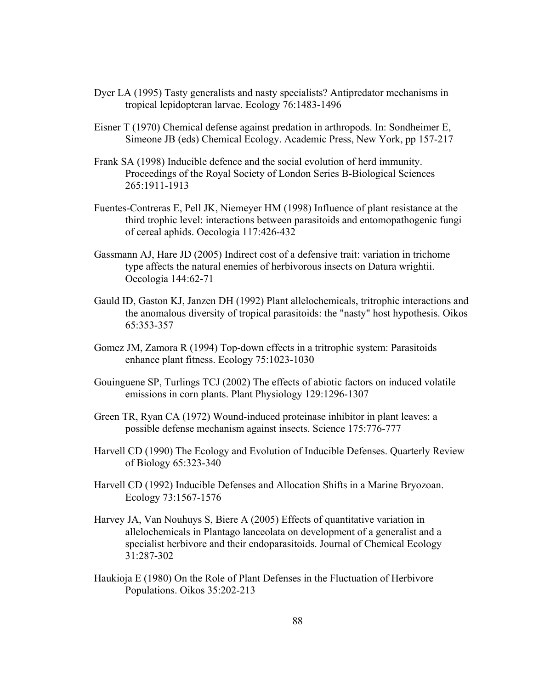- Dyer LA (1995) Tasty generalists and nasty specialists? Antipredator mechanisms in tropical lepidopteran larvae. Ecology 76:1483-1496
- Eisner T (1970) Chemical defense against predation in arthropods. In: Sondheimer E, Simeone JB (eds) Chemical Ecology. Academic Press, New York, pp 157-217
- Frank SA (1998) Inducible defence and the social evolution of herd immunity. Proceedings of the Royal Society of London Series B-Biological Sciences 265:1911-1913
- Fuentes-Contreras E, Pell JK, Niemeyer HM (1998) Influence of plant resistance at the third trophic level: interactions between parasitoids and entomopathogenic fungi of cereal aphids. Oecologia 117:426-432
- Gassmann AJ, Hare JD (2005) Indirect cost of a defensive trait: variation in trichome type affects the natural enemies of herbivorous insects on Datura wrightii. Oecologia 144:62-71
- Gauld ID, Gaston KJ, Janzen DH (1992) Plant allelochemicals, tritrophic interactions and the anomalous diversity of tropical parasitoids: the "nasty" host hypothesis. Oikos 65:353-357
- Gomez JM, Zamora R (1994) Top-down effects in a tritrophic system: Parasitoids enhance plant fitness. Ecology 75:1023-1030
- Gouinguene SP, Turlings TCJ (2002) The effects of abiotic factors on induced volatile emissions in corn plants. Plant Physiology 129:1296-1307
- Green TR, Ryan CA (1972) Wound-induced proteinase inhibitor in plant leaves: a possible defense mechanism against insects. Science 175:776-777
- Harvell CD (1990) The Ecology and Evolution of Inducible Defenses. Quarterly Review of Biology 65:323-340
- Harvell CD (1992) Inducible Defenses and Allocation Shifts in a Marine Bryozoan. Ecology 73:1567-1576
- Harvey JA, Van Nouhuys S, Biere A (2005) Effects of quantitative variation in allelochemicals in Plantago lanceolata on development of a generalist and a specialist herbivore and their endoparasitoids. Journal of Chemical Ecology 31:287-302
- Haukioja E (1980) On the Role of Plant Defenses in the Fluctuation of Herbivore Populations. Oikos 35:202-213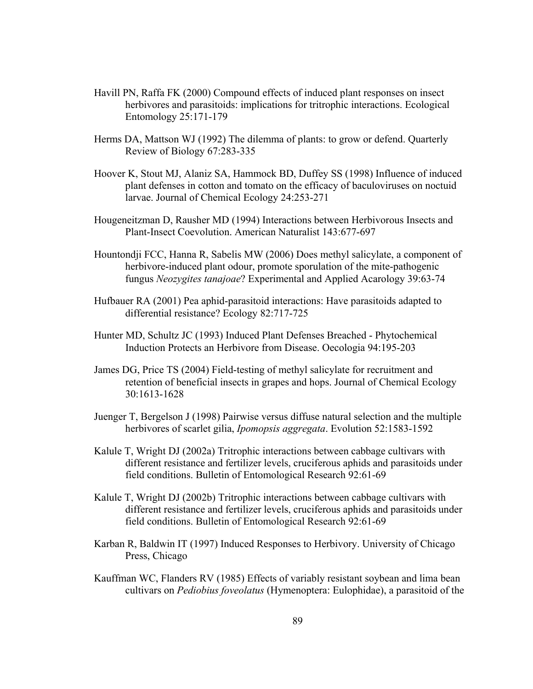- Havill PN, Raffa FK (2000) Compound effects of induced plant responses on insect herbivores and parasitoids: implications for tritrophic interactions. Ecological Entomology 25:171-179
- Herms DA, Mattson WJ (1992) The dilemma of plants: to grow or defend. Quarterly Review of Biology 67:283-335
- Hoover K, Stout MJ, Alaniz SA, Hammock BD, Duffey SS (1998) Influence of induced plant defenses in cotton and tomato on the efficacy of baculoviruses on noctuid larvae. Journal of Chemical Ecology 24:253-271
- Hougeneitzman D, Rausher MD (1994) Interactions between Herbivorous Insects and Plant-Insect Coevolution. American Naturalist 143:677-697
- Hountondji FCC, Hanna R, Sabelis MW (2006) Does methyl salicylate, a component of herbivore-induced plant odour, promote sporulation of the mite-pathogenic fungus *Neozygites tanajoae*? Experimental and Applied Acarology 39:63-74
- Hufbauer RA (2001) Pea aphid-parasitoid interactions: Have parasitoids adapted to differential resistance? Ecology 82:717-725
- Hunter MD, Schultz JC (1993) Induced Plant Defenses Breached Phytochemical Induction Protects an Herbivore from Disease. Oecologia 94:195-203
- James DG, Price TS (2004) Field-testing of methyl salicylate for recruitment and retention of beneficial insects in grapes and hops. Journal of Chemical Ecology 30:1613-1628
- Juenger T, Bergelson J (1998) Pairwise versus diffuse natural selection and the multiple herbivores of scarlet gilia, *Ipomopsis aggregata*. Evolution 52:1583-1592
- Kalule T, Wright DJ (2002a) Tritrophic interactions between cabbage cultivars with different resistance and fertilizer levels, cruciferous aphids and parasitoids under field conditions. Bulletin of Entomological Research 92:61-69
- Kalule T, Wright DJ (2002b) Tritrophic interactions between cabbage cultivars with different resistance and fertilizer levels, cruciferous aphids and parasitoids under field conditions. Bulletin of Entomological Research 92:61-69
- Karban R, Baldwin IT (1997) Induced Responses to Herbivory. University of Chicago Press, Chicago
- Kauffman WC, Flanders RV (1985) Effects of variably resistant soybean and lima bean cultivars on *Pediobius foveolatus* (Hymenoptera: Eulophidae), a parasitoid of the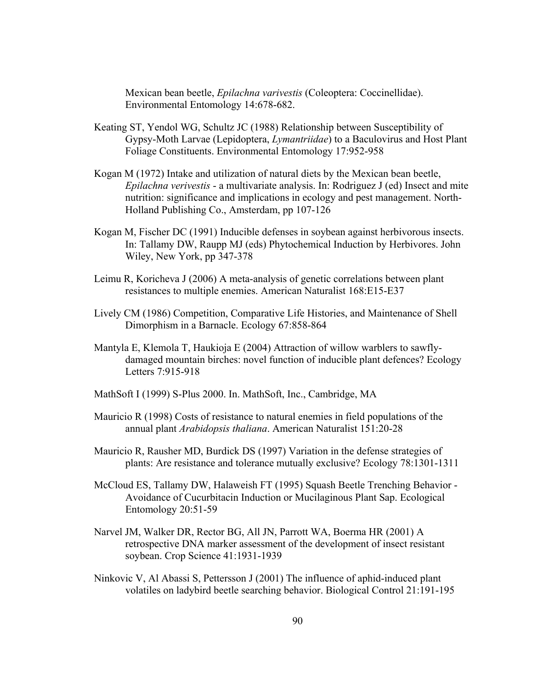Mexican bean beetle, *Epilachna varivestis* (Coleoptera: Coccinellidae). Environmental Entomology 14:678-682.

- Keating ST, Yendol WG, Schultz JC (1988) Relationship between Susceptibility of Gypsy-Moth Larvae (Lepidoptera, *Lymantriidae*) to a Baculovirus and Host Plant Foliage Constituents. Environmental Entomology 17:952-958
- Kogan M (1972) Intake and utilization of natural diets by the Mexican bean beetle, *Epilachna verivestis* - a multivariate analysis. In: Rodriguez J (ed) Insect and mite nutrition: significance and implications in ecology and pest management. North-Holland Publishing Co., Amsterdam, pp 107-126
- Kogan M, Fischer DC (1991) Inducible defenses in soybean against herbivorous insects. In: Tallamy DW, Raupp MJ (eds) Phytochemical Induction by Herbivores. John Wiley, New York, pp 347-378
- Leimu R, Koricheva J (2006) A meta-analysis of genetic correlations between plant resistances to multiple enemies. American Naturalist 168:E15-E37
- Lively CM (1986) Competition, Comparative Life Histories, and Maintenance of Shell Dimorphism in a Barnacle. Ecology 67:858-864
- Mantyla E, Klemola T, Haukioja E (2004) Attraction of willow warblers to sawflydamaged mountain birches: novel function of inducible plant defences? Ecology Letters 7:915-918
- MathSoft I (1999) S-Plus 2000. In. MathSoft, Inc., Cambridge, MA
- Mauricio R (1998) Costs of resistance to natural enemies in field populations of the annual plant *Arabidopsis thaliana*. American Naturalist 151:20-28
- Mauricio R, Rausher MD, Burdick DS (1997) Variation in the defense strategies of plants: Are resistance and tolerance mutually exclusive? Ecology 78:1301-1311
- McCloud ES, Tallamy DW, Halaweish FT (1995) Squash Beetle Trenching Behavior Avoidance of Cucurbitacin Induction or Mucilaginous Plant Sap. Ecological Entomology 20:51-59
- Narvel JM, Walker DR, Rector BG, All JN, Parrott WA, Boerma HR (2001) A retrospective DNA marker assessment of the development of insect resistant soybean. Crop Science 41:1931-1939
- Ninkovic V, Al Abassi S, Pettersson J (2001) The influence of aphid-induced plant volatiles on ladybird beetle searching behavior. Biological Control 21:191-195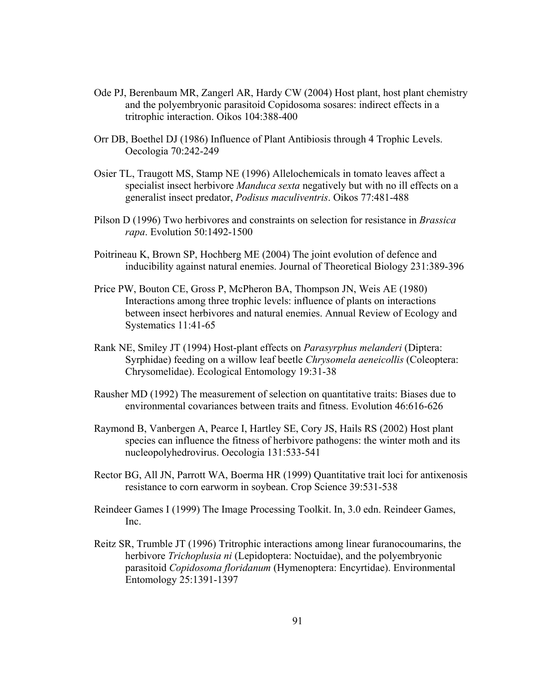- Ode PJ, Berenbaum MR, Zangerl AR, Hardy CW (2004) Host plant, host plant chemistry and the polyembryonic parasitoid Copidosoma sosares: indirect effects in a tritrophic interaction. Oikos 104:388-400
- Orr DB, Boethel DJ (1986) Influence of Plant Antibiosis through 4 Trophic Levels. Oecologia 70:242-249
- Osier TL, Traugott MS, Stamp NE (1996) Allelochemicals in tomato leaves affect a specialist insect herbivore *Manduca sexta* negatively but with no ill effects on a generalist insect predator, *Podisus maculiventris*. Oikos 77:481-488
- Pilson D (1996) Two herbivores and constraints on selection for resistance in *Brassica rapa*. Evolution 50:1492-1500
- Poitrineau K, Brown SP, Hochberg ME (2004) The joint evolution of defence and inducibility against natural enemies. Journal of Theoretical Biology 231:389-396
- Price PW, Bouton CE, Gross P, McPheron BA, Thompson JN, Weis AE (1980) Interactions among three trophic levels: influence of plants on interactions between insect herbivores and natural enemies. Annual Review of Ecology and Systematics 11:41-65
- Rank NE, Smiley JT (1994) Host-plant effects on *Parasyrphus melanderi* (Diptera: Syrphidae) feeding on a willow leaf beetle *Chrysomela aeneicollis* (Coleoptera: Chrysomelidae). Ecological Entomology 19:31-38
- Rausher MD (1992) The measurement of selection on quantitative traits: Biases due to environmental covariances between traits and fitness. Evolution 46:616-626
- Raymond B, Vanbergen A, Pearce I, Hartley SE, Cory JS, Hails RS (2002) Host plant species can influence the fitness of herbivore pathogens: the winter moth and its nucleopolyhedrovirus. Oecologia 131:533-541
- Rector BG, All JN, Parrott WA, Boerma HR (1999) Quantitative trait loci for antixenosis resistance to corn earworm in soybean. Crop Science 39:531-538
- Reindeer Games I (1999) The Image Processing Toolkit. In, 3.0 edn. Reindeer Games, Inc.
- Reitz SR, Trumble JT (1996) Tritrophic interactions among linear furanocoumarins, the herbivore *Trichoplusia ni* (Lepidoptera: Noctuidae), and the polyembryonic parasitoid *Copidosoma floridanum* (Hymenoptera: Encyrtidae). Environmental Entomology 25:1391-1397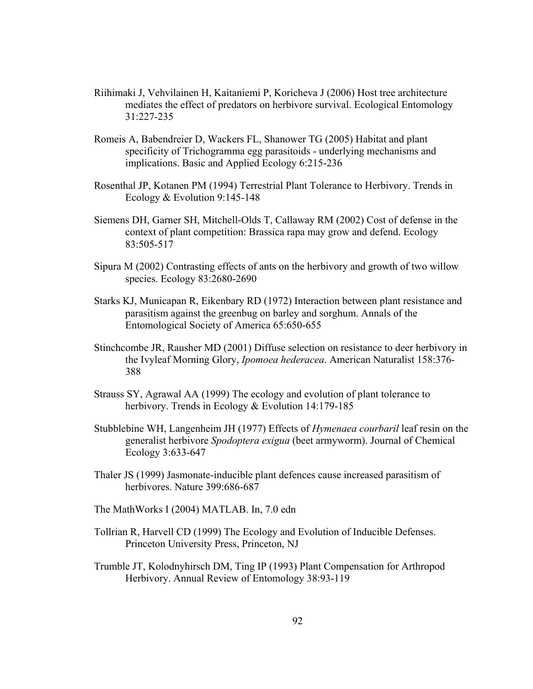- Riihimaki J, Vehvilainen H, Kaitaniemi P, Koricheva J (2006) Host tree architecture mediates the effect of predators on herbivore survival. Ecological Entomology 31:227-235
- Romeis A, Babendreier D, Wackers FL, Shanower TG (2005) Habitat and plant specificity of Trichogramma egg parasitoids - underlying mechanisms and implications. Basic and Applied Ecology 6:215-236
- Rosenthal JP, Kotanen PM (1994) Terrestrial Plant Tolerance to Herbivory. Trends in Ecology & Evolution 9:145-148
- Siemens DH, Garner SH, Mitchell-Olds T, Callaway RM (2002) Cost of defense in the context of plant competition: Brassica rapa may grow and defend. Ecology 83:505-517
- Sipura M (2002) Contrasting effects of ants on the herbivory and growth of two willow species. Ecology 83:2680-2690
- Starks KJ, Municapan R, Eikenbary RD (1972) Interaction between plant resistance and parasitism against the greenbug on barley and sorghum. Annals of the Entomological Society of America 65:650-655
- Stinchcombe JR, Rausher MD (2001) Diffuse selection on resistance to deer herbivory in the Ivyleaf Morning Glory, *Ipomoea hederacea*. American Naturalist 158:376- 388
- Strauss SY, Agrawal AA (1999) The ecology and evolution of plant tolerance to herbivory. Trends in Ecology & Evolution 14:179-185
- Stubblebine WH, Langenheim JH (1977) Effects of *Hymenaea courbaril* leaf resin on the generalist herbivore *Spodoptera exigua* (beet armyworm). Journal of Chemical Ecology 3:633-647
- Thaler JS (1999) Jasmonate-inducible plant defences cause increased parasitism of herbivores. Nature 399:686-687
- The MathWorks I (2004) MATLAB. In, 7.0 edn
- Tollrian R, Harvell CD (1999) The Ecology and Evolution of Inducible Defenses. Princeton University Press, Princeton, NJ
- Trumble JT, Kolodnyhirsch DM, Ting IP (1993) Plant Compensation for Arthropod Herbivory. Annual Review of Entomology 38:93-119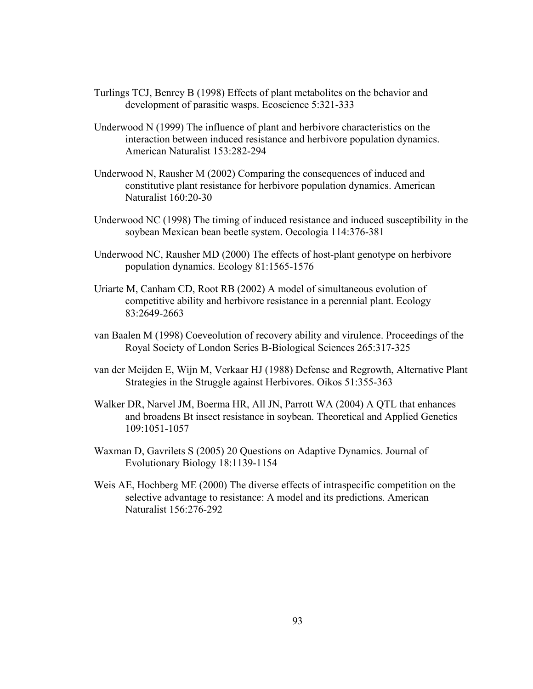- Turlings TCJ, Benrey B (1998) Effects of plant metabolites on the behavior and development of parasitic wasps. Ecoscience 5:321-333
- Underwood N (1999) The influence of plant and herbivore characteristics on the interaction between induced resistance and herbivore population dynamics. American Naturalist 153:282-294
- Underwood N, Rausher M (2002) Comparing the consequences of induced and constitutive plant resistance for herbivore population dynamics. American Naturalist 160:20-30
- Underwood NC (1998) The timing of induced resistance and induced susceptibility in the soybean Mexican bean beetle system. Oecologia 114:376-381
- Underwood NC, Rausher MD (2000) The effects of host-plant genotype on herbivore population dynamics. Ecology 81:1565-1576
- Uriarte M, Canham CD, Root RB (2002) A model of simultaneous evolution of competitive ability and herbivore resistance in a perennial plant. Ecology 83:2649-2663
- van Baalen M (1998) Coeveolution of recovery ability and virulence. Proceedings of the Royal Society of London Series B-Biological Sciences 265:317-325
- van der Meijden E, Wijn M, Verkaar HJ (1988) Defense and Regrowth, Alternative Plant Strategies in the Struggle against Herbivores. Oikos 51:355-363
- Walker DR, Narvel JM, Boerma HR, All JN, Parrott WA (2004) A QTL that enhances and broadens Bt insect resistance in soybean. Theoretical and Applied Genetics 109:1051-1057
- Waxman D, Gavrilets S (2005) 20 Questions on Adaptive Dynamics. Journal of Evolutionary Biology 18:1139-1154
- Weis AE, Hochberg ME (2000) The diverse effects of intraspecific competition on the selective advantage to resistance: A model and its predictions. American Naturalist 156:276-292